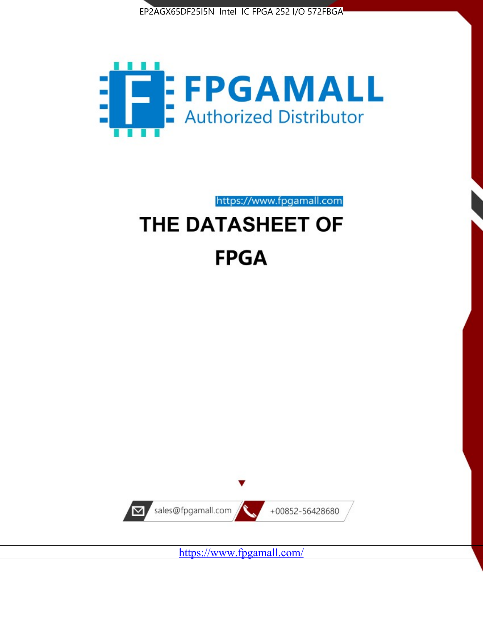



# https://www.fpgamall.com THE DATASHEET OF **FPGA**



<https://www.fpgamall.com/>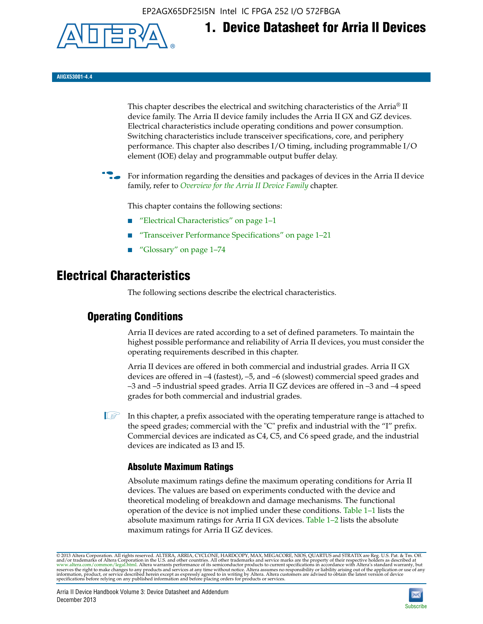EP2AGX65DF25I5N Intel IC FPGA 252 I/O 572FBGA



**1. Device Datasheet for Arria II Devices**

**AIIGX53001-4.4**

This chapter describes the electrical and switching characteristics of the Arria® II device family. The Arria II device family includes the Arria II GX and GZ devices. Electrical characteristics include operating conditions and power consumption. Switching characteristics include transceiver specifications, core, and periphery performance. This chapter also describes I/O timing, including programmable I/O element (IOE) delay and programmable output buffer delay.

For information regarding the densities and packages of devices in the Arria II device family, refer to *[Overview for the Arria II Device Family](http://www.altera.com/literature/hb/arria-ii-gx/aiigx_51001.pdf)* chapter.

This chapter contains the following sections:

- *"Electrical Characteristics"* on page 1–1
- "Transceiver Performance Specifications" on page 1–21
- "Glossary" on page 1–74

# **Electrical Characteristics**

The following sections describe the electrical characteristics.

## **Operating Conditions**

Arria II devices are rated according to a set of defined parameters. To maintain the highest possible performance and reliability of Arria II devices, you must consider the operating requirements described in this chapter.

Arria II devices are offered in both commercial and industrial grades. Arria II GX devices are offered in –4 (fastest), –5, and –6 (slowest) commercial speed grades and –3 and –5 industrial speed grades. Arria II GZ devices are offered in –3 and –4 speed grades for both commercial and industrial grades.

 $\Box$  In this chapter, a prefix associated with the operating temperature range is attached to the speed grades; commercial with the "C" prefix and industrial with the "I" prefix. Commercial devices are indicated as C4, C5, and C6 speed grade, and the industrial devices are indicated as I3 and I5.

## **Absolute Maximum Ratings**

Absolute maximum ratings define the maximum operating conditions for Arria II devices. The values are based on experiments conducted with the device and theoretical modeling of breakdown and damage mechanisms. The functional operation of the device is not implied under these conditions. Table 1–1 lists the absolute maximum ratings for Arria II GX devices. Table 1–2 lists the absolute maximum ratings for Arria II GZ devices.

© 2013 Altera Corporation. All rights reserved. ALTERA, ARRIA, CYCLONE, HARDCOPY, MAX, MEGACORE, NIOS, QUARTUS and STRATIX are Reg. U.S. Pat. & Tm. Off. [and/or trademarks of Altera Corporat](http://www.altera.com/common/legal.html)ion in the U.S. and other countri

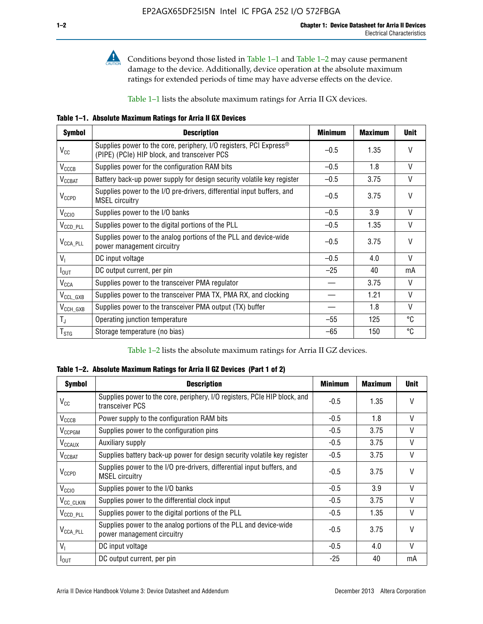

**Conditions beyond those listed in Table 1–1 and Table 1–2 may cause permanent** damage to the device. Additionally, device operation at the absolute maximum ratings for extended periods of time may have adverse effects on the device.

Table 1–1 lists the absolute maximum ratings for Arria II GX devices.

**Table 1–1. Absolute Maximum Ratings for Arria II GX Devices** 

| <b>Symbol</b>         | <b>Description</b>                                                                                                 | <b>Minimum</b> | <b>Maximum</b> | <b>Unit</b>  |
|-----------------------|--------------------------------------------------------------------------------------------------------------------|----------------|----------------|--------------|
| $V_{CC}$              | Supplies power to the core, periphery, I/O registers, PCI Express®<br>(PIPE) (PCIe) HIP block, and transceiver PCS | $-0.5$         | 1.35           | $\vee$       |
| $V_{CCCB}$            | Supplies power for the configuration RAM bits                                                                      | $-0.5$         | 1.8            | V            |
| $V_{\text{CCBAT}}$    | Battery back-up power supply for design security volatile key register                                             | $-0.5$         | 3.75           | V            |
| $V_{CCPD}$            | Supplies power to the I/O pre-drivers, differential input buffers, and<br><b>MSEL circuitry</b>                    | $-0.5$         | 3.75           | $\vee$       |
| V <sub>CCIO</sub>     | Supplies power to the I/O banks                                                                                    | $-0.5$         | 3.9            | $\mathsf{V}$ |
| $V_{\text{CCD\_PLL}}$ | Supplies power to the digital portions of the PLL                                                                  | $-0.5$         | 1.35           | V            |
| $V_{\text{CCA\_PLL}}$ | Supplies power to the analog portions of the PLL and device-wide<br>power management circuitry                     | $-0.5$         | 3.75           | $\mathsf{V}$ |
| $V_{1}$               | DC input voltage                                                                                                   | $-0.5$         | 4.0            | V            |
| $I_{\text{OUT}}$      | DC output current, per pin                                                                                         | $-25$          | 40             | mA           |
| $V_{\text{CCA}}$      | Supplies power to the transceiver PMA regulator                                                                    |                | 3.75           | V            |
| $V_{CCL_GXB}$         | Supplies power to the transceiver PMA TX, PMA RX, and clocking                                                     |                | 1.21           | $\vee$       |
| $V_{\text{CCH_GXB}}$  | Supplies power to the transceiver PMA output (TX) buffer                                                           |                | 1.8            | V            |
| $T_{\rm J}$           | Operating junction temperature                                                                                     | $-55$          | 125            | °C           |
| $T_{\tt STG}$         | Storage temperature (no bias)                                                                                      | -65            | 150            | ℃            |

Table 1–2 lists the absolute maximum ratings for Arria II GZ devices.

**Table 1–2. Absolute Maximum Ratings for Arria II GZ Devices (Part 1 of 2)**

| <b>Symbol</b>            | <b>Description</b>                                                                              | <b>Minimum</b> | <b>Maximum</b> | <b>Unit</b>  |
|--------------------------|-------------------------------------------------------------------------------------------------|----------------|----------------|--------------|
| $V_{CC}$                 | Supplies power to the core, periphery, I/O registers, PCIe HIP block, and<br>transceiver PCS    | -0.5           | 1.35           | $\mathsf{V}$ |
| $V_{CCCB}$               | Power supply to the configuration RAM bits                                                      | $-0.5$         | 1.8            | $\vee$       |
| V <sub>CCPGM</sub>       | Supplies power to the configuration pins                                                        | $-0.5$         | 3.75           | $\vee$       |
| <b>V<sub>CCAUX</sub></b> | Auxiliary supply                                                                                | $-0.5$         | 3.75           | $\vee$       |
| $V_{\text{CGBAT}}$       | Supplies battery back-up power for design security volatile key register                        | -0.5           | 3.75           | V            |
| $V_{CCPD}$               | Supplies power to the I/O pre-drivers, differential input buffers, and<br><b>MSEL circuitry</b> | -0.5           | 3.75           | $\mathsf{V}$ |
| V <sub>CCIO</sub>        | Supplies power to the I/O banks                                                                 | $-0.5$         | 3.9            | $\mathsf{V}$ |
| $V_{\rm CC\_CLKIN}$      | Supplies power to the differential clock input                                                  | $-0.5$         | 3.75           | $\vee$       |
| $V_{\text{CCD\_PLL}}$    | Supplies power to the digital portions of the PLL                                               | $-0.5$         | 1.35           | V            |
| $V_{\text{CCA\_PLL}}$    | Supplies power to the analog portions of the PLL and device-wide<br>power management circuitry  | $-0.5$         | 3.75           | $\mathsf{V}$ |
| V <sub>1</sub>           | DC input voltage                                                                                | $-0.5$         | 4.0            | $\vee$       |
| $I_{\text{OUT}}$         | DC output current, per pin                                                                      | $-25$          | 40             | mA           |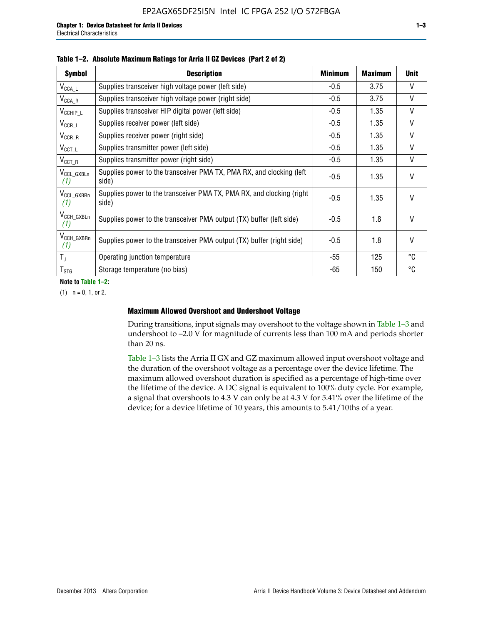| <b>Symbol</b>                  | <b>Description</b>                                                              | <b>Minimum</b> | <b>Maximum</b> | <b>Unit</b>  |
|--------------------------------|---------------------------------------------------------------------------------|----------------|----------------|--------------|
| $V_{\texttt{CCA}\_\textsf{L}}$ | Supplies transceiver high voltage power (left side)                             | $-0.5$         | 3.75           | V            |
| $V_{\mathsf{CCA\_R}}$          | Supplies transceiver high voltage power (right side)                            | $-0.5$         | 3.75           | $\vee$       |
| $V_{CCHIP\_L}$                 | Supplies transceiver HIP digital power (left side)                              | $-0.5$         | 1.35           | $\vee$       |
| $V_{CCR\_L}$                   | Supplies receiver power (left side)                                             | $-0.5$         | 1.35           | $\vee$       |
| $V_{CCR\_R}$                   | Supplies receiver power (right side)                                            | $-0.5$         | 1.35           | $\mathsf{V}$ |
| $V_{CCT\_L}$                   | Supplies transmitter power (left side)                                          | $-0.5$         | 1.35           | $\vee$       |
| $V_{CCT_R}$                    | Supplies transmitter power (right side)                                         | $-0.5$         | 1.35           | V            |
| V <sub>CCL_GXBLn</sub><br>(1)  | Supplies power to the transceiver PMA TX, PMA RX, and clocking (left<br>side)   | $-0.5$         | 1.35           | $\vee$       |
| V <sub>CCL_GXBRn</sub><br>(1)  | Supplies power to the transceiver PMA TX, PMA RX, and clocking (right)<br>side) | $-0.5$         | 1.35           | $\vee$       |
| V <sub>CCH_GXBLn</sub><br>(1)  | Supplies power to the transceiver PMA output (TX) buffer (left side)            | -0.5           | 1.8            | $\mathsf{V}$ |
| V <sub>CCH_GXBRn</sub><br>(1)  | Supplies power to the transceiver PMA output (TX) buffer (right side)           | -0.5           | 1.8            | $\vee$       |
| $T_{\rm J}$                    | Operating junction temperature                                                  | -55            | 125            | °C           |
| $T_{\text{STG}}$               | Storage temperature (no bias)                                                   | -65            | 150            | ℃            |

**Note to Table 1–2:**

 $(1)$   $n = 0, 1,$  or 2.

#### **Maximum Allowed Overshoot and Undershoot Voltage**

During transitions, input signals may overshoot to the voltage shown in Table 1–3 and undershoot to –2.0 V for magnitude of currents less than 100 mA and periods shorter than 20 ns.

Table 1–3 lists the Arria II GX and GZ maximum allowed input overshoot voltage and the duration of the overshoot voltage as a percentage over the device lifetime. The maximum allowed overshoot duration is specified as a percentage of high-time over the lifetime of the device. A DC signal is equivalent to 100% duty cycle. For example, a signal that overshoots to 4.3 V can only be at 4.3 V for 5.41% over the lifetime of the device; for a device lifetime of 10 years, this amounts to 5.41/10ths of a year.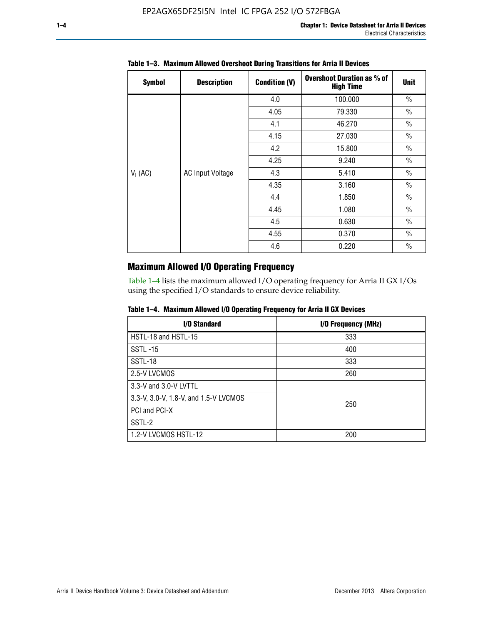| <b>Symbol</b> | <b>Description</b>      | <b>Condition (V)</b> | <b>Overshoot Duration as % of</b><br><b>High Time</b> | <b>Unit</b>   |
|---------------|-------------------------|----------------------|-------------------------------------------------------|---------------|
|               |                         | 4.0                  | 100.000                                               | $\frac{0}{0}$ |
|               |                         | 4.05                 | 79.330                                                | $\frac{0}{0}$ |
|               |                         | 4.1                  | 46.270                                                | $\frac{0}{0}$ |
|               |                         | 4.15                 | 27.030                                                | $\frac{0}{0}$ |
|               |                         | 4.2                  | 15.800                                                | $\frac{0}{0}$ |
|               |                         | 4.25                 | 9.240                                                 | $\frac{0}{0}$ |
| $V_1$ (AC)    | <b>AC Input Voltage</b> | 4.3                  | 5.410                                                 | $\frac{0}{0}$ |
|               |                         | 4.35                 | 3.160                                                 | $\frac{0}{0}$ |
|               |                         | 4.4                  | 1.850                                                 | $\frac{0}{0}$ |
|               |                         | 4.45                 | 1.080                                                 | $\frac{0}{0}$ |
|               |                         | 4.5                  | 0.630                                                 | $\frac{0}{0}$ |
|               |                         | 4.55                 | 0.370                                                 | $\frac{0}{0}$ |
|               |                         | 4.6                  | 0.220                                                 | $\frac{0}{0}$ |

## **Table 1–3. Maximum Allowed Overshoot During Transitions for Arria II Devices**

## **Maximum Allowed I/O Operating Frequency**

Table 1–4 lists the maximum allowed I/O operating frequency for Arria II GX I/Os using the specified I/O standards to ensure device reliability.

|  |  |  | Table 1–4. Maximum Allowed I/O Operating Frequency for Arria II GX Devices |
|--|--|--|----------------------------------------------------------------------------|
|--|--|--|----------------------------------------------------------------------------|

| <b>I/O Standard</b>                   | I/O Frequency (MHz) |
|---------------------------------------|---------------------|
| HSTL-18 and HSTL-15                   | 333                 |
| <b>SSTL-15</b>                        | 400                 |
| SSTL-18                               | 333                 |
| 2.5-V LVCMOS                          | 260                 |
| 3.3-V and 3.0-V LVTTL                 |                     |
| 3.3-V, 3.0-V, 1.8-V, and 1.5-V LVCMOS | 250                 |
| PCI and PCI-X                         |                     |
| SSTL-2                                |                     |
| 1.2-V LVCMOS HSTL-12                  | 200                 |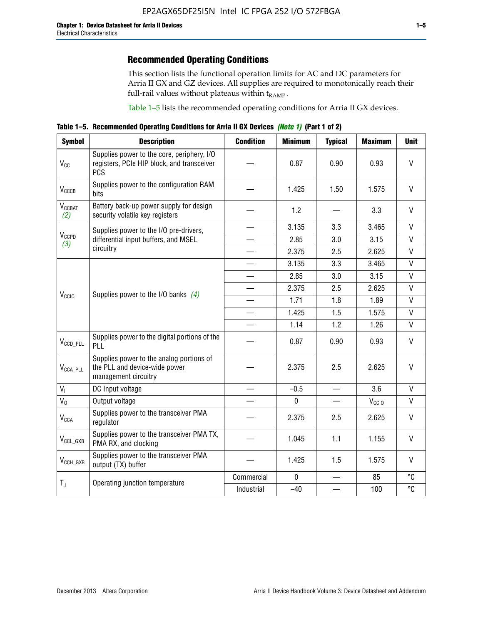## **Recommended Operating Conditions**

This section lists the functional operation limits for AC and DC parameters for Arria II GX and GZ devices. All supplies are required to monotonically reach their full-rail values without plateaus within  $t_{RAMP}$ .

Table 1–5 lists the recommended operating conditions for Arria II GX devices.

**Table 1–5. Recommended Operating Conditions for Arria II GX Devices** *(Note 1)* **(Part 1 of 2)**

| <b>Symbol</b>                   | <b>Description</b>                                                                                     | <b>Condition</b> | <b>Minimum</b> | <b>Typical</b>                   | <b>Maximum</b>    | <b>Unit</b>       |
|---------------------------------|--------------------------------------------------------------------------------------------------------|------------------|----------------|----------------------------------|-------------------|-------------------|
| $V_{CC}$                        | Supplies power to the core, periphery, I/O<br>registers, PCIe HIP block, and transceiver<br><b>PCS</b> |                  | 0.87           | 0.90                             | 0.93              | $\vee$            |
| $V_{CCCB}$                      | Supplies power to the configuration RAM<br>bits                                                        |                  | 1.425          | 1.50                             | 1.575             | $\mathsf{V}$      |
| <b>V<sub>CCBAT</sub></b><br>(2) | Battery back-up power supply for design<br>security volatile key registers                             |                  | 1.2            |                                  | 3.3               | $\vee$            |
|                                 | Supplies power to the I/O pre-drivers,                                                                 |                  | 3.135          | 3.3                              | 3.465             | $\mathsf{V}$      |
| $V_{CCPD}$<br>(3)               | differential input buffers, and MSEL                                                                   |                  | 2.85           | 3.0                              | 3.15              | $\mathsf{V}$      |
|                                 | circuitry                                                                                              |                  | 2.375          | 2.5                              | 2.625             | $\mathsf{V}$      |
|                                 |                                                                                                        |                  | 3.135          | 3.3                              | 3.465             | $\mathsf{V}$      |
|                                 |                                                                                                        |                  | 2.85           | 3.0                              | 3.15              | $\mathsf{V}$      |
|                                 | Supplies power to the I/O banks $(4)$                                                                  |                  | 2.375          | 2.5                              | 2.625             | V<br>$\mathsf{V}$ |
| V <sub>CCIO</sub>               |                                                                                                        |                  | 1.71           | 1.8                              | 1.89              |                   |
|                                 |                                                                                                        |                  | 1.425          | 1.5                              | 1.575             | $\mathsf{V}$      |
|                                 |                                                                                                        |                  | 1.14           | 1.2                              | 1.26              | $\mathsf{V}$      |
| $V_{CCD\_PLL}$                  | Supplies power to the digital portions of the<br>PLL                                                   |                  | 0.87           | 0.90                             | 0.93              | V                 |
| $V_{\text{CCA\_PLL}}$           | Supplies power to the analog portions of<br>the PLL and device-wide power<br>management circuitry      |                  | 2.375          | 2.5                              | 2.625             | V                 |
| $V_{I}$                         | DC Input voltage                                                                                       |                  | $-0.5$         |                                  | 3.6               | V                 |
| $V_0$                           | Output voltage                                                                                         |                  | $\mathbf 0$    | $\overbrace{\phantom{12322111}}$ | V <sub>CCIO</sub> | V                 |
| <b>V<sub>CCA</sub></b>          | Supplies power to the transceiver PMA<br>regulator                                                     |                  | 2.375          | 2.5                              | 2.625             | $\mathsf{V}$      |
| $V_{CCL_GXB}$                   | Supplies power to the transceiver PMA TX,<br>PMA RX, and clocking                                      |                  | 1.045          | 1.1                              | 1.155             | $\vee$            |
| $V_{CCH_GXB}$                   | Supplies power to the transceiver PMA<br>output (TX) buffer                                            |                  | 1.425          | 1.5                              | 1.575             | $\mathsf{V}$      |
|                                 | Operating junction temperature                                                                         | Commercial       | $\mathbf 0$    |                                  | 85                | °C                |
| $T_{J}$                         |                                                                                                        | Industrial       | $-40$          |                                  | 100               | °C                |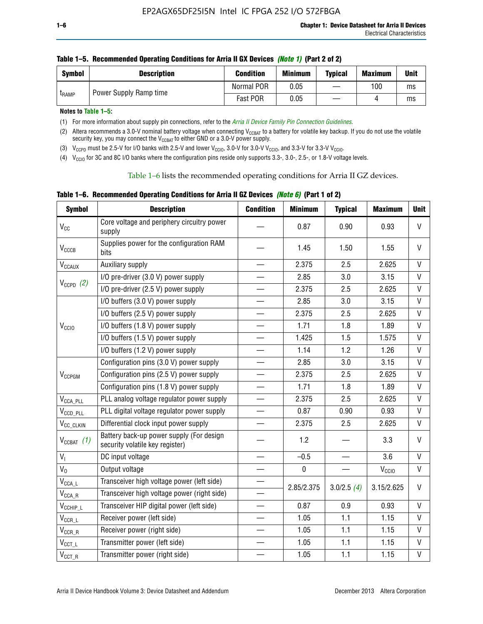| <b>Symbol</b> | <b>Description</b>     | <b>Condition</b> | <b>Minimum</b> | <b>Typical</b> | <b>Maximum</b> | <b>Unit</b> |
|---------------|------------------------|------------------|----------------|----------------|----------------|-------------|
| <b>LRAMP</b>  |                        | Normal POR       | 0.05           | —              | 100            | ms          |
|               | Power Supply Ramp time | Fast POR         | 0.05           |                |                | ms          |

**Notes to Table 1–5:** 

(1) For more information about supply pin connections, refer to the *[Arria II Device Family Pin Connection Guidelines](http://www.altera.com/literature/dp/arria-ii-gx/PCG-01007.pdf)*.

(2) Altera recommends a 3.0-V nominal battery voltage when connecting V<sub>CCBAT</sub> to a battery for volatile key backup. If you do not use the volatile security key, you may connect the V<sub>CCBAT</sub> to either GND or a 3.0-V power supply.

(3)  $V_{CCPD}$  must be 2.5-V for I/O banks with 2.5-V and lower  $V_{CCIO}$ , 3.0-V for 3.0-V  $V_{CCIO}$ , and 3.3-V for 3.3-V  $V_{CCIO}$ .

(4)  $V_{\text{CCIO}}$  for 3C and 8C I/O banks where the configuration pins reside only supports 3.3-, 3.0-, 2.5-, or 1.8-V voltage levels.

Table 1–6 lists the recommended operating conditions for Arria II GZ devices.

**Table 1–6. Recommended Operating Conditions for Arria II GZ Devices** *(Note 6)* **(Part 1 of 2)**

| <b>Symbol</b>                           | <b>Description</b>                                                          | <b>Condition</b> | <b>Minimum</b> | <b>Typical</b> | <b>Maximum</b>    | <b>Unit</b>  |
|-----------------------------------------|-----------------------------------------------------------------------------|------------------|----------------|----------------|-------------------|--------------|
| V <sub>CC</sub>                         | Core voltage and periphery circuitry power<br>supply                        |                  | 0.87           | 0.90           | 0.93              | $\mathsf{V}$ |
| $V_{CCCB}$                              | Supplies power for the configuration RAM<br>bits                            |                  | 1.45           | 1.50           | 1.55              | $\vee$       |
| $V_{\text{CCAUX}}$                      | Auxiliary supply                                                            |                  | 2.375          | 2.5            | 2.625             | V            |
|                                         | I/O pre-driver (3.0 V) power supply                                         |                  | 2.85           | 3.0            | 3.15              | $\mathsf{V}$ |
| $V_{CCPD}$ (2)                          | I/O pre-driver (2.5 V) power supply                                         |                  | 2.375          | 2.5            | 2.625             | $\vee$       |
|                                         | I/O buffers (3.0 V) power supply                                            |                  | 2.85           | 3.0            | 3.15              | $\mathsf{V}$ |
|                                         | I/O buffers (2.5 V) power supply                                            |                  | 2.375          | 2.5            | 2.625             | V            |
| V <sub>CCIO</sub>                       | I/O buffers (1.8 V) power supply                                            |                  | 1.71           | 1.8            | 1.89              | $\mathsf{V}$ |
|                                         | I/O buffers (1.5 V) power supply                                            |                  | 1.425          | 1.5            | 1.575             | $\mathsf{V}$ |
|                                         | I/O buffers (1.2 V) power supply                                            |                  | 1.14           | 1.2            | 1.26              | V            |
|                                         | Configuration pins (3.0 V) power supply                                     |                  | 2.85           | 3.0            | 3.15              | V            |
| V <sub>CCPGM</sub>                      | Configuration pins (2.5 V) power supply                                     |                  | 2.375          | 2.5            | 2.625             | $\vee$       |
|                                         | Configuration pins (1.8 V) power supply                                     |                  | 1.71           | 1.8            | 1.89              | V            |
| $V_{\text{CCA\_PLL}}$                   | PLL analog voltage regulator power supply                                   |                  | 2.375          | 2.5            | 2.625             | $\mathsf{V}$ |
| $V_{CCD\_PLL}$                          | PLL digital voltage regulator power supply                                  |                  | 0.87           | 0.90           | 0.93              | $\mathsf{V}$ |
| V <sub>CC_CLKIN</sub>                   | Differential clock input power supply                                       |                  | 2.375          | 2.5            | 2.625             | V            |
| $V_{CCBAT}$ (1)                         | Battery back-up power supply (For design<br>security volatile key register) |                  | 1.2            |                | 3.3               | $\vee$       |
| V <sub>I</sub>                          | DC input voltage                                                            |                  | $-0.5$         |                | 3.6               | $\mathsf{V}$ |
| $V_0$                                   | Output voltage                                                              |                  | $\pmb{0}$      |                | V <sub>CCIO</sub> | V            |
| $\mathsf{V}_{\mathsf{CCA}\_\mathsf{L}}$ | Transceiver high voltage power (left side)                                  |                  | 2.85/2.375     | 3.0/2.5(4)     | 3.15/2.625        | V            |
| $V_{\text{CCA\_R}}$                     | Transceiver high voltage power (right side)                                 |                  |                |                |                   |              |
| $V_{CCHIP\_L}$                          | Transceiver HIP digital power (left side)                                   |                  | 0.87           | 0.9            | 0.93              | $\vee$       |
| $\mathsf{V}_{\mathsf{CCR\_L}}$          | Receiver power (left side)                                                  |                  | 1.05           | 1.1            | 1.15              | $\mathsf{V}$ |
| $\mathsf{V}_{\mathsf{CCR\_R}}$          | Receiver power (right side)                                                 |                  | 1.05           | 1.1            | 1.15              | V            |
| $V_{CCT_l}$                             | Transmitter power (left side)                                               |                  | 1.05           | 1.1            | 1.15              | $\vee$       |
| $\mathsf{V}_{\mathsf{CCT\_R}}$          | Transmitter power (right side)                                              |                  | 1.05           | 1.1            | 1.15              | $\mathsf{V}$ |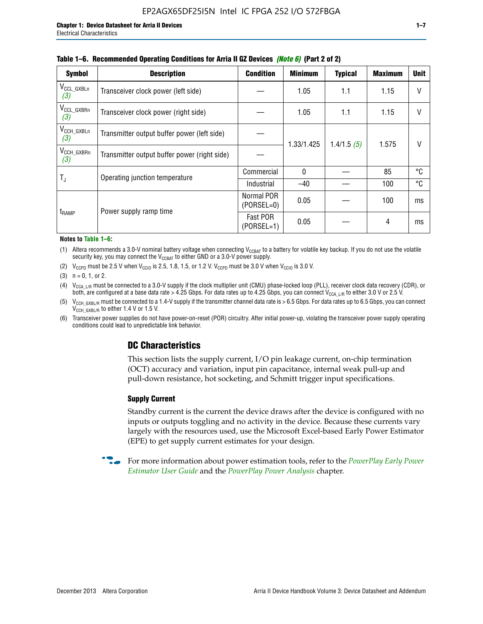| <b>Symbol</b>                 | <b>Description</b>                           | <b>Condition</b>           | <b>Minimum</b> | <b>Typical</b> | <b>Maximum</b> | <b>Unit</b> |  |  |  |
|-------------------------------|----------------------------------------------|----------------------------|----------------|----------------|----------------|-------------|--|--|--|
| $V_{CCL_GXBLn}$<br>(3)        | Transceiver clock power (left side)          |                            | 1.05           | 1.1            | 1.15           | $\vee$      |  |  |  |
| V <sub>CCL_GXBRn</sub><br>(3) | Transceiver clock power (right side)         |                            | 1.05           | 1.1            | 1.15           | $\vee$      |  |  |  |
| $V_{\text{CCH_GXBLn}}$<br>(3) | Transmitter output buffer power (left side)  |                            |                | 1.4/1.5(5)     | 1.575          | V           |  |  |  |
| $V_{CCH_GXBRn}$<br>(3)        | Transmitter output buffer power (right side) |                            | 1.33/1.425     |                |                |             |  |  |  |
|                               | Operating junction temperature               | Commercial                 | $\mathbf{0}$   |                | 85             | °C          |  |  |  |
| T,                            |                                              | Industrial                 | $-40$          |                | 100            | °C          |  |  |  |
| t <sub>RAMP</sub>             |                                              | Normal POR<br>$(PORSEL=0)$ | 0.05           |                | 100            | ms          |  |  |  |
|                               | Power supply ramp time                       | Fast POR<br>$(PORSEL=1)$   | 0.05           |                | 4              | ms          |  |  |  |

#### **Table 1–6. Recommended Operating Conditions for Arria II GZ Devices** *(Note 6)* **(Part 2 of 2)**

#### **Notes to Table 1–6:**

(1) Altera recommends a 3.0-V nominal battery voltage when connecting  $V_{CCBAT}$  to a battery for volatile key backup. If you do not use the volatile security key, you may connect the  $V_{CCBAT}$  to either GND or a 3.0-V power supply.

(2)  $V_{CCPD}$  must be 2.5 V when  $V_{CCIO}$  is 2.5, 1.8, 1.5, or 1.2 V.  $V_{CCPD}$  must be 3.0 V when  $V_{CCIO}$  is 3.0 V.

(3)  $n = 0, 1, or 2$ .

(4)  $V_{CCA~LR}$  must be connected to a 3.0-V supply if the clock multiplier unit (CMU) phase-locked loop (PLL), receiver clock data recovery (CDR), or both, are configured at a base data rate > 4.25 Gbps. For data rates up to 4.25 Gbps, you can connect V<sub>CCA L/R</sub> to either 3.0 V or 2.5 V.

(5)  $V_{\text{CCH\_GXBL/R}}$  must be connected to a 1.4-V supply if the transmitter channel data rate is > 6.5 Gbps. For data rates up to 6.5 Gbps, you can connect V<sub>CCH\_GXBL/R</sub> to either 1.4 V or 1.5 V.

(6) Transceiver power supplies do not have power-on-reset (POR) circuitry. After initial power-up, violating the transceiver power supply operating conditions could lead to unpredictable link behavior.

## **DC Characteristics**

This section lists the supply current, I/O pin leakage current, on-chip termination (OCT) accuracy and variation, input pin capacitance, internal weak pull-up and pull-down resistance, hot socketing, and Schmitt trigger input specifications.

## **Supply Current**

Standby current is the current the device draws after the device is configured with no inputs or outputs toggling and no activity in the device. Because these currents vary largely with the resources used, use the Microsoft Excel-based Early Power Estimator (EPE) to get supply current estimates for your design.

**For more information about power estimation tools, refer to the** *PowerPlay Early Power* **<b>Formation** *[Estimator User Guide](http://www.altera.com/literature/ug/ug_epe.pdf
)* and the *[PowerPlay Power Analysis](http://www.altera.com/literature/hb/qts/qts_qii53013.pdf)* chapter.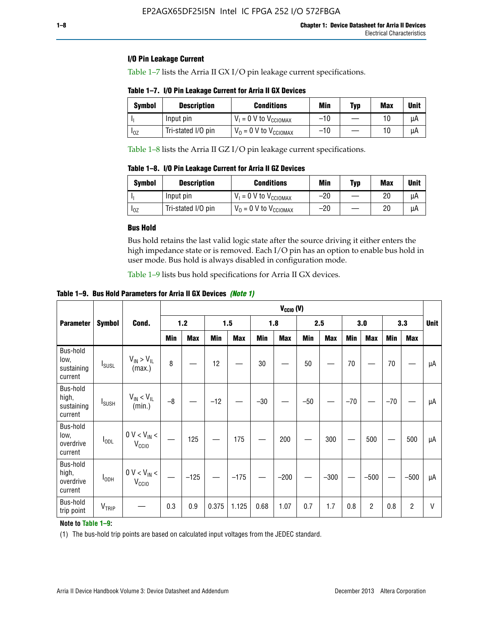## **I/O Pin Leakage Current**

Table 1–7 lists the Arria II GX I/O pin leakage current specifications.

|  | Table 1-7. I/O Pin Leakage Current for Arria II GX Devices |  |  |  |
|--|------------------------------------------------------------|--|--|--|
|--|------------------------------------------------------------|--|--|--|

| Symbol | <b>Description</b> | <b>Conditions</b>                   | Min   | <b>Typ</b> | <b>Max</b> | <b>Unit</b> |
|--------|--------------------|-------------------------------------|-------|------------|------------|-------------|
|        | Input pin          | $V_1 = 0$ V to $V_{\text{CCIOMAX}}$ | $-10$ |            |            | μA          |
| 10Z    | Tri-stated I/O pin | $V_0 = 0$ V to $V_{\text{CCIOMAX}}$ | $-10$ |            |            | uА          |

Table 1–8 lists the Arria II GZ I/O pin leakage current specifications.

**Table 1–8. I/O Pin Leakage Current for Arria II GZ Devices**

| Symbol | <b>Description</b> | <b>Conditions</b>                   | Min   | <b>Typ</b> | Max | Unit |
|--------|--------------------|-------------------------------------|-------|------------|-----|------|
|        | Input pin          | $V_1 = 0$ V to $V_{\text{CCIOMAX}}$ | $-20$ |            | 20  | uА   |
| 10Z    | Tri-stated I/O pin | $V_0 = 0$ V to $V_{\text{CCIOMAX}}$ | $-20$ |            | 20  | μA   |

## **Bus Hold**

Bus hold retains the last valid logic state after the source driving it either enters the high impedance state or is removed. Each I/O pin has an option to enable bus hold in user mode. Bus hold is always disabled in configuration mode.

Table 1–9 lists bus hold specifications for Arria II GX devices.

**Table 1–9. Bus Hold Parameters for Arria II GX Devices** *(Note 1)*

|                                            |                          |                                                  |      | $V_{CClO}$ (V) |       |            |       |            |       |            |       |                |       |            |             |
|--------------------------------------------|--------------------------|--------------------------------------------------|------|----------------|-------|------------|-------|------------|-------|------------|-------|----------------|-------|------------|-------------|
| <b>Parameter</b>                           | <b>Symbol</b>            | Cond.                                            |      | $1.2$          |       | 1.5        |       | 1.8        |       | 2.5        |       | 3.0            |       | 3.3        | <b>Unit</b> |
|                                            |                          |                                                  | Min  | <b>Max</b>     | Min   | <b>Max</b> | Min   | <b>Max</b> | Min   | <b>Max</b> | Min   | <b>Max</b>     | Min   | <b>Max</b> |             |
| Bus-hold<br>low,<br>sustaining<br>current  | <b>I</b> <sub>SUSL</sub> | $V_{IN}$ > $V_{IL}$<br>(max.)                    | 8    |                | 12    |            | 30    |            | 50    |            | 70    |                | 70    |            | μA          |
| Bus-hold<br>high,<br>sustaining<br>current | I <sub>SUSH</sub>        | $V_{IN}$ < $V_{IL}$<br>(min.)                    | $-8$ |                | $-12$ |            | $-30$ |            | $-50$ |            | $-70$ |                | $-70$ |            | μA          |
| Bus-hold<br>low,<br>overdrive<br>current   | $I_{ODL}$                | $0 V < V_{IN} <$<br>V <sub>CCIO</sub>            |      | 125            |       | 175        |       | 200        |       | 300        |       | 500            |       | 500        | μA          |
| Bus-hold<br>high,<br>overdrive<br>current  | $I_{ODH}$                | $0$ V $<$ V $_{\rm IN}$ $<$<br>V <sub>CCIO</sub> |      | $-125$         |       | $-175$     |       | $-200$     |       | $-300$     |       | $-500$         |       | $-500$     | μA          |
| Bus-hold<br>trip point                     | VTRIP                    |                                                  | 0.3  | 0.9            | 0.375 | 1.125      | 0.68  | 1.07       | 0.7   | 1.7        | 0.8   | $\overline{c}$ | 0.8   | 2          | V           |

## **Note to Table 1–9:**

(1) The bus-hold trip points are based on calculated input voltages from the JEDEC standard.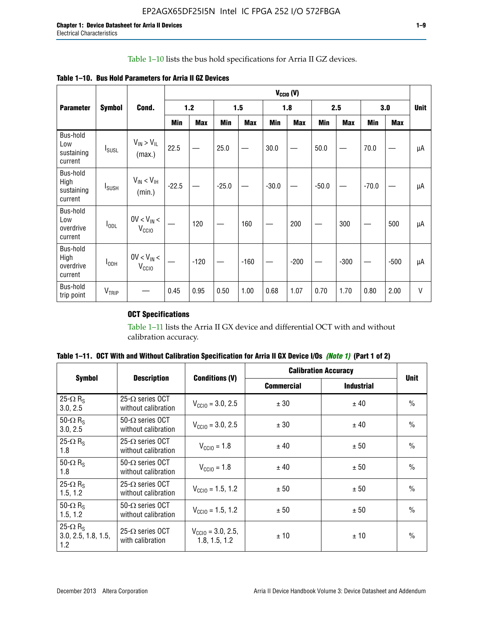## Table 1–10 lists the bus hold specifications for Arria II GZ devices.

|  |  | Table 1–10. Bus Hold Parameters for Arria II GZ Devices |
|--|--|---------------------------------------------------------|
|--|--|---------------------------------------------------------|

|                                           |                          |                                      | $V_{CGIO} (V)$ |            |         |            |         |            |         |            |         |            |             |
|-------------------------------------------|--------------------------|--------------------------------------|----------------|------------|---------|------------|---------|------------|---------|------------|---------|------------|-------------|
| <b>Parameter</b>                          | <b>Symbol</b>            | Cond.                                |                | $1.2$      |         | 1.5        |         | 1.8        |         | 2.5        |         | 3.0        | <b>Unit</b> |
|                                           |                          |                                      | Min            | <b>Max</b> | Min     | <b>Max</b> | Min     | <b>Max</b> | Min     | <b>Max</b> | Min     | <b>Max</b> |             |
| Bus-hold<br>Low<br>sustaining<br>current  | $I_{SUSL}$               | $V_{IN} > V_{IL}$<br>(max.)          | 22.5           |            | 25.0    |            | 30.0    |            | 50.0    |            | 70.0    |            | μA          |
| Bus-hold<br>High<br>sustaining<br>current | <b>I</b> <sub>SUSH</sub> | $V_{IN}$ < $V_{IH}$<br>(min.)        | $-22.5$        |            | $-25.0$ |            | $-30.0$ |            | $-50.0$ |            | $-70.0$ |            | μA          |
| Bus-hold<br>Low<br>overdrive<br>current   | $I_{ODL}$                | $0V < V_{IN}$<br>V <sub>CCIO</sub>   |                | 120        |         | 160        |         | 200        |         | 300        |         | 500        | μA          |
| Bus-hold<br>High<br>overdrive<br>current  | I <sub>ODH</sub>         | $0V < V_{IN} <$<br>V <sub>CCIO</sub> |                | $-120$     |         | $-160$     |         | $-200$     |         | $-300$     |         | $-500$     | μA          |
| Bus-hold<br>trip point                    | $V_{TRIP}$               |                                      | 0.45           | 0.95       | 0.50    | 1.00       | 0.68    | 1.07       | 0.70    | 1.70       | 0.80    | 2.00       | V           |

## **OCT Specifications**

Table 1–11 lists the Arria II GX device and differential OCT with and without calibration accuracy.

|                                                           |                                                 |                                                | <b>Calibration Accuracy</b> |                   |               |
|-----------------------------------------------------------|-------------------------------------------------|------------------------------------------------|-----------------------------|-------------------|---------------|
| <b>Symbol</b>                                             | <b>Description</b>                              | <b>Conditions (V)</b>                          | <b>Commercial</b>           | <b>Industrial</b> | <b>Unit</b>   |
| 25- $\Omega$ R <sub>s</sub><br>3.0, 2.5                   | 25- $\Omega$ series OCT<br>without calibration  | $V_{\text{CC10}} = 3.0, 2.5$                   | ± 30                        | ± 40              | $\frac{0}{0}$ |
| 50- $\Omega$ R <sub>s</sub><br>3.0, 2.5                   | $50 - \Omega$ series OCT<br>without calibration | $V_{\text{CC10}} = 3.0, 2.5$                   | ± 30                        | ± 40              | $\frac{0}{0}$ |
| 25- $\Omega$ R <sub>S</sub><br>1.8                        | 25- $\Omega$ series OCT<br>without calibration  | $V_{CCl0} = 1.8$                               | ± 40                        | ± 50              | $\frac{0}{0}$ |
| 50- $\Omega$ R <sub>s</sub><br>1.8                        | $50-\Omega$ series OCT<br>without calibration   | $V_{CClO} = 1.8$                               | ± 40                        | ± 50              | $\frac{0}{0}$ |
| 25- $\Omega$ R <sub>S</sub><br>1.5, 1.2                   | $25-\Omega$ series OCT<br>without calibration   | $V_{\text{CC10}} = 1.5, 1.2$                   | ± 50                        | ± 50              | $\frac{0}{0}$ |
| 50- $\Omega$ R <sub>s</sub><br>1.5, 1.2                   | $50-\Omega$ series OCT<br>without calibration   | $V_{\text{CC10}} = 1.5, 1.2$                   | ± 50                        | ± 50              | $\frac{0}{0}$ |
| 25- $\Omega$ R <sub>S</sub><br>3.0, 2.5, 1.8, 1.5,<br>1.2 | 25- $\Omega$ series OCT<br>with calibration     | $V_{\text{CC10}} = 3.0, 2.5,$<br>1.8, 1.5, 1.2 | ±10                         | ±10               | $\frac{0}{0}$ |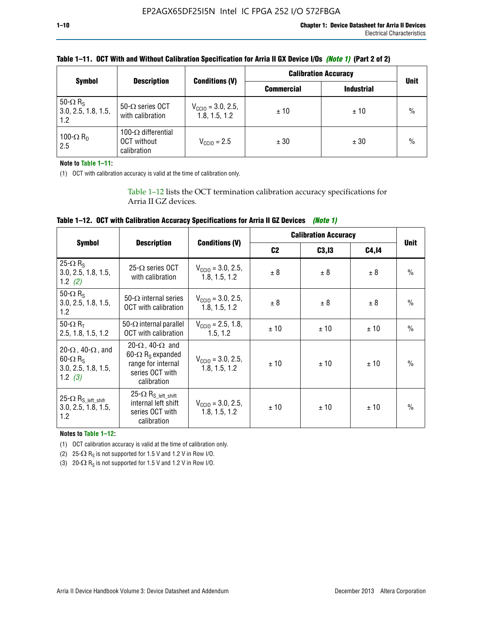|                                                           |                                                                 |                                                | <b>Calibration Accuracy</b> |                   |             |
|-----------------------------------------------------------|-----------------------------------------------------------------|------------------------------------------------|-----------------------------|-------------------|-------------|
| <b>Symbol</b>                                             | <b>Description</b>                                              | <b>Conditions (V)</b>                          | <b>Commercial</b>           | <b>Industrial</b> | <b>Unit</b> |
| 50- $\Omega$ R <sub>S</sub><br>3.0, 2.5, 1.8, 1.5,<br>1.2 | 50- $\Omega$ series OCT<br>with calibration                     | $V_{\text{CC10}} = 3.0, 2.5,$<br>1.8, 1.5, 1.2 | ±10                         | ±10               | $\%$        |
| 100- $\Omega$ R <sub>D</sub><br>2.5                       | 100- $\Omega$ differential<br><b>OCT</b> without<br>calibration | $V_{CCD} = 2.5$                                | ± 30                        | ± 30              | $\%$        |

| Table 1–11. OCT With and Without Calibration Specification for Arria II GX Device I/Os (Note 1) (Part 2 of 2) |  |  |
|---------------------------------------------------------------------------------------------------------------|--|--|
|---------------------------------------------------------------------------------------------------------------|--|--|

**Note to Table 1–11:**

(1) OCT with calibration accuracy is valid at the time of calibration only.

Table 1–12 lists the OCT termination calibration accuracy specifications for Arria II GZ devices.

| Table 1–12. OCT with Calibration Accuracy Specifications for Arria II GZ Devices (Note 1) |  |  |  |  |
|-------------------------------------------------------------------------------------------|--|--|--|--|
|-------------------------------------------------------------------------------------------|--|--|--|--|

|                                                                                                       |                                                                                                                                 |                                                | <b>Calibration Accuracy</b> |        |             |               |
|-------------------------------------------------------------------------------------------------------|---------------------------------------------------------------------------------------------------------------------------------|------------------------------------------------|-----------------------------|--------|-------------|---------------|
| <b>Symbol</b>                                                                                         | <b>Description</b>                                                                                                              | <b>Conditions (V)</b>                          | C <sub>2</sub>              | C3, I3 | <b>Unit</b> |               |
| 25- $\Omega$ R <sub>s</sub><br>3.0, 2.5, 1.8, 1.5,<br>1.2 $(2)$                                       | $25-\Omega$ series OCT<br>with calibration                                                                                      | $V_{CGI0} = 3.0, 2.5,$<br>1.8, 1.5, 1.2        | ± 8                         | ± 8    | ± 8         | $\frac{0}{0}$ |
| 50- $\Omega$ R <sub>s</sub><br>3.0, 2.5, 1.8, 1.5,<br>1.2                                             | 50- $\Omega$ internal series<br>OCT with calibration                                                                            | $V_{\text{CC10}} = 3.0, 2.5,$<br>1.8, 1.5, 1.2 | ± 8                         | ± 8    | ± 8         | $\frac{0}{0}$ |
| 50- $\Omega$ R <sub>T</sub><br>2.5, 1.8, 1.5, 1.2                                                     | 50- $\Omega$ internal parallel<br><b>OCT</b> with calibration                                                                   | $V_{\text{CC10}} = 2.5, 1.8,$<br>1.5.1.2       | ± 10                        | ± 10   | ± 10        | $\frac{0}{0}$ |
| 20- $\Omega$ , 40- $\Omega$ , and<br>$60 - \Omega$ R <sub>S</sub><br>3.0, 2.5, 1.8, 1.5,<br>1.2 $(3)$ | 20- $\Omega$ , 40- $\Omega$ and<br>60- $\Omega$ R <sub>s</sub> expanded<br>range for internal<br>series OCT with<br>calibration | $V_{\text{CC10}} = 3.0, 2.5,$<br>1.8, 1.5, 1.2 | ± 10                        | ± 10   | ± 10        | $\frac{0}{0}$ |
| 25- $\Omega$ R <sub>S</sub> left_shift<br>3.0, 2.5, 1.8, 1.5,<br>1.2                                  | $25-\Omega R_{S\_left\_shift}$<br>internal left shift<br>series OCT with<br>calibration                                         | $V_{\text{CC10}} = 3.0, 2.5,$<br>1.8, 1.5, 1.2 | ± 10                        | ± 10   | ± 10        | $\frac{0}{0}$ |

**Notes to Table 1–12:**

(1) OCT calibration accuracy is valid at the time of calibration only.

(2) 25- $\Omega$  R<sub>S</sub> is not supported for 1.5 V and 1.2 V in Row I/O.

(3)  $20-\Omega$  R<sub>S</sub> is not supported for 1.5 V and 1.2 V in Row I/O.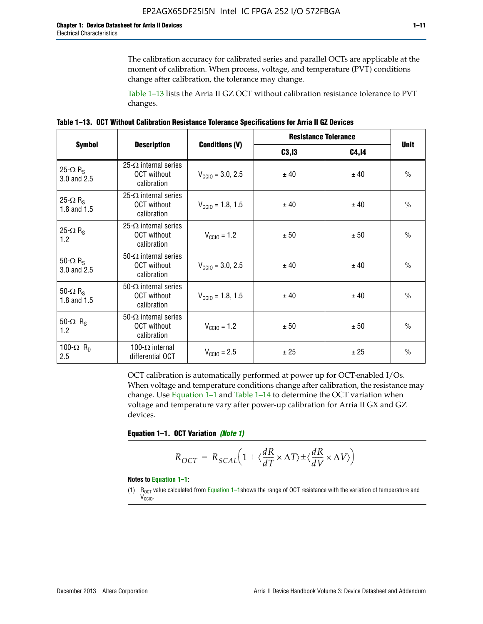The calibration accuracy for calibrated series and parallel OCTs are applicable at the moment of calibration. When process, voltage, and temperature (PVT) conditions change after calibration, the tolerance may change.

Table 1–13 lists the Arria II GZ OCT without calibration resistance tolerance to PVT changes.

|  | Table 1–13. OCT Without Calibration Resistance Tolerance Specifications for Arria II GZ Devices |  |  |  |
|--|-------------------------------------------------------------------------------------------------|--|--|--|
|--|-------------------------------------------------------------------------------------------------|--|--|--|

|                                            |                                                                   |                              | <b>Resistance Tolerance</b> |              | <b>Unit</b>   |
|--------------------------------------------|-------------------------------------------------------------------|------------------------------|-----------------------------|--------------|---------------|
| <b>Symbol</b>                              | <b>Description</b>                                                | <b>Conditions (V)</b>        | C3, I3                      | <b>C4,14</b> |               |
| 25- $\Omega$ R <sub>S</sub><br>3.0 and 2.5 | $25-\Omega$ internal series<br><b>OCT</b> without<br>calibration  | $V_{\text{CGI0}} = 3.0, 2.5$ | ± 40                        | ± 40         | $\frac{0}{0}$ |
| 25- $\Omega$ R <sub>S</sub><br>1.8 and 1.5 | 25- $\Omega$ internal series<br><b>OCT</b> without<br>calibration | $V_{\text{CC10}} = 1.8, 1.5$ | ± 40                        | ± 40         | $\frac{0}{0}$ |
| 25- $\Omega$ R <sub>S</sub><br>1.2         | 25- $\Omega$ internal series<br><b>OCT</b> without<br>calibration | $V_{\text{CC10}} = 1.2$      | ± 50                        | ± 50         | $\frac{0}{0}$ |
| 50- $\Omega$ R <sub>s</sub><br>3.0 and 2.5 | $50-\Omega$ internal series<br><b>OCT</b> without<br>calibration  | $V_{\text{CC10}} = 3.0, 2.5$ | ± 40                        | ± 40         | $\frac{0}{0}$ |
| 50- $\Omega$ R <sub>S</sub><br>1.8 and 1.5 | 50- $\Omega$ internal series<br><b>OCT</b> without<br>calibration | $V_{\text{CC10}} = 1.8, 1.5$ | ± 40                        | ± 40         | $\frac{0}{0}$ |
| 50- $\Omega$ R <sub>s</sub><br>1.2         | 50- $\Omega$ internal series<br><b>OCT</b> without<br>calibration | $V_{\text{CC10}} = 1.2$      | ± 50                        | ± 50         | $\frac{0}{0}$ |
| 100- $\Omega$ R <sub>n</sub><br>2.5        | 100- $\Omega$ internal<br>differential OCT                        | $V_{\text{CC10}} = 2.5$      | ± 25                        | ± 25         | $\frac{0}{0}$ |

OCT calibration is automatically performed at power up for OCT-enabled I/Os. When voltage and temperature conditions change after calibration, the resistance may change. Use Equation 1–1 and Table 1–14 to determine the OCT variation when voltage and temperature vary after power-up calibration for Arria II GX and GZ devices.

**Equation 1–1. OCT Variation** *(Note 1)*

$$
R_{OCT} = R_{SCAL} \Big( 1 + \langle \frac{dR}{dT} \times \Delta T \rangle \pm \langle \frac{dR}{dV} \times \Delta V \rangle \Big)
$$

#### **Notes to Equation 1–1:**

(1)  $R_{OCT}$  value calculated from Equation 1–1shows the range of OCT resistance with the variation of temperature and V<sub>CCIO</sub>.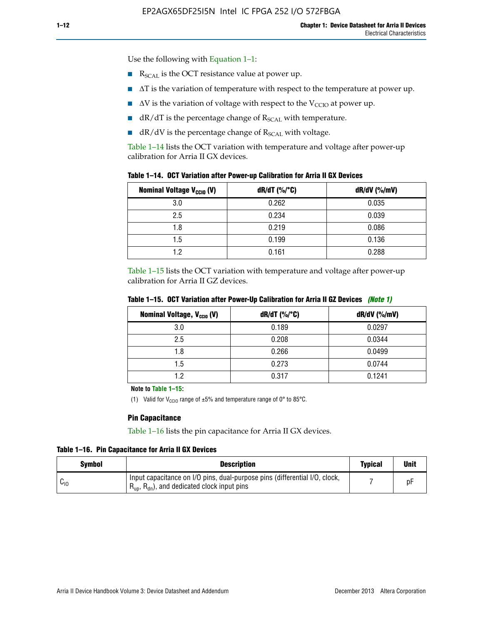Use the following with Equation 1–1:

- $\blacksquare$  R<sub>SCAL</sub> is the OCT resistance value at power up.
- $\blacksquare$   $\Delta T$  is the variation of temperature with respect to the temperature at power up.
- $\blacksquare$   $\Delta V$  is the variation of voltage with respect to the V<sub>CCIO</sub> at power up.
- $\blacksquare$  dR/dT is the percentage change of  $R_{\text{SCAL}}$  with temperature.
- $\blacksquare$  dR/dV is the percentage change of R<sub>SCAL</sub> with voltage.

Table 1–14 lists the OCT variation with temperature and voltage after power-up calibration for Arria II GX devices.

| <b>Nominal Voltage V<sub>CCIO</sub> (V)</b> | $dR/dT$ (%/°C) | $dR/dV$ (%/mV) |
|---------------------------------------------|----------------|----------------|
| 3.0                                         | 0.262          | 0.035          |
| 2.5                                         | 0.234          | 0.039          |
| 1.8                                         | 0.219          | 0.086          |
| 1.5                                         | 0.199          | 0.136          |
| 1.2                                         | 0.161          | 0.288          |

Table 1–15 lists the OCT variation with temperature and voltage after power-up calibration for Arria II GZ devices.

| <b>Nominal Voltage, V<sub>ccio</sub> (V)</b> | $dR/dT$ (%/°C) | dR/dV (%/mV) |
|----------------------------------------------|----------------|--------------|
| 3.0                                          | 0.189          | 0.0297       |
| 2.5                                          | 0.208          | 0.0344       |
| 1.8                                          | 0.266          | 0.0499       |
| 1.5                                          | 0.273          | 0.0744       |
| 19                                           | 0.317          | 0.1241       |

**Table 1–15. OCT Variation after Power-Up Calibration for Arria II GZ Devices** *(Note 1)*

**Note to Table 1–15:**

(1) Valid for V<sub>CCIO</sub> range of  $\pm 5\%$  and temperature range of 0° to 85°C.

## **Pin Capacitance**

Table 1–16 lists the pin capacitance for Arria II GX devices.

**Table 1–16. Pin Capacitance for Arria II GX Devices**

| Symbol   | <b>Description</b>                                                                                                                               |  | <b>Unit</b> |
|----------|--------------------------------------------------------------------------------------------------------------------------------------------------|--|-------------|
| $v_{10}$ | Input capacitance on I/O pins, dual-purpose pins (differential I/O, clock,<br>$R_{\text{up}}$ , $R_{\text{dn}}$ , and dedicated clock input pins |  | D۲          |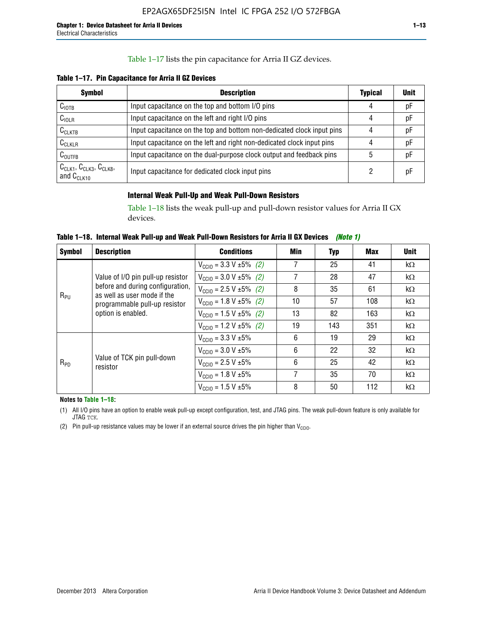## Table 1–17 lists the pin capacitance for Arria II GZ devices.

**Table 1–17. Pin Capacitance for Arria II GZ Devices** 

| <b>Symbol</b>                                    | <b>Description</b>                                                     |   | <b>Unit</b> |
|--------------------------------------------------|------------------------------------------------------------------------|---|-------------|
| C <sub>IOTB</sub>                                | Input capacitance on the top and bottom I/O pins                       | 4 | pF          |
| C <sub>IOLR</sub>                                | Input capacitance on the left and right I/O pins                       | 4 | pF          |
| $C_{CLKTB}$                                      | Input capacitance on the top and bottom non-dedicated clock input pins |   | рF          |
| $C_{CLKLR}$                                      | Input capacitance on the left and right non-dedicated clock input pins |   | pF          |
| $C_{\text{OUTFB}}$                               | Input capacitance on the dual-purpose clock output and feedback pins   | 5 | pF          |
| $CCLK1$ , $CCLK3$ , $CCLK8$ ,<br>and $C_{CLK10}$ | Input capacitance for dedicated clock input pins                       |   | рF          |

## **Internal Weak Pull-Up and Weak Pull-Down Resistors**

Table 1–18 lists the weak pull-up and pull-down resistor values for Arria II GX devices.

**Table 1–18. Internal Weak Pull-up and Weak Pull-Down Resistors for Arria II GX Devices** *(Note 1)* 

| <b>Symbol</b> | <b>Description</b>                                              | <b>Conditions</b>                             | Min | Typ | Max | <b>Unit</b> |
|---------------|-----------------------------------------------------------------|-----------------------------------------------|-----|-----|-----|-------------|
|               |                                                                 | $V_{\text{CC10}} = 3.3 \text{ V} \pm 5\%$ (2) | 7   | 25  | 41  | $k\Omega$   |
|               | Value of I/O pin pull-up resistor                               | $V_{\text{CC10}} = 3.0 V \pm 5\%$ (2)         | 7   | 28  | 47  | $k\Omega$   |
| $R_{PU}$      | before and during configuration,<br>as well as user mode if the | $V_{\text{CC10}} = 2.5 V \pm 5\%$ (2)         | 8   | 35  | 61  | $k\Omega$   |
|               | programmable pull-up resistor<br>option is enabled.             | $V_{\text{CC10}} = 1.8 \text{ V} \pm 5\%$ (2) | 10  | 57  | 108 | $k\Omega$   |
|               |                                                                 | $V_{\text{CC10}} = 1.5 \text{ V} \pm 5\%$ (2) | 13  | 82  | 163 | $k\Omega$   |
|               |                                                                 | $V_{\text{CC10}} = 1.2 V \pm 5\%$ (2)         | 19  | 143 | 351 | $k\Omega$   |
|               |                                                                 | $V_{\text{CC10}} = 3.3 \text{ V} \pm 5\%$     | 6   | 19  | 29  | $k\Omega$   |
|               | Value of TCK pin pull-down<br>resistor                          | $V_{\text{CC10}} = 3.0 V \pm 5\%$             | 6   | 22  | 32  | $k\Omega$   |
| $R_{PD}$      |                                                                 | $V_{\text{CC10}} = 2.5 V \pm 5\%$             | 6   | 25  | 42  | $k\Omega$   |
|               |                                                                 | $V_{\text{CC10}} = 1.8 V \pm 5\%$             | 7   | 35  | 70  | $k\Omega$   |
|               |                                                                 | $V_{\text{CC10}} = 1.5 V \pm 5\%$             | 8   | 50  | 112 | $k\Omega$   |

**Notes to Table 1–18:**

(1) All I/O pins have an option to enable weak pull-up except configuration, test, and JTAG pins. The weak pull-down feature is only available for JTAG TCK.

(2) Pin pull-up resistance values may be lower if an external source drives the pin higher than  $V_{\text{CCIO}}$ .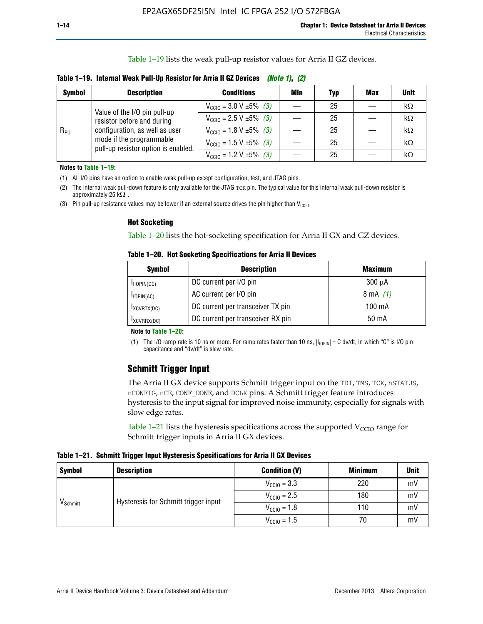Table 1–19 lists the weak pull-up resistor values for Arria II GZ devices.

| Table 1–19. Internal Weak Pull-Up Resistor for Arria II GZ Devices <i>(Note 1), (2)</i> |  |  |
|-----------------------------------------------------------------------------------------|--|--|
|-----------------------------------------------------------------------------------------|--|--|

| <b>Symbol</b> | <b>Description</b>                                                                                                                                              | <b>Conditions</b>                                    | Min | <b>Typ</b> | <b>Max</b> | <b>Unit</b> |
|---------------|-----------------------------------------------------------------------------------------------------------------------------------------------------------------|------------------------------------------------------|-----|------------|------------|-------------|
| $R_{PU}$      | Value of the I/O pin pull-up<br>resistor before and during<br>configuration, as well as user<br>mode if the programmable<br>pull-up resistor option is enabled. | $V_{\text{CC10}} = 3.0 V \pm 5\%$ (3)                |     | 25         |            | kΩ          |
|               |                                                                                                                                                                 | $V_{\text{CC10}} = 2.5 V \pm 5\%$ (3)                |     | 25         |            | kΩ          |
|               |                                                                                                                                                                 | $V_{\text{CC10}} = 1.8 \text{ V } \pm 5\% \quad (3)$ |     | 25         |            | kΩ          |
|               |                                                                                                                                                                 | $V_{\text{CC10}} = 1.5 \text{ V} \pm 5\%$ (3)        |     | 25         |            | $k\Omega$   |
|               |                                                                                                                                                                 | $V_{\text{CC10}} = 1.2 \text{ V } \pm 5\%$ (3)       |     | 25         |            | kΩ          |

**Notes to Table 1–19:**

(1) All I/O pins have an option to enable weak pull-up except configuration, test, and JTAG pins.

(2) The internal weak pull-down feature is only available for the JTAG TCK pin. The typical value for this internal weak pull-down resistor is approximately 25 k $\Omega$ .

(3) Pin pull-up resistance values may be lower if an external source drives the pin higher than  $V_{\text{CCIO}}$ .

#### **Hot Socketing**

Table 1–20 lists the hot-socketing specification for Arria II GX and GZ devices.

**Table 1–20. Hot Socketing Specifications for Arria II Devices** 

| <b>Symbol</b> | <b>Description</b>                | <b>Maximum</b>     |
|---------------|-----------------------------------|--------------------|
| IIOPIN(DC)    | DC current per I/O pin            | $300 \mu A$        |
| $I$ IOPIN(AC) | AC current per I/O pin            | $8 \text{ mA}$ (1) |
| IXCVRTX(DC)   | DC current per transceiver TX pin | 100 mA             |
| IXCVRRX(DC)   | DC current per transceiver RX pin | 50 mA              |

#### **Note to Table 1–20:**

(1) The I/O ramp rate is 10 ns or more. For ramp rates faster than 10 ns,  $|I_{10\text{PIN}}| = C$  dv/dt, in which "C" is I/O pin capacitance and "dv/dt" is slew rate.

## **Schmitt Trigger Input**

The Arria II GX device supports Schmitt trigger input on the TDI, TMS, TCK, nSTATUS, nCONFIG, nCE, CONF\_DONE, and DCLK pins. A Schmitt trigger feature introduces hysteresis to the input signal for improved noise immunity, especially for signals with slow edge rates.

Table 1–21 lists the hysteresis specifications across the supported  $V<sub>CCIO</sub>$  range for Schmitt trigger inputs in Arria II GX devices.

**Table 1–21. Schmitt Trigger Input Hysteresis Specifications for Arria II GX Devices**

| <b>Symbol</b>        | <b>Description</b>                   | <b>Condition (V)</b>    | <b>Minimum</b> | <b>Unit</b> |
|----------------------|--------------------------------------|-------------------------|----------------|-------------|
|                      | Hysteresis for Schmitt trigger input | $V_{\text{CGI0}} = 3.3$ | 220            | mV          |
|                      |                                      | $V_{\text{CCIO}} = 2.5$ | 180            | mV          |
| V <sub>Schmitt</sub> |                                      | $V_{\text{CCIO}} = 1.8$ | 110            | mV          |
|                      |                                      | $V_{\text{CCIO}} = 1.5$ | 70             | mV          |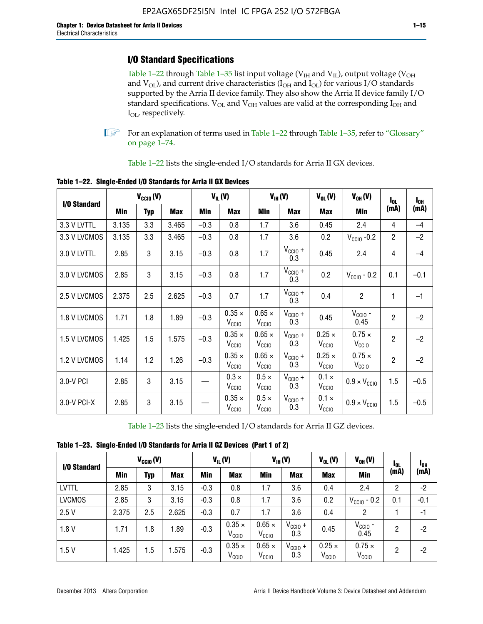## **I/O Standard Specifications**

Table 1–22 through Table 1–35 list input voltage ( $V_{IH}$  and  $V_{IL}$ ), output voltage ( $V_{OH}$ and  $V_{OL}$ ), and current drive characteristics ( $I_{OH}$  and  $I_{OL}$ ) for various I/O standards supported by the Arria II device family. They also show the Arria II device family I/O standard specifications.  $V_{OL}$  and  $V_{OH}$  values are valid at the corresponding  $I_{OH}$  and I<sub>OL</sub>, respectively.

**1.** For an explanation of terms used in Table 1–22 through Table 1–35, refer to "Glossary" on page 1–74.

Table 1–22 lists the single-ended I/O standards for Arria II GX devices.

| I/O Standard |       | $V_{CGI0} (V)$ |       |        | $V_{IL}(V)$                        |                                    | $V_{IH}(V)$                | $V_{OL}(V)$                        | $V_{OH} (V)$                       | $I_{0L}$       | l <sub>oh</sub> |
|--------------|-------|----------------|-------|--------|------------------------------------|------------------------------------|----------------------------|------------------------------------|------------------------------------|----------------|-----------------|
|              | Min   | <b>Typ</b>     | Max   | Min    | Max                                | Min                                | <b>Max</b>                 | Max                                | Min                                | (mA)           | (mA)            |
| 3.3 V LVTTL  | 3.135 | 3.3            | 3.465 | $-0.3$ | 0.8                                | 1.7                                | 3.6                        | 0.45                               | 2.4                                | 4              | $-4$            |
| 3.3 V LVCMOS | 3.135 | 3.3            | 3.465 | $-0.3$ | 0.8                                | 1.7                                | 3.6                        | 0.2                                | $V_{\text{CCIO}}$ -0.2             | $\overline{2}$ | $-2$            |
| 3.0 V LVTTL  | 2.85  | 3              | 3.15  | $-0.3$ | 0.8                                | 1.7                                | $V_{\text{CCIO}} +$<br>0.3 | 0.45                               | 2.4                                | 4              | $-4$            |
| 3.0 V LVCMOS | 2.85  | 3              | 3.15  | $-0.3$ | 0.8                                | 1.7                                | $V_{CC10} +$<br>0.3        | 0.2                                | $V_{\text{CC10}}$ - 0.2            | 0.1            | $-0.1$          |
| 2.5 V LVCMOS | 2.375 | 2.5            | 2.625 | $-0.3$ | 0.7                                | 1.7                                | $V_{CC10} +$<br>0.3        | 0.4                                | $\overline{c}$                     | 1              | $-1$            |
| 1.8 V LVCMOS | 1.71  | 1.8            | 1.89  | $-0.3$ | $0.35 \times$<br>V <sub>CCIO</sub> | $0.65 \times$<br>V <sub>CClO</sub> | $V_{CClO}$ +<br>0.3        | 0.45                               | $V_{\text{CCIO}}$ -<br>0.45        | $\overline{2}$ | $-2$            |
| 1.5 V LVCMOS | 1.425 | 1.5            | 1.575 | $-0.3$ | $0.35 \times$<br>V <sub>CCIO</sub> | $0.65 \times$<br>V <sub>CCIO</sub> | $V_{CC10} +$<br>0.3        | $0.25 \times$<br>V <sub>CCIO</sub> | $0.75 \times$<br>V <sub>CCIO</sub> | $\overline{2}$ | $-2$            |
| 1.2 V LVCMOS | 1.14  | 1.2            | 1.26  | $-0.3$ | $0.35 \times$<br>V <sub>CCIO</sub> | $0.65 \times$<br>$V_{\rm CCIO}$    | $V_{CC10} +$<br>0.3        | $0.25 \times$<br>V <sub>CCIO</sub> | $0.75 \times$<br>V <sub>CCIO</sub> | $\overline{2}$ | $-2$            |
| 3.0-V PCI    | 2.85  | 3              | 3.15  |        | $0.3 \times$<br>$V_{\rm CClO}$     | $0.5 \times$<br>$V_{\rm CClO}$     | $V_{CC10} +$<br>0.3        | $0.1 \times$<br>V <sub>CCIO</sub>  | $0.9 \times V_{\text{CC10}}$       | 1.5            | $-0.5$          |
| 3.0-V PCI-X  | 2.85  | 3              | 3.15  |        | $0.35 \times$<br>V <sub>CCIO</sub> | $0.5 \times$<br>V <sub>CClO</sub>  | $V_{CC10} +$<br>0.3        | $0.1 \times$<br>V <sub>CCIO</sub>  | $0.9 \times V_{\text{CC10}}$       | 1.5            | $-0.5$          |

**Table 1–22. Single-Ended I/O Standards for Arria II GX Devices**

Table 1–23 lists the single-ended I/O standards for Arria II GZ devices.

|  |  |  | Table 1-23. Single-Ended I/O Standards for Arria II GZ Devices (Part 1 of 2) |  |
|--|--|--|------------------------------------------------------------------------------|--|
|--|--|--|------------------------------------------------------------------------------|--|

|               |       | $V_{CCl0}(V)$ |            |            | $V_{IL}(V)$                        |                                    | $V_{IH} (V)$               | $V_{OL}(V)$                        | $V_{OH} (V)$                       | <b>I</b> OL | <sup>1</sup> OH |
|---------------|-------|---------------|------------|------------|------------------------------------|------------------------------------|----------------------------|------------------------------------|------------------------------------|-------------|-----------------|
| I/O Standard  | Min   | Typ           | <b>Max</b> | <b>Min</b> | <b>Max</b>                         | Min                                | <b>Max</b>                 | <b>Max</b>                         | Min                                | (mA)        | (mA)            |
| <b>LVTTL</b>  | 2.85  | 3             | 3.15       | $-0.3$     | 0.8                                | 1.7                                | 3.6                        | 0.4                                | 2.4                                | 2           | $-2$            |
| <b>LVCMOS</b> | 2.85  | 3             | 3.15       | $-0.3$     | 0.8                                | 1.7                                | 3.6                        | 0.2                                | $V_{\text{CCIO}}$ - 0.2            | 0.1         | $-0.1$          |
| 2.5V          | 2.375 | 2.5           | 2.625      | $-0.3$     | 0.7                                | 1.7                                | 3.6                        | 0.4                                | 2                                  |             | $-1$            |
| 1.8V          | 1.71  | 1.8           | 1.89       | $-0.3$     | $0.35 \times$<br>V <sub>CCIO</sub> | $0.65 \times$<br>$V_{\rm CClO}$    | $V_{\text{CC1O}} +$<br>0.3 | 0.45                               | $V_{CGIO}$ -<br>0.45               | 2           | -2              |
| 1.5V          | 1.425 | 1.5           | .575       | $-0.3$     | $0.35 \times$<br>V <sub>CCIO</sub> | $0.65 \times$<br>V <sub>CCIO</sub> | $V_{\text{CC1O}} +$<br>0.3 | $0.25 \times$<br>V <sub>CCIO</sub> | $0.75 \times$<br>V <sub>CCIO</sub> | 2           | -2              |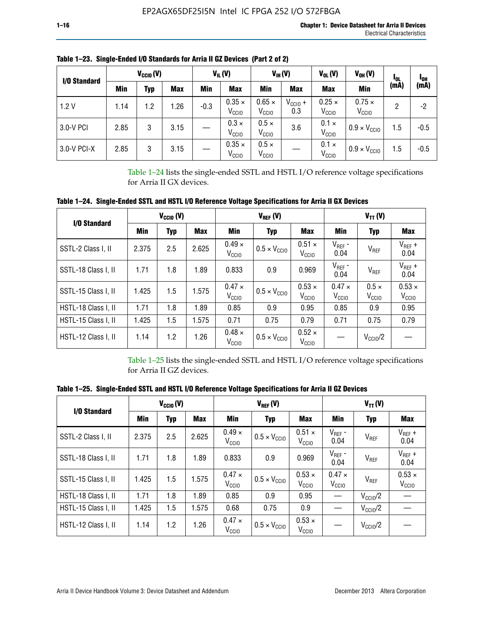| I/O Standard |      | $V_{CClO}(V)$ |            |        | $V_{IL}(V)$                        |                                    | $V_{IH} (V)$               | $V_{OL}(V)$<br>$V_{OH} (V)$        |                                    | <sup>1</sup> OL | <sup>1</sup> OH |
|--------------|------|---------------|------------|--------|------------------------------------|------------------------------------|----------------------------|------------------------------------|------------------------------------|-----------------|-----------------|
|              | Min  | Typ           | <b>Max</b> | Min    | Max                                | Min                                | <b>Max</b>                 | <b>Max</b>                         | <b>Min</b>                         | (mA)            | (mA)            |
| 1.2V         | 1.14 | 1.2           | .26        | $-0.3$ | $0.35 \times$<br>V <sub>CCIO</sub> | $0.65 \times$<br>V <sub>CCIO</sub> | $V_{\text{CC1O}} +$<br>0.3 | $0.25 \times$<br>V <sub>CCIO</sub> | $0.75 \times$<br>V <sub>CCIO</sub> | 2               | -2              |
| 3.0-V PCI    | 2.85 | 3             | 3.15       |        | $0.3 \times$<br>V <sub>CCIO</sub>  | $0.5 \times$<br>V <sub>CCIO</sub>  | 3.6                        | $0.1 \times$<br>V <sub>CCIO</sub>  | $0.9 \times V_{\text{CC10}}$       | 1.5             | $-0.5$          |
| 3.0-V PCI-X  | 2.85 | 3             | 3.15       |        | $0.35 \times$<br>V <sub>CCIO</sub> | $0.5 \times$<br>V <sub>CCIO</sub>  |                            | $0.1 \times$<br>V <sub>CCIO</sub>  | $0.9 \times V_{\text{CC10}}$       | 1.5             | $-0.5$          |

**Table 1–23. Single-Ended I/O Standards for Arria II GZ Devices (Part 2 of 2)**

Table 1–24 lists the single-ended SSTL and HSTL I/O reference voltage specifications for Arria II GX devices.

**Table 1–24. Single-Ended SSTL and HSTL I/O Reference Voltage Specifications for Arria II GX Devices**

| I/O Standard        |       | $V_{\text{CCIO}}(V)$ |            |                                    | $V_{REF}(V)$                 |                                    | $V_{TT} (V)$                       |                                   |                                    |  |
|---------------------|-------|----------------------|------------|------------------------------------|------------------------------|------------------------------------|------------------------------------|-----------------------------------|------------------------------------|--|
|                     | Min   | <b>Typ</b>           | <b>Max</b> | Min                                | <b>Typ</b>                   |                                    | Min                                | Typ                               | Max                                |  |
| SSTL-2 Class I, II  | 2.375 | 2.5                  | 2.625      | $0.49 \times$<br>V <sub>CCD</sub>  | $0.5 \times V_{\text{CCIO}}$ | $0.51 \times$<br>V <sub>CClO</sub> | $V_{REF}$ -<br>0.04                | $V_{REF}$                         | $V_{REF}$ +<br>0.04                |  |
| SSTL-18 Class I, II | 1.71  | 1.8                  | 1.89       | 0.833                              | 0.9                          | 0.969                              | $V_{REF}$ -<br>0.04                | $V_{REF}$                         | $V_{REF}$ +<br>0.04                |  |
| SSTL-15 Class I, II | 1.425 | 1.5                  | 1.575      | $0.47 \times$<br>V <sub>CCIO</sub> | $0.5 \times V_{\text{CCIO}}$ | $0.53 \times$<br>V <sub>CClO</sub> | $0.47 \times$<br>V <sub>CCIO</sub> | $0.5 \times$<br>V <sub>CCIO</sub> | $0.53 \times$<br>V <sub>CCIO</sub> |  |
| HSTL-18 Class I, II | 1.71  | 1.8                  | 1.89       | 0.85                               | 0.9                          | 0.95                               | 0.85                               | 0.9                               | 0.95                               |  |
| HSTL-15 Class I, II | 1.425 | 1.5                  | 1.575      | 0.71                               | 0.75                         | 0.79                               | 0.71                               | 0.75                              | 0.79                               |  |
| HSTL-12 Class I, II | 1.14  | 1.2                  | 1.26       | $0.48 \times$<br>V <sub>CCIO</sub> | $0.5 \times V_{\text{CCIO}}$ | $0.52 \times$<br>V <sub>CCIO</sub> |                                    | $V_{\text{CCIO}}/2$               |                                    |  |

Table 1–25 lists the single-ended SSTL and HSTL I/O reference voltage specifications for Arria II GZ devices.

**Table 1–25. Single-Ended SSTL and HSTL I/O Reference Voltage Specifications for Arria II GZ Devices** 

| I/O Standard        |       | $V_{\text{CCIO}}(V)$ |            |                                    | $V_{REF}(V)$                 |                                    | $V_{TT}(V)$                       |                     |                                    |  |
|---------------------|-------|----------------------|------------|------------------------------------|------------------------------|------------------------------------|-----------------------------------|---------------------|------------------------------------|--|
|                     | Min   | <b>Typ</b>           | <b>Max</b> | Min                                | Typ                          |                                    | Min                               | Typ                 | Max                                |  |
| SSTL-2 Class I, II  | 2.375 | 2.5                  | 2.625      | $0.49 \times$<br>V <sub>CCIO</sub> | $0.5 \times V_{\text{CC10}}$ | $0.51 \times$<br>V <sub>CCIO</sub> | $V_{REF}$ -<br>0.04               | V <sub>REF</sub>    | $V_{REF}$ +<br>0.04                |  |
| SSTL-18 Class I, II | 1.71  | 1.8                  | 1.89       | 0.833                              | 0.9                          | 0.969                              | $V_{REF}$ -<br>0.04               | V <sub>REF</sub>    | $V_{REF}$ +<br>0.04                |  |
| SSTL-15 Class I, II | 1.425 | 1.5                  | 1.575      | $0.47 \times$<br>V <sub>CCIO</sub> | $0.5 \times V_{\text{CC10}}$ | $0.53 \times$<br>V <sub>CCIO</sub> | $0.47 \times$<br>V <sub>CCD</sub> | V <sub>REF</sub>    | $0.53 \times$<br>V <sub>CCIO</sub> |  |
| HSTL-18 Class I, II | 1.71  | 1.8                  | 1.89       | 0.85                               | 0.9                          | 0.95                               |                                   | $V_{\text{CC10}}/2$ |                                    |  |
| HSTL-15 Class I, II | 1.425 | 1.5                  | 1.575      | 0.68                               | 0.75                         | 0.9                                |                                   | $V_{\rm CC10}$ /2   |                                    |  |
| HSTL-12 Class I, II | 1.14  | 1.2                  | 1.26       | $0.47 \times$<br>V <sub>CCIO</sub> | $0.5 \times V_{\text{CC10}}$ | $0.53 \times$<br>V <sub>CCIO</sub> |                                   | $V_{\text{CC10}}/2$ |                                    |  |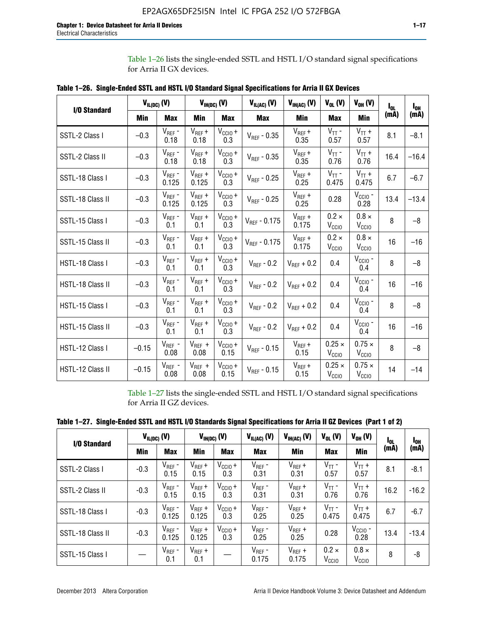Table 1–26 lists the single-ended SSTL and HSTL I/O standard signal specifications for Arria II GX devices.

| <b>I/O Standard</b> | $V_{IL(DC)}(V)$ |                                      |                      | $V_{IH(DC)}(V)$             | $V_{IL(AC)}(V)$   | $V_{IH(AC)}$ (V)     | $V_{OL}$ (V)                       | $V_{OH} (V)$                       | l <sub>ol.</sub> | $I_{0H}$ |
|---------------------|-----------------|--------------------------------------|----------------------|-----------------------------|-------------------|----------------------|------------------------------------|------------------------------------|------------------|----------|
|                     | Min             | <b>Max</b>                           | Min                  | <b>Max</b>                  | <b>Max</b>        | Min                  | <b>Max</b>                         | <b>Min</b>                         | (mA)             | (mA)     |
| SSTL-2 Class I      | $-0.3$          | $V_{REF}$ -<br>0.18                  | $V_{REF} +$<br>0.18  | $V_{\text{CCIO}} +$<br>0.3  | $V_{REF}$ - 0.35  | $V_{REF} +$<br>0.35  | $V_{TT}$ -<br>0.57                 | $V_{TT}$ +<br>0.57                 | 8.1              | $-8.1$   |
| SSTL-2 Class II     | $-0.3$          | $V_{REF}$ -<br>0.18                  | $V_{REF} +$<br>0.18  | $V_{CCIO} +$<br>0.3         | $V_{REF} - 0.35$  | $V_{REF} +$<br>0.35  | $V_{TT}$ -<br>0.76                 | $V_{TT}$ +<br>0.76                 | 16.4             | $-16.4$  |
| SSTL-18 Class I     | $-0.3$          | $V_{REF}$ -<br>0.125                 | $V_{REF}$ +<br>0.125 | $V_{\text{CC1O}} +$<br>0.3  | $V_{REF}$ - 0.25  | $V_{REF}$ +<br>0.25  | $V_{TT}$ -<br>0.475                | $V_{TT}$ +<br>0.475                | 6.7              | $-6.7$   |
| SSTL-18 Class II    | $-0.3$          | $V_{REF}$ -<br>0.125                 | $V_{REF}$ +<br>0.125 | $V_{\text{CCIO}} +$<br>0.3  | $V_{REF}$ - 0.25  | $V_{REF}$ +<br>0.25  | 0.28                               | $V_{CGIO}$ -<br>0.28               | 13.4             | $-13.4$  |
| SSTL-15 Class I     | $-0.3$          | $V_{REF}$ -<br>0.1                   | $V_{REF}$ +<br>0.1   | $V_{\text{CCIO}} +$<br>0.3  | $V_{REF}$ - 0.175 | $V_{REF}$ +<br>0.175 | $0.2 \times$<br>V <sub>CCIO</sub>  | $0.8 \times$<br>V <sub>CCIO</sub>  | 8                | $-8$     |
| SSTL-15 Class II    | $-0.3$          | $V_{REF}$ -<br>0.1                   | $V_{REF}$ +<br>0.1   | $V_{\text{CCIO}} +$<br>0.3  | $V_{REF} - 0.175$ | $V_{REF}$ +<br>0.175 | $0.2 \times$<br>V <sub>CCIO</sub>  | $0.8 \times$<br>V <sub>CCIO</sub>  | 16               | $-16$    |
| HSTL-18 Class I     | $-0.3$          | $V_{REF}$ -<br>0.1                   | $V_{REF}$ +<br>0.1   | $V_{\text{CCIO}} +$<br>0.3  | $V_{REF} - 0.2$   | $V_{REF}$ + 0.2      | 0.4                                | $V_{CGIO}$ -<br>0.4                | 8                | $-8$     |
| HSTL-18 Class II    | $-0.3$          | $V_{REF}$ -<br>0.1                   | $V_{REF}$ +<br>0.1   | $V_{\text{CC1O}} +$<br>0.3  | $V_{REF}$ - 0.2   | $V_{REF}$ + 0.2      | 0.4                                | $V_{\text{CCIO}}$ -<br>0.4         | 16               | $-16$    |
| HSTL-15 Class I     | $-0.3$          | $V_{REF}$ -<br>0.1                   | $V_{REF}$ +<br>0.1   | $V_{\text{CC1O}} +$<br>0.3  | $V_{REF} - 0.2$   | $V_{REF}$ + 0.2      | 0.4                                | $V_{\text{CCIO}}$ -<br>0.4         | 8                | $-8$     |
| HSTL-15 Class II    | $-0.3$          | $\mathsf{V}_{\mathsf{REF}}$ -<br>0.1 | $V_{REF}$ +<br>0.1   | $V_{\text{CCIO}} +$<br>0.3  | $V_{REF}$ - 0.2   | $V_{REF}$ + 0.2      | 0.4                                | $V_{CCIO}$ -<br>0.4                | 16               | $-16$    |
| HSTL-12 Class I     | $-0.15$         | $V_{REF}$ -<br>0.08                  | $V_{REF}$ +<br>0.08  | $V_{CClO} +$<br>0.15        | $V_{REF} - 0.15$  | $V_{REF} +$<br>0.15  | $0.25 \times$<br>V <sub>CCIO</sub> | $0.75 \times$<br>V <sub>CCIO</sub> | 8                | $-8$     |
| HSTL-12 Class II    | $-0.15$         | $V_{REF}$ -<br>0.08                  | $V_{REF}$ +<br>0.08  | $V_{\text{CCIO}} +$<br>0.15 | $V_{REF}$ - 0.15  | $V_{REF} +$<br>0.15  | $0.25 \times$<br>V <sub>CCIO</sub> | $0.75 \times$<br>V <sub>CCIO</sub> | 14               | $-14$    |

**Table 1–26. Single-Ended SSTL and HSTL I/O Standard Signal Specifications for Arria II GX Devices** 

Table 1–27 lists the single-ended SSTL and HSTL I/O standard signal specifications for Arria II GZ devices.

| Table 1–27. Single-Ended SSTL and HSTL I/O Standards Signal Specifications for Arria II GZ Devices (Part 1 of 2) |  |  |  |  |
|------------------------------------------------------------------------------------------------------------------|--|--|--|--|
|                                                                                                                  |  |  |  |  |

| I/O Standard     |        | $V_{IL(DC)}$ (V)     |                      | $V_{IH(DC)}$ (V)           | $V_{IL(AC)}(V)$      | $V_{IH(AC)}(V)$      | $V_{OL}$ (V)                      | $V_{OH} (V)$                   | l <sub>ol.</sub> | l <sub>oh</sub> |
|------------------|--------|----------------------|----------------------|----------------------------|----------------------|----------------------|-----------------------------------|--------------------------------|------------------|-----------------|
|                  | Min    | <b>Max</b>           | <b>Min</b>           | <b>Max</b>                 | <b>Max</b>           | Min                  | <b>Max</b>                        | Min                            | (mA)             | (mA)            |
| SSTL-2 Class I   | $-0.3$ | $V_{REF}$ -<br>0.15  | $V_{REF} +$<br>0.15  | $V_{\text{CC1O}} +$<br>0.3 | $V_{REF}$ -<br>0.31  | $V_{REF} +$<br>0.31  | $V_{TT}$ -<br>0.57                | $V_{TT}$ +<br>0.57             | 8.1              | $-8.1$          |
| SSTL-2 Class II  | $-0.3$ | $V_{REF}$ -<br>0.15  | $V_{REF} +$<br>0.15  | $V_{CClO} +$<br>0.3        | $V_{REF}$ -<br>0.31  | $V_{REF} +$<br>0.31  | $V_{TT}$ -<br>0.76                | $V_{TT}$ +<br>0.76             | 16.2             | $-16.2$         |
| SSTL-18 Class I  | $-0.3$ | $V_{REF}$ -<br>0.125 | $V_{REF}$ +<br>0.125 | $V_{CClO} +$<br>0.3        | $V_{REF}$ -<br>0.25  | $V_{REF}$ +<br>0.25  | $V_{TT}$ -<br>0.475               | $V_{TT}$ +<br>0.475            | 6.7              | $-6.7$          |
| SSTL-18 Class II | $-0.3$ | $V_{REF}$ -<br>0.125 | $V_{REF}$ +<br>0.125 | $V_{\text{CC1O}} +$<br>0.3 | $V_{REF}$ -<br>0.25  | $V_{REF}$ +<br>0.25  | 0.28                              | $V_{\rm CCIO}$ -<br>0.28       | 13.4             | $-13.4$         |
| SSTL-15 Class I  |        | $V_{REF}$ -<br>0.1   | $V_{REF}$ +<br>0.1   |                            | $V_{REF}$ -<br>0.175 | $V_{REF}$ +<br>0.175 | $0.2 \times$<br>V <sub>CCIO</sub> | $0.8 \times$<br>$V_{\rm CClO}$ | 8                | -8              |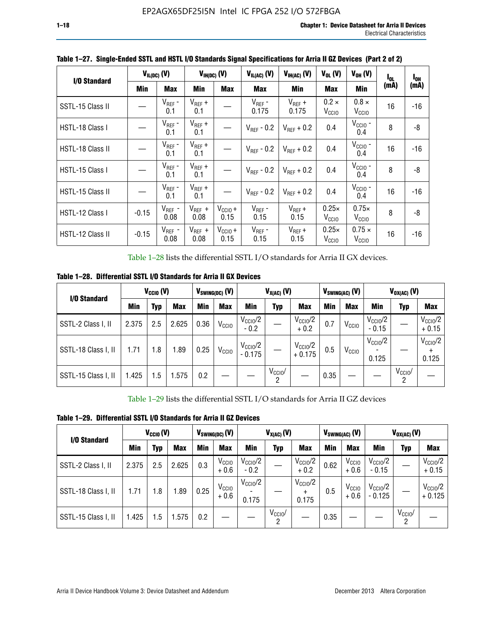| I/O Standard     |         | $V_{IL(DC)}$ (V)    |                     | $V_{H(DC)}(V)$       | $V_{IL(AC)}(V)$        | $V_{IH(AC)}(V)$        | $V_{OL}$ (V)                      | $V_{OH} (V)$                       | I <sub>OL</sub> | $I_{0H}$ |
|------------------|---------|---------------------|---------------------|----------------------|------------------------|------------------------|-----------------------------------|------------------------------------|-----------------|----------|
|                  | Min     | <b>Max</b>          | Min                 | <b>Max</b>           | <b>Max</b>             | Min                    | <b>Max</b>                        | Min                                | (mA)            | (mA)     |
| SSTL-15 Class II |         | $V_{REF}$ -<br>0.1  | $V_{REF}$ +<br>0.1  |                      | $V_{REF}$ -<br>0.175   | $V_{REF}$ +<br>0.175   | $0.2 \times$<br>V <sub>CCIO</sub> | $0.8 \times$<br>V <sub>CCIO</sub>  | 16              | -16      |
| HSTL-18 Class I  |         | $V_{REF}$ -<br>0.1  | $V_{REF}$ +<br>0.1  |                      | $V_{\text{RFF}}$ - 0.2 | $V_{\text{RFF}} + 0.2$ | 0.4                               | $V_{\rm CCIO}$ -<br>0.4            | 8               | -8       |
| HSTL-18 Class II |         | $V_{REF}$ -<br>0.1  | $V_{REF}$ +<br>0.1  |                      | $V_{REF}$ - 0.2        | $V_{RFF}$ + 0.2        | 0.4                               | $V_{\text{CCIO}}$ -<br>0.4         | 16              | $-16$    |
| HSTL-15 Class I  |         | $V_{REF}$ -<br>0.1  | $V_{REF}$ +<br>0.1  |                      | $V_{\text{RFF}}$ - 0.2 | $V_{RFF}$ + 0.2        | 0.4                               | $V_{\text{CCIO}}$ -<br>0.4         | 8               | -8       |
| HSTL-15 Class II |         | $V_{REF}$ -<br>0.1  | $V_{REF}$ +<br>0.1  |                      | $V_{REF}$ - 0.2        | $V_{RFF}$ + 0.2        | 0.4                               | $V_{\text{CCIO}}$ -<br>0.4         | 16              | $-16$    |
| HSTL-12 Class I  | $-0.15$ | $V_{REF}$ -<br>0.08 | $V_{REF}$ +<br>0.08 | $V_{CCIO} +$<br>0.15 | $V_{REF}$ -<br>0.15    | $V_{REF} +$<br>0.15    | $0.25\times$<br>V <sub>CCIO</sub> | $0.75\times$<br>V <sub>CCIO</sub>  | 8               | -8       |
| HSTL-12 Class II | $-0.15$ | $V_{REF}$ -<br>0.08 | $V_{REF}$ +<br>0.08 | $V_{CCIO} +$<br>0.15 | $V_{REF}$ -<br>0.15    | $V_{REF}$ +<br>0.15    | $0.25\times$<br>V <sub>CCIO</sub> | $0.75 \times$<br>V <sub>CCIO</sub> | 16              | -16      |

**Table 1–27. Single-Ended SSTL and HSTL I/O Standards Signal Specifications for Arria II GZ Devices (Part 2 of 2)**

Table 1–28 lists the differential SSTL I/O standards for Arria II GX devices.

**Table 1–28. Differential SSTL I/O Standards for Arria II GX Devices**

| I/O Standard        |       | $V_{\text{CCIO}}(V)$ |            |            | $V_{SWING(DC)}$ (V) | $V_{X(AC)}(V)$                  |                 |                                 | $V_{SWING(AC)}$ (V) |                   | $V_{OX(AC)}$ (V)             |                 |                                |
|---------------------|-------|----------------------|------------|------------|---------------------|---------------------------------|-----------------|---------------------------------|---------------------|-------------------|------------------------------|-----------------|--------------------------------|
|                     | Min   | Typ                  | <b>Max</b> | <b>Min</b> | <b>Max</b>          | Min                             | Typ             | <b>Max</b>                      | <b>Min</b>          | <b>Max</b>        | Min                          | Typ             | <b>Max</b>                     |
| SSTL-2 Class I, II  | 2.375 | 2.5                  | 2.625      | 0.36       | V <sub>CCIO</sub>   | $V_{\text{CC10}}/2$<br>$-0.2$   |                 | $V_{\rm CC10}$ /2<br>$+0.2$     | 0.7                 | V <sub>CCIO</sub> | $V_{\rm CC10}$ /2<br>$-0.15$ |                 | $V_{\text{CCIO}}/2$<br>$+0.15$ |
| SSTL-18 Class I, II | 1.71  | 1.8                  | l.89       | 0.25       | V <sub>CCIO</sub>   | $V_{\text{CCIO}}/2$<br>$-0.175$ |                 | $V_{\text{CC10}}/2$<br>$+0.175$ | 0.5                 | V <sub>CCIO</sub> | $V_{\text{CC10}}/2$<br>0.125 |                 | $V_{\text{CCIO}}/2$<br>0.125   |
| SSTL-15 Class I, II | 1.425 | 1.5                  | .575       | 0.2        |                     |                                 | $V_{CCIO}$<br>2 |                                 | 0.35                |                   |                              | $V_{CCIO}$<br>റ |                                |

Table 1–29 lists the differential SSTL I/O standards for Arria II GZ devices

**Table 1–29. Differential SSTL I/O Standards for Arria II GZ Devices**

| I/O Standard        |       | $V_{\text{CCIO}}(V)$ |            |      | $V_{SWING(DC)}(V)$          | $V_{X(AC)}(V)$                |                     |                                   |      | $V_{SWING(AC)}$ (V)         | $V_{OX(AC)}(V)$                |                 |                                 |
|---------------------|-------|----------------------|------------|------|-----------------------------|-------------------------------|---------------------|-----------------------------------|------|-----------------------------|--------------------------------|-----------------|---------------------------------|
|                     | Min   | Typ                  | <b>Max</b> | Min  | <b>Max</b>                  | Min                           | Typ                 | <b>Max</b>                        | Min  | <b>Max</b>                  | Min                            | Typ             | <b>Max</b>                      |
| SSTL-2 Class I, II  | 2.375 | 2.5                  | 2.625      | 0.3  | V <sub>CCIO</sub><br>$+0.6$ | $V_{\text{CC1O}}/2$<br>$-0.2$ |                     | $V_{\text{CCIO}}/2$<br>$+0.2$     | 0.62 | V <sub>CCIO</sub><br>$+0.6$ | $V_{\text{CC10}}/2$<br>$-0.15$ |                 | $V_{\text{CC10}}/2$<br>$+0.15$  |
| SSTL-18 Class I, II | 1.71  | 1.8                  | 1.89       | 0.25 | V <sub>CCIO</sub><br>$+0.6$ | $V_{\text{CCIO}}/2$<br>0.175  |                     | $V_{\text{CCIO}}/2$<br>÷<br>0.175 | 0.5  | V <sub>CCIO</sub><br>$+0.6$ | $V_{\text{CC10}}/2$<br>- 0.125 |                 | $V_{\text{CC10}}/2$<br>$+0.125$ |
| SSTL-15 Class I, II | 1.425 | 1.5                  | .575       | 0.2  |                             |                               | $V_{\rm CCIO}$<br>2 |                                   | 0.35 |                             |                                | $V_{CClO}$<br>2 |                                 |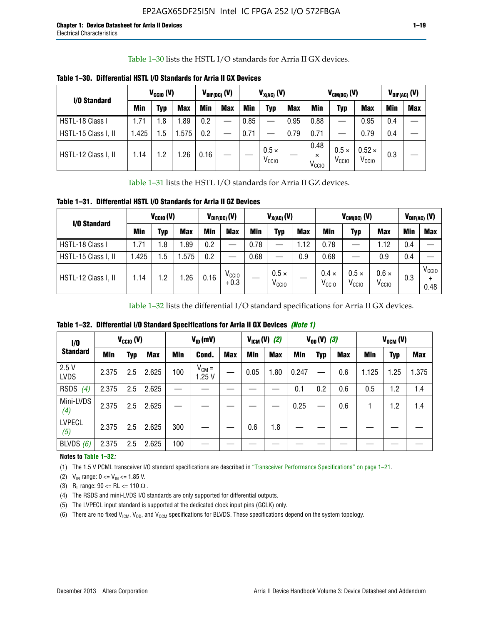Table 1–30 lists the HSTL I/O standards for Arria II GX devices.

| I/O Standard        |            | $V_{CGI0} (V)$ |            |      | $V_{\text{DIF(DC)}}$ (V) |            | $V_{X(AC)}(V)$                    |            |                                       | $V_{CM(DC)}(V)$                   |                                    |     | $V_{DIF(AC)}(V)$ |
|---------------------|------------|----------------|------------|------|--------------------------|------------|-----------------------------------|------------|---------------------------------------|-----------------------------------|------------------------------------|-----|------------------|
|                     | <b>Min</b> | Typ            | <b>Max</b> | Min  | <b>Max</b>               | <b>Min</b> | Typ                               | <b>Max</b> | Min                                   | Typ                               | <b>Max</b>                         | Min | <b>Max</b>       |
| HSTL-18 Class I     | 1.71       | . 8            | .89        | 0.2  | —                        | 0.85       |                                   | 0.95       | 0.88                                  |                                   | 0.95                               | 0.4 |                  |
| HSTL-15 Class I, II | l.425      | .5             | .575       | 0.2  |                          | 0.71       |                                   | 0.79       | 0.71                                  |                                   | 0.79                               | 0.4 |                  |
| HSTL-12 Class I, II | 1.14       | $\cdot$ .2     | .26        | 0.16 |                          |            | $0.5 \times$<br>V <sub>CCIO</sub> |            | 0.48<br>$\times$<br>V <sub>CCIO</sub> | $0.5 \times$<br>V <sub>CCIO</sub> | $0.52 \times$<br>V <sub>CCIO</sub> | 0.3 |                  |

**Table 1–30. Differential HSTL I/O Standards for Arria II GX Devices**

Table 1–31 lists the HSTL I/O standards for Arria II GZ devices.

**Table 1–31. Differential HSTL I/O Standards for Arria II GZ Devices**

| I/O Standard        |       | $V_{\text{CCIO}}(V)$ |            |            | $V_{\text{DIF(DC)}}(V)$     |      | $V_{X(AC)}(V)$                    |            |                                   | $V_{CM(DC)}$ (V)                  |                                   |     | $V_{DIF(AC)}$ (V)                      |
|---------------------|-------|----------------------|------------|------------|-----------------------------|------|-----------------------------------|------------|-----------------------------------|-----------------------------------|-----------------------------------|-----|----------------------------------------|
|                     | Min   | Typ                  | <b>Max</b> | <b>Min</b> | <b>Max</b>                  | Min  | Typ                               | <b>Max</b> | <b>Min</b>                        | Typ                               | <b>Max</b>                        | Min | <b>Max</b>                             |
| HSTL-18 Class I     | 71، ا | 1.8                  | .89        | 0.2        |                             | 0.78 |                                   | 1.12       | 0.78                              |                                   | 1.12                              | 0.4 |                                        |
| HSTL-15 Class I, II | .425  | .5                   | .575       | 0.2        | —                           | 0.68 |                                   | 0.9        | 0.68                              |                                   | 0.9                               | 0.4 |                                        |
| HSTL-12 Class I, II | l.14  | 1.2                  | .26        | 0.16       | V <sub>CCIO</sub><br>$+0.3$ |      | $0.5 \times$<br>V <sub>CCIO</sub> |            | $0.4 \times$<br>V <sub>CCIO</sub> | $0.5 \times$<br>V <sub>CCIO</sub> | $0.6 \times$<br>V <sub>CCIO</sub> | 0.3 | V <sub>CCIO</sub><br>$\ddot{}$<br>0.48 |

Table 1–32 lists the differential I/O standard specifications for Arria II GX devices.

**Table 1–32. Differential I/O Standard Specifications for Arria II GX Devices** *(Note 1)*

| 1/0                  |       | $V_{CGI0} (V)$ |            |     | $V_{ID}$ (mV)       |            |      | $V_{IGM} (V)$ (2) |       | $V_{OD} (V)$ (3) |     |       | $V_{OCM}$ (V) |            |
|----------------------|-------|----------------|------------|-----|---------------------|------------|------|-------------------|-------|------------------|-----|-------|---------------|------------|
| <b>Standard</b>      | Min   | <b>Typ</b>     | <b>Max</b> | Min | Cond.               | <b>Max</b> | Min  | <b>Max</b>        | Min   | <b>Typ</b>       | Max | Min   | <b>Typ</b>    | <b>Max</b> |
| 2.5V<br><b>LVDS</b>  | 2.375 | 2.5            | 2.625      | 100 | $V_{CM} =$<br>1.25V |            | 0.05 | 1.80              | 0.247 |                  | 0.6 | 1.125 | 1.25          | 1.375      |
| RSDS<br>(4)          | 2.375 | 2.5            | 2.625      |     |                     |            |      |                   | 0.1   | 0.2              | 0.6 | 0.5   | 1.2           | 1.4        |
| Mini-LVDS<br>(4)     | 2.375 | 2.5            | 2.625      |     |                     |            |      |                   | 0.25  | —                | 0.6 |       | 1.2           | 1.4        |
| <b>LVPECL</b><br>(5) | 2.375 | 2.5            | 2.625      | 300 |                     |            | 0.6  | 1.8               |       |                  |     |       |               |            |
| BLVDS $(6)$          | 2.375 | 2.5            | 2.625      | 100 |                     |            |      |                   |       |                  |     |       |               |            |

## **Notes to Table 1–32***:*

(1) The 1.5 V PCML transceiver I/O standard specifications are described in "Transceiver Performance Specifications" on page 1–21.

(2)  $V_{IN}$  range:  $0 \le V_{IN} \le 1.85$  V.

(3) R<sub>L</sub> range:  $90 \leq R$ L  $\leq 110 \Omega$ .

- (4) The RSDS and mini-LVDS I/O standards are only supported for differential outputs.
- (5) The LVPECL input standard is supported at the dedicated clock input pins (GCLK) only.
- (6) There are no fixed  $V_{ICM}$ ,  $V_{OD}$ , and  $V_{OCM}$  specifications for BLVDS. These specifications depend on the system topology.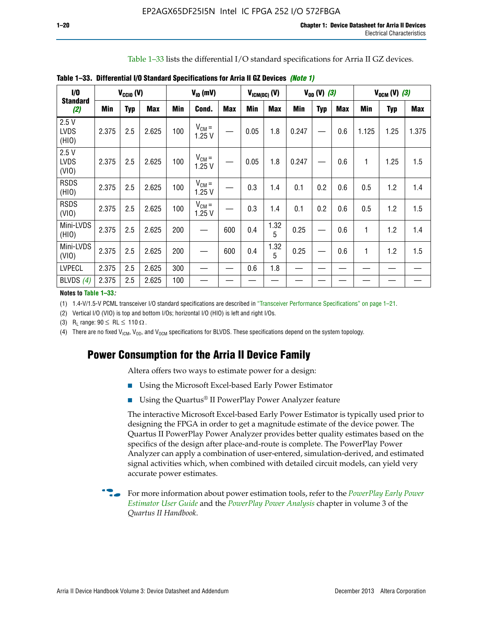Table 1–33 lists the differential I/O standard specifications for Arria II GZ devices.

| 1/0                          |       | $V_{CCl0} (V)$ |            |            | $V_{ID}$ (mV)       |            | $V_{IGM(DC)}$ (V) |            |       | $V_{OD} (V) (3)$ |            |       | $V_{OCM} (V) (3)$ |            |
|------------------------------|-------|----------------|------------|------------|---------------------|------------|-------------------|------------|-------|------------------|------------|-------|-------------------|------------|
| <b>Standard</b><br>(2)       | Min   | <b>Typ</b>     | <b>Max</b> | <b>Min</b> | Cond.               | <b>Max</b> | <b>Min</b>        | <b>Max</b> | Min   | <b>Typ</b>       | <b>Max</b> | Min   | <b>Typ</b>        | <b>Max</b> |
| 2.5V<br><b>LVDS</b><br>(HIO) | 2.375 | 2.5            | 2.625      | 100        | $V_{CM} =$<br>1.25V |            | 0.05              | 1.8        | 0.247 |                  | 0.6        | 1.125 | 1.25              | 1.375      |
| 2.5V<br><b>LVDS</b><br>(VIO) | 2.375 | 2.5            | 2.625      | 100        | $V_{CM} =$<br>1.25V |            | 0.05              | 1.8        | 0.247 |                  | 0.6        | 1     | 1.25              | 1.5        |
| <b>RSDS</b><br>(HIO)         | 2.375 | 2.5            | 2.625      | 100        | $V_{CM} =$<br>1.25V |            | 0.3               | 1.4        | 0.1   | 0.2              | 0.6        | 0.5   | 1.2               | 1.4        |
| <b>RSDS</b><br>(VIO)         | 2.375 | 2.5            | 2.625      | 100        | $V_{CM} =$<br>1.25V |            | 0.3               | 1.4        | 0.1   | 0.2              | 0.6        | 0.5   | 1.2               | 1.5        |
| Mini-LVDS<br>(HIO)           | 2.375 | 2.5            | 2.625      | 200        | —                   | 600        | 0.4               | 1.32<br>5  | 0.25  |                  | 0.6        | 1     | 1.2               | 1.4        |
| Mini-LVDS<br>(VIO)           | 2.375 | 2.5            | 2.625      | 200        |                     | 600        | 0.4               | 1.32<br>5  | 0.25  |                  | 0.6        | 1     | 1.2               | 1.5        |
| <b>LVPECL</b>                | 2.375 | 2.5            | 2.625      | 300        |                     |            | 0.6               | 1.8        |       |                  |            |       |                   |            |
| BLVDS $(4)$                  | 2.375 | 2.5            | 2.625      | 100        |                     |            |                   |            |       |                  |            |       |                   |            |

**Table 1–33. Differential I/O Standard Specifications for Arria II GZ Devices** *(Note 1)*

#### **Notes to Table 1–33***:*

(1) 1.4-V/1.5-V PCML transceiver I/O standard specifications are described in "Transceiver Performance Specifications" on page 1–21.

(2) Vertical I/O (VIO) is top and bottom I/Os; horizontal I/O (HIO) is left and right I/Os.

(3) R<sub>l</sub> range:  $90 \leq R L \leq 110 \Omega$ .

(4) There are no fixed  $V_{ICM}$ ,  $V_{OD}$ , and  $V_{OCM}$  specifications for BLVDS. These specifications depend on the system topology.

## **Power Consumption for the Arria II Device Family**

Altera offers two ways to estimate power for a design:

- Using the Microsoft Excel-based Early Power Estimator
- Using the Quartus<sup>®</sup> II PowerPlay Power Analyzer feature

The interactive Microsoft Excel-based Early Power Estimator is typically used prior to designing the FPGA in order to get a magnitude estimate of the device power. The Quartus II PowerPlay Power Analyzer provides better quality estimates based on the specifics of the design after place-and-route is complete. The PowerPlay Power Analyzer can apply a combination of user-entered, simulation-derived, and estimated signal activities which, when combined with detailed circuit models, can yield very accurate power estimates.

f For more information about power estimation tools, refer to the *[PowerPlay Early Power](http://www.altera.com/literature/ug/ug_epe.pdf?GSA_pos=5&WT.oss_r=1&WT.oss=powerplay early power estimator)  [Estimator User Guide](http://www.altera.com/literature/ug/ug_epe.pdf?GSA_pos=5&WT.oss_r=1&WT.oss=powerplay early power estimator)* and the *[PowerPlay Power Analysis](http://www.altera.com/literature/hb/qts/qts_qii53013.pdf)* chapter in volume 3 of the *Quartus II Handbook*.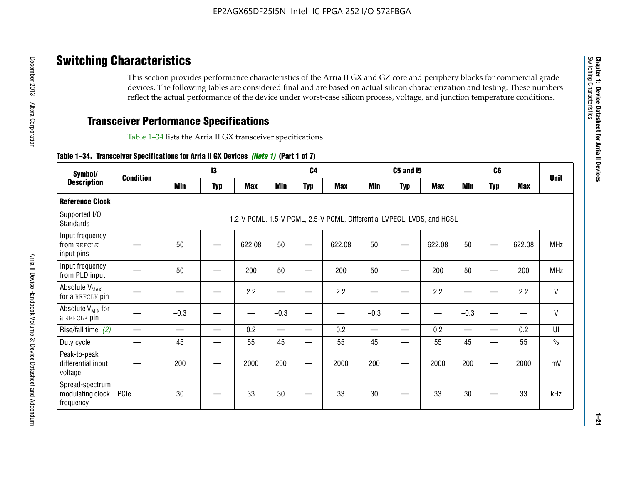# **Switching Characteristics**

This section provides performance characteristics of the Arria II GX and GZ core and periphery blocks for commercial grade devices. The following tables are considered final and are based on actual silicon characterization and testing. These numbers reflect the actual performance of the device under worst-case silicon process, voltage, and junction temperature conditions.

# **Transceiver Performance Specifications**

Table 1–34 lists the Arria II GX transceiver specifications.

## **Table 1–34. Transceiver Specifications for Arria II GX Devices** *(Note 1)* **(Part 1 of 7)**

| Symbol/                                          |                  |            | $\mathbf{13}$ |            |            | C <sub>4</sub> |                                                                         |                          | <b>C5 and 15</b> |            |            | C <sub>6</sub>           |            |               |
|--------------------------------------------------|------------------|------------|---------------|------------|------------|----------------|-------------------------------------------------------------------------|--------------------------|------------------|------------|------------|--------------------------|------------|---------------|
| <b>Description</b>                               | <b>Condition</b> | <b>Min</b> | <b>Typ</b>    | <b>Max</b> | <b>Min</b> | <b>Typ</b>     | <b>Max</b>                                                              | <b>Min</b>               | <b>Typ</b>       | <b>Max</b> | <b>Min</b> | <b>Typ</b>               | <b>Max</b> | <b>Unit</b>   |
| <b>Reference Clock</b>                           |                  |            |               |            |            |                |                                                                         |                          |                  |            |            |                          |            |               |
| Supported I/O<br><b>Standards</b>                |                  |            |               |            |            |                | 1.2-V PCML, 1.5-V PCML, 2.5-V PCML, Differential LVPECL, LVDS, and HCSL |                          |                  |            |            |                          |            |               |
| Input frequency<br>from REFCLK<br>input pins     |                  | 50         |               | 622.08     | 50         |                | 622.08                                                                  | 50                       | —                | 622.08     | 50         |                          | 622.08     | <b>MHz</b>    |
| Input frequency<br>from PLD input                |                  | 50         |               | 200        | 50         |                | 200                                                                     | 50                       |                  | 200        | 50         |                          | 200        | MHz           |
| Absolute V <sub>MAX</sub><br>for a REFCLK pin    |                  |            |               | 2.2        |            |                | 2.2                                                                     | —                        |                  | 2.2        |            |                          | 2.2        | $\mathsf{V}$  |
| Absolute V <sub>MIN</sub> for<br>a REFCLK pin    |                  | $-0.3$     |               |            | $-0.3$     |                |                                                                         | $-0.3$                   | -                |            | $-0.3$     |                          | —          | $\mathsf{V}$  |
| Rise/fall time (2)                               |                  |            | —             | 0.2        | —          | —              | 0.2                                                                     | $\overline{\phantom{0}}$ | —                | 0.2        | —          | $\overline{\phantom{0}}$ | 0.2        | UI            |
| Duty cycle                                       |                  | 45         |               | 55         | 45         |                | 55                                                                      | 45                       | —                | 55         | 45         |                          | 55         | $\frac{0}{0}$ |
| Peak-to-peak<br>differential input<br>voltage    |                  | 200        |               | 2000       | 200        |                | 2000                                                                    | 200                      | —                | 2000       | 200        |                          | 2000       | mV            |
| Spread-spectrum<br>modulating clock<br>frequency | PCIe             | 30         |               | 33         | 30         |                | 33                                                                      | 30                       |                  | 33         | 30         |                          | 33         | kHz           |

**1–21**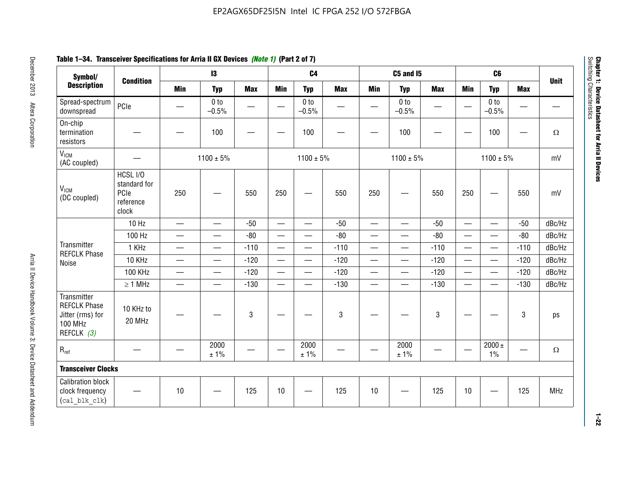## **Table 1–34. Transceiver Specifications for Arria II GX Devices** *(Note 1)* **(Part 2 of 7)**

| Symbol/                                                                                |                                                        |                               | $\mathbf{13}$              |             |                          | C <sub>4</sub>             |            |                          | C5 and I5                         |            |                          | C <sub>6</sub>             |            |             |
|----------------------------------------------------------------------------------------|--------------------------------------------------------|-------------------------------|----------------------------|-------------|--------------------------|----------------------------|------------|--------------------------|-----------------------------------|------------|--------------------------|----------------------------|------------|-------------|
| <b>Description</b>                                                                     | <b>Condition</b>                                       | <b>Min</b>                    | <b>Typ</b>                 | <b>Max</b>  | <b>Min</b>               | <b>Typ</b>                 | <b>Max</b> | <b>Min</b>               | <b>Typ</b>                        | <b>Max</b> | <b>Min</b>               | <b>Typ</b>                 | <b>Max</b> | <b>Unit</b> |
| Spread-spectrum<br>downspread                                                          | PCIe                                                   |                               | 0 <sub>to</sub><br>$-0.5%$ |             |                          | 0 <sub>to</sub><br>$-0.5%$ |            |                          | 0 <sub>to</sub><br>$-0.5%$        |            |                          | 0 <sub>to</sub><br>$-0.5%$ |            |             |
| On-chip<br>termination<br>resistors                                                    |                                                        |                               | 100                        | —           |                          | 100                        |            |                          | 100                               |            |                          | 100                        | —          | $\Omega$    |
| V <sub>ICM</sub><br>(AC coupled)                                                       |                                                        |                               | $1100 \pm 5\%$             |             |                          | $1100 \pm 5\%$             |            |                          | $1100 \pm 5\%$                    |            |                          | $1100 \pm 5\%$             |            | mV          |
| V <sub>ICM</sub><br>(DC coupled)                                                       | HCSL I/O<br>standard for<br>PCIe<br>reference<br>clock | 250                           |                            | 550         | 250                      | $\hspace{0.05cm}$          | 550        | 250                      | —                                 | 550        | 250                      | —                          | 550        | mV          |
|                                                                                        | 10 Hz                                                  | $\overline{\phantom{0}}$      | $\overline{\phantom{0}}$   | $-50$       | $\equiv$                 |                            | $-50$      |                          | $\equiv$                          | $-50$      | $\overline{\phantom{0}}$ |                            | $-50$      | dBc/Hz      |
|                                                                                        | 100 Hz                                                 | $\overline{\phantom{0}}$      | $\overline{\phantom{0}}$   | $-80$       | $\overline{\phantom{0}}$ | $\overline{\phantom{0}}$   | $-80$      | $\overline{\phantom{0}}$ |                                   | $-80$      | $\overline{\phantom{0}}$ | $\overline{\phantom{0}}$   | $-80$      | dBc/Hz      |
| Transmitter<br><b>REFCLK Phase</b>                                                     | 1 KHz                                                  | —                             | $\overline{\phantom{0}}$   | $-110$      |                          | $\hspace{0.05cm}$          | $-110$     | $\overline{\phantom{0}}$ | $\qquad \qquad \qquad$            | $-110$     |                          | $\overline{\phantom{0}}$   | $-110$     | dBc/Hz      |
| Noise                                                                                  | 10 KHz                                                 | $\overbrace{\phantom{aaaaa}}$ | $\overline{\phantom{0}}$   | $-120$      | $\overline{\phantom{m}}$ |                            | $-120$     | $\qquad \qquad$          | $\overbrace{\phantom{123221111}}$ | $-120$     |                          |                            | $-120$     | dBc/Hz      |
|                                                                                        | <b>100 KHz</b>                                         | $\overline{\phantom{0}}$      | $\equiv$                   | $-120$      |                          | $\equiv$                   | $-120$     | $\overline{\phantom{0}}$ | $\overline{\phantom{0}}$          | $-120$     | $\equiv$                 | $\overline{\phantom{0}}$   | $-120$     | dBc/Hz      |
|                                                                                        | $\geq 1$ MHz                                           | $\overline{\phantom{0}}$      | $\overline{\phantom{0}}$   | $-130$      |                          | $\overline{\phantom{m}}$   | $-130$     | $\overline{\phantom{0}}$ | $\qquad \qquad$                   | $-130$     | $\overline{\phantom{0}}$ | $\equiv$                   | $-130$     | dBc/Hz      |
| Transmitter<br><b>REFCLK Phase</b><br>Jitter (rms) for<br><b>100 MHz</b><br>REFCLK (3) | 10 KHz to<br>20 MHz                                    |                               |                            | $\mathbf 3$ |                          |                            | 3          |                          |                                   | 3          |                          |                            | 3          | ps          |
| $R_{ref}$                                                                              |                                                        |                               | 2000<br>± 1%               |             | $\hspace{0.05cm}$        | 2000<br>± 1%               |            |                          | 2000<br>± 1%                      |            |                          | $2000 \pm$<br>$1\%$        |            | $\Omega$    |
| <b>Transceiver Clocks</b>                                                              |                                                        |                               |                            |             |                          |                            |            |                          |                                   |            |                          |                            |            |             |
| <b>Calibration block</b><br>clock frequency<br>(cal blk clk)                           |                                                        | 10                            |                            | 125         | 10                       |                            | 125        | 10                       |                                   | 125        | 10                       |                            | 125        | MHz         |

December 2013 Altera Corporation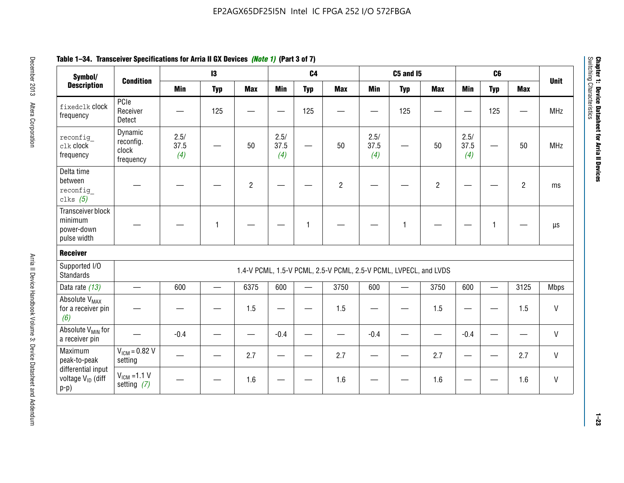| Symbol/                                                       |                                            |                     | $\mathbf{13}$ |                |                     | C <sub>4</sub> |                                                                  |                     | <b>C5 and 15</b> |                |                     | C <sub>6</sub> |                |              |
|---------------------------------------------------------------|--------------------------------------------|---------------------|---------------|----------------|---------------------|----------------|------------------------------------------------------------------|---------------------|------------------|----------------|---------------------|----------------|----------------|--------------|
| <b>Description</b>                                            | <b>Condition</b>                           | <b>Min</b>          | <b>Typ</b>    | <b>Max</b>     | <b>Min</b>          | <b>Typ</b>     | <b>Max</b>                                                       | <b>Min</b>          | <b>Typ</b>       | <b>Max</b>     | <b>Min</b>          | <b>Typ</b>     | <b>Max</b>     | <b>Unit</b>  |
| fixedclk clock<br>frequency                                   | PCIe<br>Receiver<br>Detect                 |                     | 125           |                |                     | 125            |                                                                  |                     | 125              |                |                     | 125            |                | <b>MHz</b>   |
| reconfig<br>clk clock<br>frequency                            | Dynamic<br>reconfig.<br>clock<br>frequency | 2.5/<br>37.5<br>(4) |               | 50             | 2.5/<br>37.5<br>(4) | <u>—</u>       | 50                                                               | 2.5/<br>37.5<br>(4) | —                | 50             | 2.5/<br>37.5<br>(4) |                | 50             | <b>MHz</b>   |
| Delta time<br>between<br>reconfig<br>clks $(5)$               |                                            |                     |               | $\overline{c}$ |                     |                | $\overline{2}$                                                   |                     |                  | $\overline{2}$ |                     |                | $\overline{2}$ | ms           |
| Transceiver block<br>minimum<br>power-down<br>pulse width     |                                            |                     | 1             |                |                     | 1              |                                                                  |                     | 1                |                |                     | 1              |                | $\mu s$      |
| <b>Receiver</b>                                               |                                            |                     |               |                |                     |                |                                                                  |                     |                  |                |                     |                |                |              |
| Supported I/O<br><b>Standards</b>                             |                                            |                     |               |                |                     |                | 1.4-V PCML, 1.5-V PCML, 2.5-V PCML, 2.5-V PCML, LVPECL, and LVDS |                     |                  |                |                     |                |                |              |
| Data rate (13)                                                |                                            | 600                 |               | 6375           | 600                 |                | 3750                                                             | 600                 |                  | 3750           | 600                 | $\equiv$       | 3125           | <b>Mbps</b>  |
| Absolute V <sub>MAX</sub><br>for a receiver pin<br>(6)        |                                            |                     |               | 1.5            | —                   |                | 1.5                                                              |                     |                  | 1.5            | —                   |                | 1.5            | $\mathsf{V}$ |
| Absolute V <sub>MIN</sub> for<br>a receiver pin               |                                            | $-0.4$              |               |                | $-0.4$              |                |                                                                  | $-0.4$              |                  |                | $-0.4$              |                |                | $\mathsf{V}$ |
| Maximum<br>peak-to-peak                                       | $V_{IGM} = 0.82 V$<br>setting              |                     |               | 2.7            |                     |                | 2.7                                                              |                     |                  | 2.7            |                     |                | 2.7            | $\mathsf{V}$ |
| differential input<br>voltage V <sub>ID</sub> (diff<br>$p-p)$ | $V_{ICM}$ =1.1 V<br>setting $(7)$          |                     |               | 1.6            |                     |                | 1.6                                                              |                     |                  | 1.6            |                     |                | 1.6            | V            |

**Chapter 1: Device Datasheet for Arria II Devices**

Chapter 1: Device Datasheet for Arria II Devices<br>Switching Characteristics

Switching Characteristics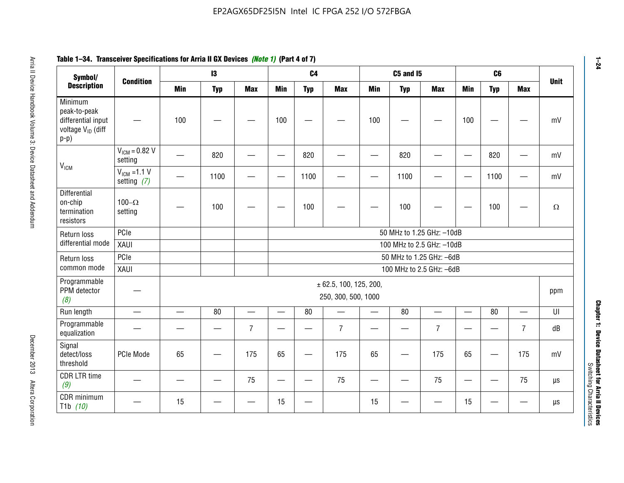| Symbol/                                                                                  | <b>Condition</b>                  |                          | $\mathbf{I}3$             |                          |                          | C <sub>4</sub> |                                                   |                          | C5 and I5  |                          |                          | C6         |                | <b>Unit</b> |
|------------------------------------------------------------------------------------------|-----------------------------------|--------------------------|---------------------------|--------------------------|--------------------------|----------------|---------------------------------------------------|--------------------------|------------|--------------------------|--------------------------|------------|----------------|-------------|
| <b>Description</b>                                                                       |                                   | <b>Min</b>               | <b>Typ</b>                | <b>Max</b>               | <b>Min</b>               | <b>Typ</b>     | <b>Max</b>                                        | <b>Min</b>               | <b>Typ</b> | <b>Max</b>               | Min                      | <b>Typ</b> | <b>Max</b>     |             |
| Minimum<br>peak-to-peak<br>differential input<br>voltage V <sub>ID</sub> (diff<br>$p-p)$ |                                   | 100                      |                           |                          | 100                      |                |                                                   | 100                      |            |                          | 100                      |            |                | mV          |
| <b>V<sub>ICM</sub></b>                                                                   | $VICM = 0.82 V$<br>setting        |                          | 820                       |                          |                          | 820            |                                                   |                          | 820        |                          |                          | 820        |                | mV          |
|                                                                                          | $V_{ICM}$ =1.1 V<br>setting $(7)$ |                          | 1100                      |                          |                          | 1100           |                                                   |                          | 1100       |                          | $\overline{\phantom{0}}$ | 1100       |                | mV          |
| Differential<br>on-chip<br>termination<br>resistors                                      | $100 - \Omega$<br>setting         |                          | 100                       |                          |                          | 100            |                                                   |                          | 100        |                          |                          | 100        |                | $\Omega$    |
| Return loss                                                                              | PCIe                              |                          | 50 MHz to 1.25 GHz: -10dB |                          |                          |                |                                                   |                          |            |                          |                          |            |                |             |
| differential mode                                                                        | XAUI                              |                          | 100 MHz to 2.5 GHz: -10dB |                          |                          |                |                                                   |                          |            |                          |                          |            |                |             |
| Return loss                                                                              | PCIe                              |                          |                           |                          |                          |                |                                                   |                          |            | 50 MHz to 1.25 GHz: -6dB |                          |            |                |             |
| common mode                                                                              | XAUI                              |                          |                           |                          |                          |                |                                                   |                          |            | 100 MHz to 2.5 GHz: -6dB |                          |            |                |             |
| Programmable<br>PPM detector<br>(8)                                                      |                                   |                          |                           |                          |                          |                | $\pm$ 62.5, 100, 125, 200,<br>250, 300, 500, 1000 |                          |            |                          |                          |            |                | ppm         |
| Run length                                                                               | $\overline{\phantom{0}}$          | $\overline{\phantom{0}}$ | 80                        | $\overline{\phantom{0}}$ | $\overline{\phantom{0}}$ | 80             | $\equiv$                                          | $\overline{\phantom{0}}$ | 80         |                          | $\overline{\phantom{0}}$ | 80         |                | UI          |
| Programmable<br>equalization                                                             |                                   |                          |                           | $\overline{7}$           |                          |                | $\overline{7}$                                    |                          |            | $\overline{7}$           |                          |            | $\overline{7}$ | dB          |
| Signal<br>detect/loss<br>threshold                                                       | PCIe Mode                         | 65                       |                           | 175                      | 65                       |                | 175                                               | 65                       |            | 175                      | 65                       |            | 175            | mV          |
| <b>CDR LTR time</b><br>(9)                                                               |                                   |                          |                           | 75                       |                          |                | 75                                                |                          |            | 75                       | —                        |            | 75             | $\mu s$     |
| CDR minimum<br>T1b $(10)$                                                                |                                   | 15                       |                           |                          | 15                       |                |                                                   | 15                       |            |                          | 15                       |            |                | $\mu s$     |

## **Table 1–34. Transceiver Specifications for Arria II GX Devices** *(Note 1)* **(Part 4 of 7)**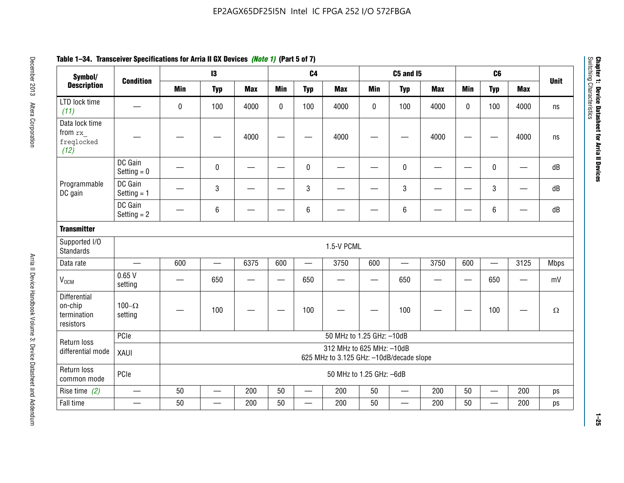| Symbol/                                                    |                          |                          | $\mathbf{13}$                                                         |            |              | C <sub>4</sub>           |                           |             | <b>C5 and 15</b>         |            |            | C <sub>6</sub>           |            |             |
|------------------------------------------------------------|--------------------------|--------------------------|-----------------------------------------------------------------------|------------|--------------|--------------------------|---------------------------|-------------|--------------------------|------------|------------|--------------------------|------------|-------------|
| <b>Description</b>                                         | <b>Condition</b>         | <b>Min</b>               | <b>Typ</b>                                                            | <b>Max</b> | <b>Min</b>   | <b>Typ</b>               | <b>Max</b>                | <b>Min</b>  | <b>Typ</b>               | <b>Max</b> | <b>Min</b> | <b>Typ</b>               | <b>Max</b> | <b>Unit</b> |
| LTD lock time<br>(11)                                      |                          | 0                        | 100                                                                   | 4000       | $\mathbf{0}$ | 100                      | 4000                      | $\mathbf 0$ | 100                      | 4000       | $\Omega$   | 100                      | 4000       | ns          |
| Data lock time<br>from rx<br>freqlocked<br>(12)            |                          |                          |                                                                       | 4000       |              |                          | 4000                      |             |                          | 4000       |            |                          | 4000       | ns          |
|                                                            | DC Gain<br>Setting $= 0$ |                          | $\mathbf 0$                                                           |            |              | $\mathbf 0$              |                           |             | 0                        |            |            | $\mathbf 0$              |            | dB          |
| Programmable<br>DC gain                                    | DC Gain<br>Setting $= 1$ |                          | $\mathsf 3$                                                           |            |              | $\mathbf{3}$             |                           |             | 3                        |            |            | 3                        |            | dB          |
|                                                            | DC Gain<br>Setting $= 2$ |                          | 6                                                                     |            |              | $\,6\,$                  |                           |             | 6                        |            |            | 6                        |            | dB          |
| <b>Transmitter</b>                                         |                          |                          |                                                                       |            |              |                          |                           |             |                          |            |            |                          |            |             |
| Supported I/O<br><b>Standards</b>                          |                          |                          |                                                                       |            |              |                          | 1.5-V PCML                |             |                          |            |            |                          |            |             |
| Data rate                                                  | $\overline{\phantom{0}}$ | 600                      | $\overline{\phantom{0}}$                                              | 6375       | 600          | $\equiv$                 | 3750                      | 600         |                          | 3750       | 600        | $\overline{\phantom{0}}$ | 3125       | <b>Mbps</b> |
| V <sub>OCM</sub>                                           | 0.65V<br>setting         | $\overline{\phantom{0}}$ | 650                                                                   | —          | —            | 650                      |                           | —           | 650                      | —          |            | 650                      | —          | mV          |
| <b>Differential</b><br>on-chip<br>termination<br>resistors | 100 $-\Omega$<br>setting |                          | 100                                                                   |            |              | 100                      |                           |             | 100                      |            |            | 100                      |            | $\Omega$    |
| Return loss                                                | PCIe                     |                          |                                                                       |            |              |                          | 50 MHz to 1.25 GHz: -10dB |             |                          |            |            |                          |            |             |
| differential mode                                          | XAUI                     |                          | 312 MHz to 625 MHz: -10dB<br>625 MHz to 3.125 GHz: -10dB/decade slope |            |              |                          |                           |             |                          |            |            |                          |            |             |
| Return loss<br>common mode                                 | PCIe                     |                          |                                                                       |            |              |                          | 50 MHz to 1.25 GHz: -6dB  |             |                          |            |            |                          |            |             |
| Rise time $(2)$                                            | $\overline{\phantom{m}}$ | 50                       | $\qquad \qquad$                                                       | 200        | 50           | $\overline{\phantom{0}}$ | 200                       | 50          | $\overline{\phantom{0}}$ | 200        | 50         | $\qquad \qquad$          | 200        | ps          |
| Fall time                                                  |                          | 50                       |                                                                       | 200        | 50           |                          | 200                       | 50          | —                        | 200        | 50         | —                        | 200        | ps          |

# **Table 1–34. Transceiver Specifications for Arria II GX Devices** *(Note 1)* **(Part 5 of 7)**

**1–25**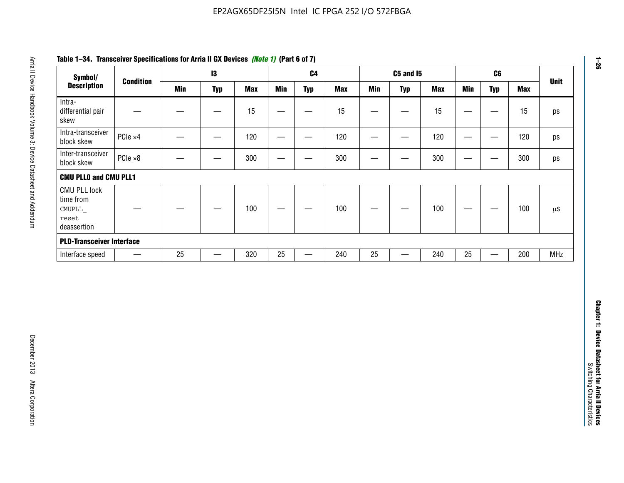| Symbol/                                                            |                          |            | $\mathbf{I}3$                 |                  |                          | C <sub>4</sub>                |            |                          | <b>C5 and 15</b>         |            |                                 | C6                                |            | <b>Unit</b> |
|--------------------------------------------------------------------|--------------------------|------------|-------------------------------|------------------|--------------------------|-------------------------------|------------|--------------------------|--------------------------|------------|---------------------------------|-----------------------------------|------------|-------------|
| <b>Description</b>                                                 | <b>Condition</b>         | <b>Min</b> | <b>Typ</b>                    | <b>Max</b>       | <b>Min</b>               | <b>Typ</b>                    | <b>Max</b> | <b>Min</b>               | <b>Typ</b>               | <b>Max</b> | <b>Min</b>                      | <b>Typ</b>                        | <b>Max</b> |             |
| Intra-<br>differential pair<br>skew                                |                          |            | $\overbrace{\phantom{13333}}$ | 15               | —                        | —                             | 15         | —                        | —                        | 15         | $\overline{\phantom{m}}$        |                                   | 15         | ps          |
| Intra-transceiver<br>block skew                                    | PCIe ×4                  |            | —                             | 120              | $\overline{\phantom{0}}$ | $\overline{\phantom{0}}$      | 120        | $\overline{\phantom{0}}$ | —                        | 120        | $\hspace{0.05cm}$               |                                   | 120        | ps          |
| Inter-transceiver<br>block skew                                    | $PCle \times 8$          |            | —                             | 300              | $\hspace{0.05cm}$        | —                             | 300        | —                        | $\overline{\phantom{0}}$ | 300        | $\hspace{0.05cm}$               | $\hspace{0.05cm}$                 | 300        | ps          |
| <b>CMU PLLO and CMU PLL1</b>                                       |                          |            |                               |                  |                          |                               |            |                          |                          |            |                                 |                                   |            |             |
| <b>CMU PLL lock</b><br>time from<br>CMUPLL<br>reset<br>deassertion |                          |            |                               | 100              | $\hspace{0.05cm}$        | $\overbrace{\phantom{aaaaa}}$ | 100        |                          | —                        | 100        | $\hspace{0.1mm}-\hspace{0.1mm}$ |                                   | 100        | $\mu s$     |
| <b>PLD-Transceiver Interface</b>                                   |                          |            |                               |                  |                          |                               |            |                          |                          |            |                                 |                                   |            |             |
| Interface speed                                                    | $\overline{\phantom{m}}$ | 25         | $\overline{\phantom{0}}$      | $\overline{320}$ | 25                       |                               | 240        | 25                       | $\overline{\phantom{0}}$ | 240        | 25                              | $\overbrace{\phantom{123221111}}$ | 200        | <b>MHz</b>  |
|                                                                    |                          |            |                               |                  |                          |                               |            |                          |                          |            |                                 |                                   |            |             |
|                                                                    |                          |            |                               |                  |                          |                               |            |                          |                          |            |                                 |                                   |            |             |

## **Table 1–34. Transceiver Specifications for Arria II GX Devices** *(Note 1)* **(Part 6 of 7)**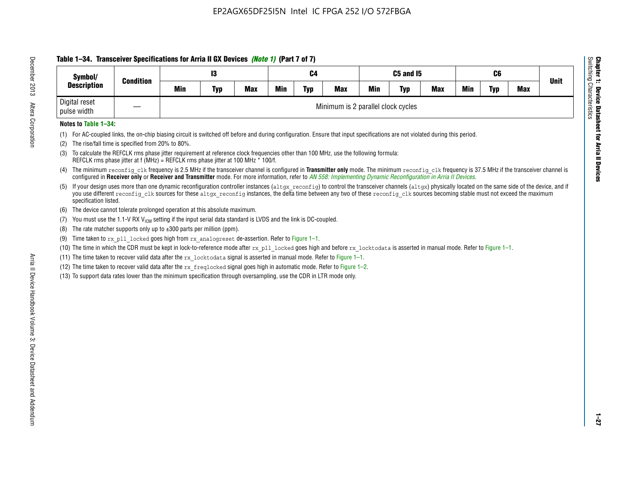## **Table 1–34. Transceiver Specifications for Arria II GX Devices** *(Note 1)* **(Part 7 of 7)**

| Symbol/                      | <b>Condition</b> |     | 13         |     |     | C4         |                                    |            | C5 and I5  |            |            | C6  |            | <b>Unit</b> |
|------------------------------|------------------|-----|------------|-----|-----|------------|------------------------------------|------------|------------|------------|------------|-----|------------|-------------|
| <b>Description</b>           |                  | Min | <b>Typ</b> | Max | Min | <b>Typ</b> | <b>Max</b>                         | <b>Min</b> | <b>Typ</b> | <b>Max</b> | <b>Min</b> | Typ | <b>Max</b> |             |
| Digital reset<br>pulse width |                  |     |            |     |     |            | Minimum is 2 parallel clock cycles |            |            |            |            |     |            |             |

### **Notes to Table 1–34:**

- (1) For AC-coupled links, the on-chip biasing circuit is switched off before and during configuration. Ensure that input specifications are not violated during this period.
- (2) The rise/fall time is specified from 20% to 80%.
- (3) To calculate the REFCLK rms phase jitter requirement at reference clock frequencies other than 100 MHz, use the following formula: REFCLK rms phase jitter at f (MHz) = REFCLK rms phase jitter at 100 MHz \* 100/f.
- (4) The minimum reconfig clk frequency is 2.5 MHz if the transceiver channel is configured in **Transmitter only** mode. The minimum reconfig clk frequency is 37.5 MHz if the transceiver channel is configured in **Receiver only** or **Receiver and Transmitter** mode. For more information, refer to *AN [558: Implementing Dynamic Reconfiguration in Arria II Devices](www.altera.com/literature/hb/arria-ii-gx/an558.pdf)*.
- (5) If your design uses more than one dynamic reconfiguration controller instances (altgx reconfig) to control the transceiver channels (altgx) physically located on the same side of the device, and if you use different reconfig clk sources for these altgx reconfig instances, the delta time between any two of these reconfig clk sources becoming stable must not exceed the maximum specification listed.
- (6) The device cannot tolerate prolonged operation at this absolute maximum.
- (7) You must use the 1.1-V RX  $V_{ICM}$  setting if the input serial data standard is LVDS and the link is DC-coupled.
- (8) The rate matcher supports only up to  $\pm 300$  parts per million (ppm).
- (9) Time taken to rx\_pll\_locked goes high from rx\_analogreset de-assertion. Refer to Figure 1–1.
- (10) The time in which the CDR must be kept in lock-to-reference mode after rx pll locked goes high and before rx locktodata is asserted in manual mode. Refer to Figure 1-1.
- (11) The time taken to recover valid data after the  $rx$  locktodata signal is asserted in manual mode. Refer to Figure 1–1.
- (12) The time taken to recover valid data after the  $rx$  freqlocked signal goes high in automatic mode. Refer to Figure 1–2.
- (13) To support data rates lower than the minimum specification through oversampling, use the CDR in LTR mode only.

**Chapter 1: Device Datasheet for Arria II Devices**

**Device Datasheet for Arria II Devices** 

Switching Characteristics

Chapter 1: Device Datas<br>Switching Characteristics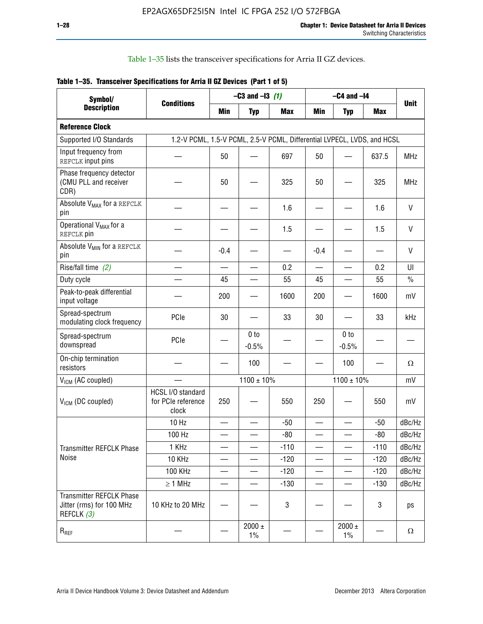Table 1–35 lists the transceiver specifications for Arria II GZ devices.

|  |  | Table 1-35. Transceiver Specifications for Arria II GZ Devices (Part 1 of 5) |
|--|--|------------------------------------------------------------------------------|
|  |  |                                                                              |

| Symbol/                                                                   |                                                                         |                          | $-C3$ and $-13$ (1)        |            | $-C4$ and $-I4$          |                            |            |             |  |  |
|---------------------------------------------------------------------------|-------------------------------------------------------------------------|--------------------------|----------------------------|------------|--------------------------|----------------------------|------------|-------------|--|--|
| <b>Description</b>                                                        | <b>Conditions</b>                                                       | Min                      | <b>Typ</b>                 | <b>Max</b> | <b>Min</b>               | <b>Typ</b>                 | <b>Max</b> | <b>Unit</b> |  |  |
| <b>Reference Clock</b>                                                    |                                                                         |                          |                            |            |                          |                            |            |             |  |  |
| Supported I/O Standards                                                   | 1.2-V PCML, 1.5-V PCML, 2.5-V PCML, Differential LVPECL, LVDS, and HCSL |                          |                            |            |                          |                            |            |             |  |  |
| Input frequency from<br>REFCLK input pins                                 |                                                                         | 50                       |                            | 697        | 50                       |                            | 637.5      | <b>MHz</b>  |  |  |
| Phase frequency detector<br>(CMU PLL and receiver<br>CDR)                 |                                                                         | 50                       |                            | 325        | 50                       |                            | 325        | <b>MHz</b>  |  |  |
| Absolute V <sub>MAX</sub> for a REFCLK<br>pin                             |                                                                         |                          |                            | 1.6        |                          |                            | 1.6        | $\vee$      |  |  |
| Operational V <sub>MAX</sub> for a<br>REFCLK pin                          |                                                                         |                          |                            | 1.5        |                          |                            | 1.5        | V           |  |  |
| Absolute V <sub>MIN</sub> for a REFCLK<br>pin                             |                                                                         | $-0.4$                   |                            |            | $-0.4$                   |                            |            | V           |  |  |
| Rise/fall time (2)                                                        |                                                                         | $\overline{\phantom{0}}$ |                            | 0.2        | $\overline{\phantom{0}}$ | $\overline{\phantom{0}}$   | 0.2        | UI          |  |  |
| Duty cycle                                                                |                                                                         | 45                       |                            | 55         | 45                       |                            | 55         | $\%$        |  |  |
| Peak-to-peak differential<br>input voltage                                |                                                                         | 200                      |                            | 1600       | 200                      |                            | 1600       | mV          |  |  |
| Spread-spectrum<br>modulating clock frequency                             | PCIe                                                                    | 30                       |                            | 33         | 30                       |                            | 33         | kHz         |  |  |
| Spread-spectrum<br>downspread                                             | PCIe                                                                    |                          | 0 <sub>to</sub><br>$-0.5%$ |            |                          | 0 <sub>to</sub><br>$-0.5%$ |            |             |  |  |
| On-chip termination<br>resistors                                          |                                                                         |                          | 100                        |            |                          | 100                        |            | Ω           |  |  |
| $V_{IGM}$ (AC coupled)                                                    |                                                                         |                          | $1100 \pm 10\%$            |            | $1100 \pm 10\%$          |                            |            | mV          |  |  |
| V <sub>ICM</sub> (DC coupled)                                             | HCSL I/O standard<br>for PCIe reference<br>clock                        | 250                      |                            | 550        | 250                      |                            | 550        | mV          |  |  |
|                                                                           | 10 Hz                                                                   | $\overline{\phantom{0}}$ |                            | $-50$      | $\sim$                   |                            | $-50$      | dBc/Hz      |  |  |
|                                                                           | 100 Hz                                                                  |                          |                            | $-80$      |                          |                            | $-80$      | dBc/Hz      |  |  |
| Transmitter REFCLK Phase                                                  | 1 KHz                                                                   |                          | $\overline{\phantom{0}}$   | $-110$     | $\overline{\phantom{0}}$ | —                          | $-110$     | dBc/Hz      |  |  |
| Noise                                                                     | 10 KHz                                                                  |                          |                            | $-120$     |                          |                            | $-120$     | dBc/Hz      |  |  |
|                                                                           | <b>100 KHz</b>                                                          |                          |                            | $-120$     | $\overline{\phantom{0}}$ | $\qquad \qquad -$          | $-120$     | dBc/Hz      |  |  |
|                                                                           | $\geq 1$ MHz                                                            |                          |                            | $-130$     | $\overline{\phantom{0}}$ | $\overline{\phantom{0}}$   | $-130$     | dBc/Hz      |  |  |
| <b>Transmitter REFCLK Phase</b><br>Jitter (rms) for 100 MHz<br>REFCLK (3) | 10 KHz to 20 MHz                                                        |                          |                            | 3          |                          |                            | 3          | ps          |  |  |
| $R_{REF}$                                                                 |                                                                         |                          | $2000 \pm$<br>$1\%$        |            |                          | 2000 $\pm$<br>$1\%$        |            | $\Omega$    |  |  |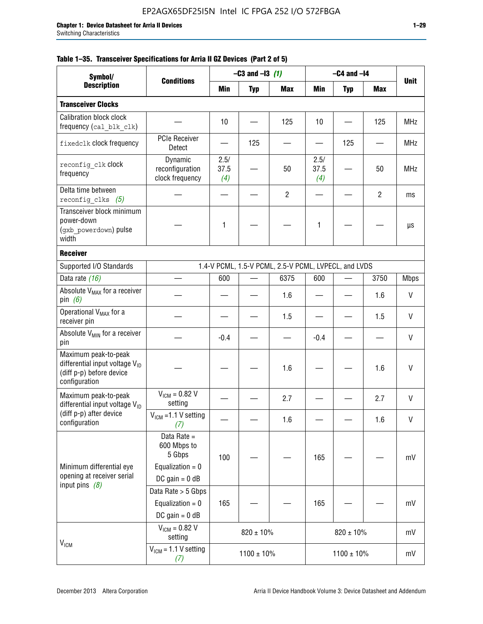|  |  | Table 1–35. Transceiver Specifications for Arria II GZ Devices (Part 2 of 5) |  |  |  |
|--|--|------------------------------------------------------------------------------|--|--|--|
|--|--|------------------------------------------------------------------------------|--|--|--|

| Symbol/                                                                                                         |                                                                                |                     | $-C3$ and $-I3$ (1) |                                                      |                     | $-C4$ and $-I4$ |                |             |
|-----------------------------------------------------------------------------------------------------------------|--------------------------------------------------------------------------------|---------------------|---------------------|------------------------------------------------------|---------------------|-----------------|----------------|-------------|
| <b>Description</b>                                                                                              | <b>Conditions</b>                                                              | Min                 | <b>Typ</b>          | <b>Max</b>                                           | Min                 | <b>Typ</b>      | Max            | <b>Unit</b> |
| <b>Transceiver Clocks</b>                                                                                       |                                                                                |                     |                     |                                                      |                     |                 |                |             |
| <b>Calibration block clock</b><br>frequency (cal_blk_clk)                                                       |                                                                                | 10                  |                     | 125                                                  | 10                  |                 | 125            | <b>MHz</b>  |
| fixedclk clock frequency                                                                                        | <b>PCIe Receiver</b><br>Detect                                                 |                     | 125                 |                                                      |                     | 125             |                | <b>MHz</b>  |
| reconfig clk Clock<br>frequency                                                                                 | Dynamic<br>reconfiguration<br>clock frequency                                  | 2.5/<br>37.5<br>(4) |                     | 50                                                   | 2.5/<br>37.5<br>(4) |                 | 50             | <b>MHz</b>  |
| Delta time between<br>reconfig clks $(5)$                                                                       |                                                                                |                     |                     | $\overline{2}$                                       |                     |                 | $\overline{2}$ | ms          |
| Transceiver block minimum<br>power-down<br>(gxb powerdown) pulse<br>width                                       |                                                                                | 1                   |                     |                                                      | 1                   |                 |                | μs          |
| <b>Receiver</b>                                                                                                 |                                                                                |                     |                     |                                                      |                     |                 |                |             |
| Supported I/O Standards                                                                                         |                                                                                |                     |                     | 1.4-V PCML, 1.5-V PCML, 2.5-V PCML, LVPECL, and LVDS |                     |                 |                |             |
| Data rate (16)                                                                                                  |                                                                                | 600                 |                     | 6375                                                 | 600                 |                 | 3750           | <b>Mbps</b> |
| Absolute V <sub>MAX</sub> for a receiver<br>pin $(6)$                                                           |                                                                                |                     |                     | 1.6                                                  |                     |                 | 1.6            | V           |
| Operational V <sub>MAX</sub> for a<br>receiver pin                                                              |                                                                                |                     |                     | 1.5                                                  |                     |                 | 1.5            | V           |
| Absolute V <sub>MIN</sub> for a receiver<br>pin                                                                 |                                                                                | $-0.4$              |                     |                                                      | $-0.4$              |                 |                | V           |
| Maximum peak-to-peak<br>differential input voltage $V_{\text{ID}}$<br>(diff p-p) before device<br>configuration |                                                                                |                     |                     | 1.6                                                  |                     |                 | 1.6            | V           |
| Maximum peak-to-peak<br>differential input voltage V <sub>ID</sub>                                              | $V_{ICM} = 0.82 V$<br>setting                                                  |                     |                     | 2.7                                                  |                     |                 | 2.7            | V           |
| (diff p-p) after device<br>configuration                                                                        | $V_{ICM}$ =1.1 V setting<br>(7)                                                |                     |                     | 1.6                                                  |                     |                 | 1.6            | V           |
| Minimum differential eye<br>opening at receiver serial<br>input pins $(8)$                                      | Data Rate =<br>600 Mbps to<br>5 Gbps<br>Equalization = $0$<br>DC gain = $0$ dB | 100                 |                     |                                                      | 165                 |                 |                | mV          |
|                                                                                                                 | Data Rate > 5 Gbps<br>Equalization = $0$<br>DC gain = $0$ dB                   | 165                 |                     |                                                      | 165                 |                 |                | mV          |
| $V_{IGM}$                                                                                                       | $V_{ICM} = 0.82 V$<br>setting                                                  |                     | $820 \pm 10\%$      |                                                      |                     | $820 \pm 10\%$  |                | mV          |
|                                                                                                                 | $VICM = 1.1 V setting$<br>(7)                                                  |                     | $1100 \pm 10\%$     |                                                      |                     | $1100 \pm 10\%$ |                | mV          |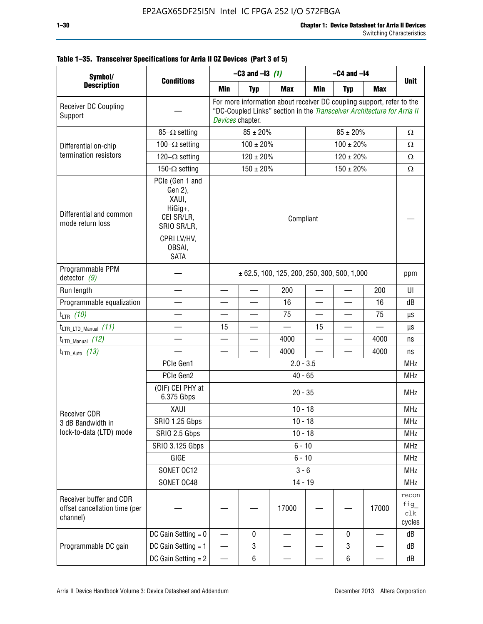| Symbol/                                                              |                                                                                                                     |                                                                                                                                                                      | $-C3$ and $-13$ (1) |                                                 | $-C4$ and $-I4$          |                          |            |                                |
|----------------------------------------------------------------------|---------------------------------------------------------------------------------------------------------------------|----------------------------------------------------------------------------------------------------------------------------------------------------------------------|---------------------|-------------------------------------------------|--------------------------|--------------------------|------------|--------------------------------|
| <b>Description</b>                                                   | <b>Conditions</b>                                                                                                   | <b>Min</b>                                                                                                                                                           | <b>Typ</b>          | <b>Max</b>                                      | <b>Min</b>               | <b>Typ</b>               | <b>Max</b> | <b>Unit</b>                    |
| Receiver DC Coupling<br>Support                                      |                                                                                                                     | For more information about receiver DC coupling support, refer to the<br>"DC-Coupled Links" section in the Transceiver Architecture for Arria II<br>Devices chapter. |                     |                                                 |                          |                          |            |                                |
|                                                                      | 85- $\Omega$ setting                                                                                                |                                                                                                                                                                      | $85 \pm 20\%$       |                                                 |                          | $85 \pm 20\%$            |            | Ω                              |
| Differential on-chip                                                 | $100 \pm 20\%$<br>$100-\Omega$ setting                                                                              |                                                                                                                                                                      |                     |                                                 |                          | $100 \pm 20\%$           |            | Ω                              |
| termination resistors                                                | 120 $-\Omega$ setting                                                                                               |                                                                                                                                                                      | $120 \pm 20\%$      |                                                 |                          | $120 \pm 20\%$           |            | $\Omega$                       |
|                                                                      | 150- $\Omega$ setting                                                                                               |                                                                                                                                                                      | $150 \pm 20\%$      |                                                 |                          | $150 \pm 20\%$           |            | Ω                              |
| Differential and common<br>mode return loss                          | PCIe (Gen 1 and<br>Gen 2),<br>XAUI,<br>HiGig+,<br>CEI SR/LR,<br>SRIO SR/LR,<br>CPRI LV/HV,<br>OBSAI,<br><b>SATA</b> | Compliant                                                                                                                                                            |                     |                                                 |                          |                          |            |                                |
| Programmable PPM<br>detector $(9)$                                   |                                                                                                                     |                                                                                                                                                                      |                     | $\pm$ 62.5, 100, 125, 200, 250, 300, 500, 1,000 |                          |                          |            | ppm                            |
| Run length                                                           |                                                                                                                     |                                                                                                                                                                      |                     | 200                                             |                          |                          | 200        | UI                             |
| Programmable equalization                                            |                                                                                                                     |                                                                                                                                                                      |                     | 16                                              | $\overline{\phantom{0}}$ |                          | 16         | dB                             |
| $t_{LTR}$ (10)                                                       |                                                                                                                     |                                                                                                                                                                      |                     | 75                                              | $\overline{\phantom{0}}$ | —                        | 75         | μs                             |
| $t_{\text{LTR\_LTD\_Manual}}$ (11)                                   |                                                                                                                     | 15                                                                                                                                                                   |                     |                                                 | 15                       | $\overline{\phantom{0}}$ |            | μs                             |
| $t_{LTD\_Manual}$ (12)                                               |                                                                                                                     | —                                                                                                                                                                    |                     | 4000                                            | —                        | —                        | 4000       | ns                             |
| $t_{LTD\_Auto}$ (13)                                                 |                                                                                                                     |                                                                                                                                                                      |                     | 4000                                            |                          |                          | 4000       | ns                             |
|                                                                      | PCIe Gen1                                                                                                           |                                                                                                                                                                      |                     | $2.0 - 3.5$                                     |                          |                          |            | <b>MHz</b>                     |
|                                                                      | PCIe Gen2                                                                                                           |                                                                                                                                                                      |                     | $40 - 65$                                       |                          |                          |            | <b>MHz</b>                     |
|                                                                      | (OIF) CEI PHY at<br>6.375 Gbps                                                                                      |                                                                                                                                                                      |                     | $20 - 35$                                       |                          |                          |            | <b>MHz</b>                     |
| <b>Receiver CDR</b>                                                  | <b>XAUI</b>                                                                                                         |                                                                                                                                                                      |                     | $10 - 18$                                       |                          |                          |            | <b>MHz</b>                     |
| 3 dB Bandwidth in                                                    | <b>SRIO 1.25 Gbps</b>                                                                                               |                                                                                                                                                                      |                     | $10 - 18$                                       |                          |                          |            | MHz                            |
| lock-to-data (LTD) mode                                              | SRIO 2.5 Gbps                                                                                                       |                                                                                                                                                                      |                     | $10 - 18$                                       |                          |                          |            | <b>MHz</b>                     |
|                                                                      | <b>SRIO 3.125 Gbps</b>                                                                                              |                                                                                                                                                                      |                     | $6 - 10$                                        |                          |                          |            | <b>MHz</b>                     |
|                                                                      | GIGE                                                                                                                |                                                                                                                                                                      |                     | $6 - 10$                                        |                          |                          |            | <b>MHz</b>                     |
|                                                                      | SONET OC12                                                                                                          |                                                                                                                                                                      |                     | $3 - 6$                                         |                          |                          |            | <b>MHz</b>                     |
|                                                                      | SONET OC48                                                                                                          |                                                                                                                                                                      |                     | $14 - 19$                                       |                          |                          |            | <b>MHz</b>                     |
| Receiver buffer and CDR<br>offset cancellation time (per<br>channel) |                                                                                                                     |                                                                                                                                                                      |                     | 17000                                           |                          |                          | 17000      | recon<br>fig_<br>clk<br>cycles |
|                                                                      | DC Gain Setting $= 0$                                                                                               |                                                                                                                                                                      | 0                   |                                                 |                          | $\pmb{0}$                |            | dB                             |

DC Gain Setting =  $1 \quad - \quad 3 \quad - \quad - \quad 3 \quad - \quad 6B$ DC Gain Setting = 2  $6$   $6$   $dB$ 

## **Table 1–35. Transceiver Specifications for Arria II GZ Devices (Part 3 of 5)**

Programmable DC gain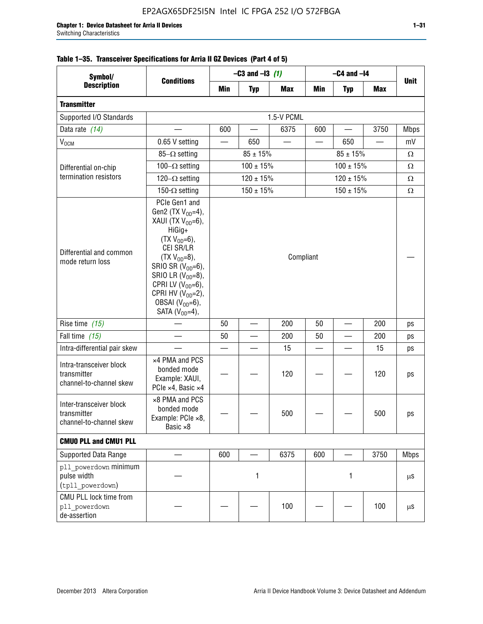| Symbol/                                                           | $-C3$ and $-13$ (1)<br>$-C4$ and $-I4$                                                                                                                                                                                                                                                     |           |                 |            |            |                |            |             |
|-------------------------------------------------------------------|--------------------------------------------------------------------------------------------------------------------------------------------------------------------------------------------------------------------------------------------------------------------------------------------|-----------|-----------------|------------|------------|----------------|------------|-------------|
| <b>Description</b>                                                | <b>Conditions</b>                                                                                                                                                                                                                                                                          | Min       | <b>Typ</b>      | <b>Max</b> | <b>Min</b> | <b>Typ</b>     | <b>Max</b> | <b>Unit</b> |
| <b>Transmitter</b>                                                |                                                                                                                                                                                                                                                                                            |           |                 |            |            |                |            |             |
| Supported I/O Standards                                           |                                                                                                                                                                                                                                                                                            |           |                 | 1.5-V PCML |            |                |            |             |
| Data rate (14)                                                    |                                                                                                                                                                                                                                                                                            | 600       |                 | 6375       | 600        |                | 3750       | <b>Mbps</b> |
| $V_{OCM}$                                                         | 0.65 V setting                                                                                                                                                                                                                                                                             |           | 650             |            |            | 650            |            | mV          |
|                                                                   | $85-\Omega$ setting                                                                                                                                                                                                                                                                        |           | $85 \pm 15\%$   |            |            | $85 \pm 15\%$  |            | Ω           |
| Differential on-chip                                              | 100 $-\Omega$ setting                                                                                                                                                                                                                                                                      |           | $100 \pm 15%$   |            |            | $100 \pm 15%$  |            | $\Omega$    |
| termination resistors                                             | $120-\Omega$ setting                                                                                                                                                                                                                                                                       |           | $120 \pm 15\%$  |            |            | $120 \pm 15\%$ |            | Ω           |
|                                                                   | 150- $\Omega$ setting                                                                                                                                                                                                                                                                      |           | $150 \pm 15\%$  |            |            | $150 \pm 15\%$ |            | Ω           |
| Differential and common<br>mode return loss                       | PCIe Gen1 and<br>Gen2 (TX $V_{OD} = 4$ ),<br>XAUI (TX $V_{OD} = 6$ ),<br>HiGig+<br>$(TX V_{OD} = 6)$ ,<br>CEI SR/LR<br>$(TX V_{OD} = 8),$<br>SRIO SR $(V_{OD}=6)$ ,<br>SRIO LR $(V_{OD}=8)$ ,<br>CPRI LV $(V_{OD}=6)$ ,<br>CPRI HV $(V_{OD}=2)$ ,<br>OBSAI $(VOD=6)$ ,<br>SATA $(VOD=4)$ , | Compliant |                 |            |            |                |            |             |
| Rise time (15)                                                    |                                                                                                                                                                                                                                                                                            | 50        |                 | 200        | 50         |                | 200        | ps          |
| Fall time (15)                                                    |                                                                                                                                                                                                                                                                                            | 50        | $\qquad \qquad$ | 200        | 50         | —              | 200        | ps          |
| Intra-differential pair skew                                      |                                                                                                                                                                                                                                                                                            |           |                 | 15         | $\equiv$   |                | 15         | ps          |
| Intra-transceiver block<br>transmitter<br>channel-to-channel skew | x4 PMA and PCS<br>bonded mode<br>Example: XAUI,<br>PCle ×4, Basic ×4                                                                                                                                                                                                                       |           |                 | 120        |            |                | 120        | ps          |
| Inter-transceiver block<br>transmitter<br>channel-to-channel skew | ×8 PMA and PCS<br>bonded mode<br>Example: PCIe ×8,<br>Basic ×8                                                                                                                                                                                                                             |           |                 | 500        |            |                | 500        | ps          |
| <b>CMUO PLL and CMU1 PLL</b>                                      |                                                                                                                                                                                                                                                                                            |           |                 |            |            |                |            |             |
| Supported Data Range                                              |                                                                                                                                                                                                                                                                                            | 600       |                 | 6375       | 600        |                | 3750       | <b>Mbps</b> |
| pll powerdown minimum<br>pulse width<br>(tpll_powerdown)          |                                                                                                                                                                                                                                                                                            |           | 1               |            |            | 1              |            | $\mu$ S     |
| CMU PLL lock time from<br>pll powerdown<br>de-assertion           |                                                                                                                                                                                                                                                                                            |           |                 | 100        |            |                | 100        | $\mu$ S     |

## **Table 1–35. Transceiver Specifications for Arria II GZ Devices (Part 4 of 5)**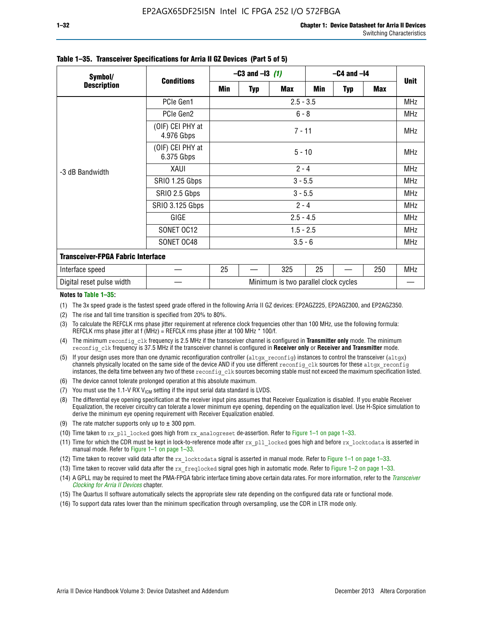| Symbol/                                  |                                |           | $-C3$ and $-13$ (1) |                                      | $-C4$ and $-I4$ |            |     |             |  |
|------------------------------------------|--------------------------------|-----------|---------------------|--------------------------------------|-----------------|------------|-----|-------------|--|
| <b>Description</b>                       | <b>Conditions</b>              | Min       | Typ                 | <b>Max</b>                           | Min             | <b>Typ</b> | Max | <b>Unit</b> |  |
|                                          | PCIe Gen1                      |           |                     | $2.5 - 3.5$                          |                 |            |     | <b>MHz</b>  |  |
|                                          | PCIe Gen2                      |           |                     | $6 - 8$                              |                 |            |     | <b>MHz</b>  |  |
| -3 dB Bandwidth                          | (OIF) CEI PHY at<br>4.976 Gbps |           |                     | $7 - 11$                             |                 |            |     | <b>MHz</b>  |  |
|                                          | (OIF) CEI PHY at<br>6.375 Gbps |           |                     | $5 - 10$                             |                 |            |     | <b>MHz</b>  |  |
|                                          | XAUI                           | $2 - 4$   |                     |                                      |                 |            |     | <b>MHz</b>  |  |
|                                          | SRIO 1.25 Gbps                 | $3 - 5.5$ |                     |                                      |                 |            |     |             |  |
|                                          | SRIO 2.5 Gbps                  |           |                     | $3 - 5.5$                            |                 |            |     | <b>MHz</b>  |  |
|                                          | <b>SRIO 3.125 Gbps</b>         |           |                     | $2 - 4$                              |                 |            |     | <b>MHz</b>  |  |
|                                          | GIGE                           |           |                     | $2.5 - 4.5$                          |                 |            |     | <b>MHz</b>  |  |
|                                          | SONET OC12                     |           |                     | $1.5 - 2.5$                          |                 |            |     | <b>MHz</b>  |  |
|                                          | SONET OC48                     |           |                     | $3.5 - 6$                            |                 |            |     | <b>MHz</b>  |  |
| <b>Transceiver-FPGA Fabric Interface</b> |                                |           |                     |                                      |                 |            |     |             |  |
| Interface speed                          |                                | 25        |                     | 325                                  | 25              |            | 250 | <b>MHz</b>  |  |
| Digital reset pulse width                |                                |           |                     | Minimum is two parallel clock cycles |                 |            |     |             |  |

#### **Table 1–35. Transceiver Specifications for Arria II GZ Devices (Part 5 of 5)**

#### **Notes to Table 1–35:**

(1) The 3x speed grade is the fastest speed grade offered in the following Arria II GZ devices: EP2AGZ225, EP2AGZ300, and EP2AGZ350.

- (2) The rise and fall time transition is specified from 20% to 80%.
- (3) To calculate the REFCLK rms phase jitter requirement at reference clock frequencies other than 100 MHz, use the following formula: REFCLK rms phase jitter at f (MHz) = REFCLK rms phase jitter at 100 MHz  $*$  100/f.
- (4) The minimum reconfig clk frequency is 2.5 MHz if the transceiver channel is configured in **Transmitter only** mode. The minimum reconfig clk frequency is 37.5 MHz if the transceiver channel is configured in **Receiver only** or **Receiver and Transmitter** mode.
- (5) If your design uses more than one dynamic reconfiguration controller (altgx reconfig) instances to control the transceiver (altgx) channels physically located on the same side of the device AND if you use different reconfig clk sources for these altgx reconfig instances, the delta time between any two of these reconfig clk sources becoming stable must not exceed the maximum specification listed.
- (6) The device cannot tolerate prolonged operation at this absolute maximum.
- (7) You must use the 1.1-V RX  $V_{ICM}$  setting if the input serial data standard is LVDS.
- (8) The differential eye opening specification at the receiver input pins assumes that Receiver Equalization is disabled. If you enable Receiver Equalization, the receiver circuitry can tolerate a lower minimum eye opening, depending on the equalization level. Use H-Spice simulation to derive the minimum eye opening requirement with Receiver Equalization enabled.
- (9) The rate matcher supports only up to  $\pm$  300 ppm.
- (10) Time taken to rx\_pll\_locked goes high from rx\_analogreset de-assertion. Refer to Figure 1–1 on page 1–33.
- (11) Time for which the CDR must be kept in lock-to-reference mode after rx pll\_locked goes high and before rx\_locktodata is asserted in manual mode. Refer to Figure 1–1 on page 1–33.
- (12) Time taken to recover valid data after the rx locktodata signal is asserted in manual mode. Refer to Figure 1–1 on page 1–33.
- (13) Time taken to recover valid data after the rx\_freqlocked signal goes high in automatic mode. Refer to Figure 1–2 on page 1–33.
- (14) A GPLL may be required to meet the PMA-FPGA fabric interface timing above certain data rates. For more information, refer to the *[Transceiver](http://www.altera.com/literature/hb/arria-ii-gx/aiigx_52002.pdf)  [Clocking for Arria II Devices](http://www.altera.com/literature/hb/arria-ii-gx/aiigx_52002.pdf)* chapter.
- (15) The Quartus II software automatically selects the appropriate slew rate depending on the configured data rate or functional mode.
- (16) To support data rates lower than the minimum specification through oversampling, use the CDR in LTR mode only.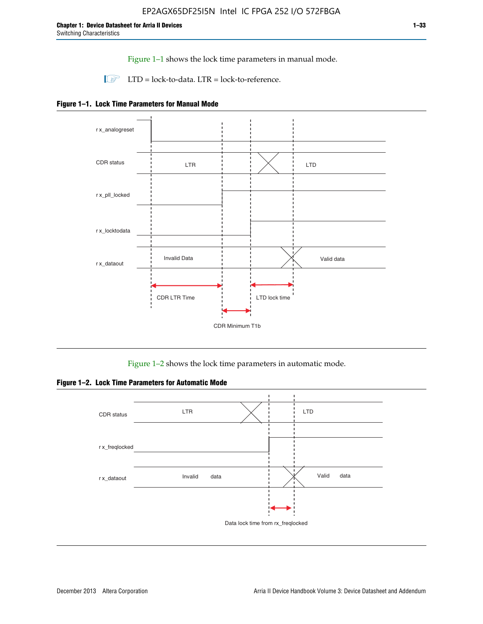Figure 1–1 shows the lock time parameters in manual mode.

 $\Box$  LTD = lock-to-data. LTR = lock-to-reference.





Figure 1–2 shows the lock time parameters in automatic mode.

**Figure 1–2. Lock Time Parameters for Automatic Mode**

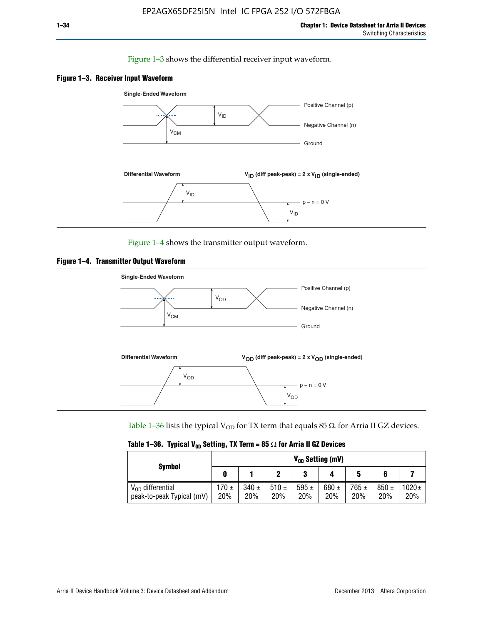### Figure 1–3 shows the differential receiver input waveform.





Figure 1–4 shows the transmitter output waveform.





Table 1–36 lists the typical V<sub>OD</sub> for TX term that equals 85  $\Omega$  for Arria II GZ devices.

| <b>Symbol</b>                                      |              |                  |             |                  | V <sub>on</sub> Setting (mV) |                  |                  |                   |
|----------------------------------------------------|--------------|------------------|-------------|------------------|------------------------------|------------------|------------------|-------------------|
|                                                    | 0            |                  |             | 3                |                              | 5                | 6                |                   |
| $V_{OD}$ differential<br>peak-to-peak Typical (mV) | 170 ±<br>20% | $340 \pm$<br>20% | 510±<br>20% | 595 $\pm$<br>20% | 680 $\pm$<br>20%             | $765 \pm$<br>20% | $850 \pm$<br>20% | $1020 \pm$<br>20% |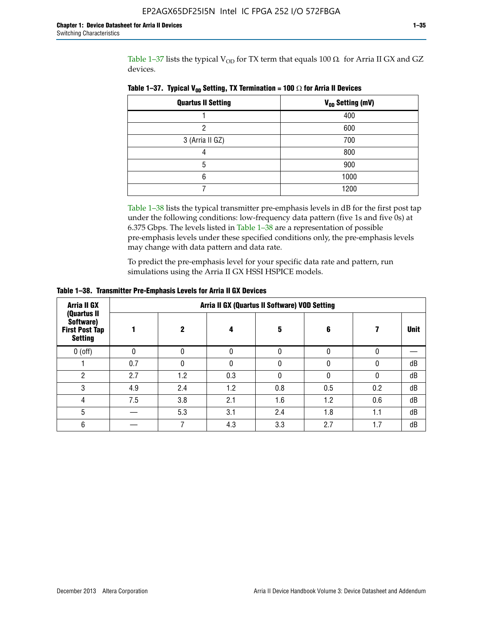Table 1–37 lists the typical  $V_{OD}$  for TX term that equals 100  $\Omega$  for Arria II GX and GZ devices.

| <b>Quartus II Setting</b> | V <sub>OD</sub> Setting (mV) |
|---------------------------|------------------------------|
|                           | 400                          |
| າ                         | 600                          |
| 3 (Arria II GZ)           | 700                          |
|                           | 800                          |
| 5                         | 900                          |
| հ                         | 1000                         |
|                           | 1200                         |

**Table 1–37. Typical V<sub>OD</sub> Setting, TX Termination = 100**  $\Omega$  for Arria II Devices

Table 1–38 lists the typical transmitter pre-emphasis levels in dB for the first post tap under the following conditions: low-frequency data pattern (five 1s and five 0s) at 6.375 Gbps. The levels listed in Table 1–38 are a representation of possible pre-emphasis levels under these specified conditions only, the pre-emphasis levels may change with data pattern and data rate.

To predict the pre-emphasis level for your specific data rate and pattern, run simulations using the Arria II GX HSSI HSPICE models.

| <b>Arria II GX</b>                                                  | Arria II GX (Quartus II Software) VOD Setting |     |     |     |     |     |             |  |  |  |  |
|---------------------------------------------------------------------|-----------------------------------------------|-----|-----|-----|-----|-----|-------------|--|--|--|--|
| (Quartus II<br>Software)<br><b>First Post Tap</b><br><b>Setting</b> |                                               | 2   | 4   | 5   | 6   |     | <b>Unit</b> |  |  |  |  |
| $0$ (off)                                                           | 0                                             | 0   | U   |     |     |     |             |  |  |  |  |
|                                                                     | 0.7                                           | N   | U   |     |     |     | dB          |  |  |  |  |
| ŋ                                                                   | 2.7                                           | 1.2 | 0.3 |     |     |     | dB          |  |  |  |  |
| 3                                                                   | 4.9                                           | 2.4 | 1.2 | 0.8 | 0.5 | 0.2 | dB          |  |  |  |  |
| 4                                                                   | 7.5                                           | 3.8 | 2.1 | 1.6 | 1.2 | 0.6 | dB          |  |  |  |  |
| 5                                                                   |                                               | 5.3 | 3.1 | 2.4 | 1.8 | 1.1 | dB          |  |  |  |  |
| 6                                                                   |                                               |     | 4.3 | 3.3 | 2.7 | 1.7 | dB          |  |  |  |  |

**Table 1–38. Transmitter Pre-Emphasis Levels for Arria II GX Devices**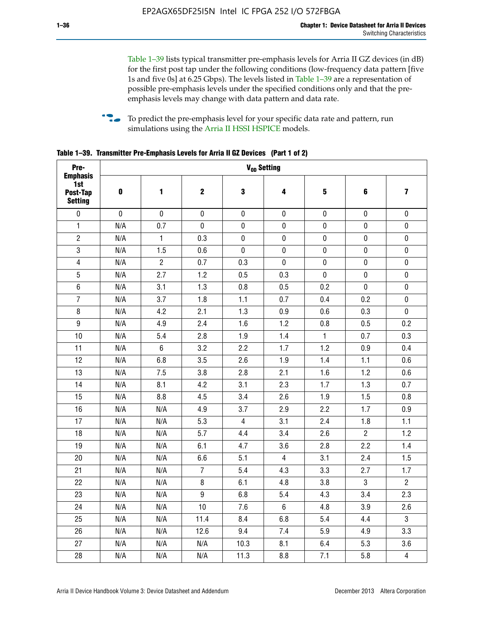Table 1–39 lists typical transmitter pre-emphasis levels for Arria II GZ devices (in dB) for the first post tap under the following conditions (low-frequency data pattern [five 1s and five 0s] at 6.25 Gbps). The levels listed in Table 1–39 are a representation of possible pre-emphasis levels under the specified conditions only and that the preemphasis levels may change with data pattern and data rate.

**follow** To predict the pre-emphasis level for your specific data rate and pattern, run simulations using the [Arria II HSSI HSPICE](http://www.altera.com/support/software/download/hspice/hsp-index.html) models.

| Pre-                                                 |           |                |                  | V <sub>OD</sub> Setting |                |                         |                |                         |
|------------------------------------------------------|-----------|----------------|------------------|-------------------------|----------------|-------------------------|----------------|-------------------------|
| <b>Emphasis</b><br>1st<br>Post-Tap<br><b>Setting</b> | $\pmb{0}$ | 1              | $\mathbf 2$      | $\mathbf 3$             | 4              | $\overline{\mathbf{5}}$ | 6              | $\overline{\mathbf{z}}$ |
| $\pmb{0}$                                            | $\pmb{0}$ | $\pmb{0}$      | $\pmb{0}$        | $\pmb{0}$               | $\pmb{0}$      | $\pmb{0}$               | $\pmb{0}$      | $\pmb{0}$               |
| $\mathbf{1}$                                         | N/A       | 0.7            | $\pmb{0}$        | $\pmb{0}$               | $\pmb{0}$      | $\pmb{0}$               | $\pmb{0}$      | $\pmb{0}$               |
| $\overline{2}$                                       | N/A       | $\mathbf{1}$   | 0.3              | $\pmb{0}$               | $\mathbf 0$    | $\mathbf 0$             | $\mathbf 0$    | $\pmb{0}$               |
| $\mathbf 3$                                          | N/A       | 1.5            | 0.6              | $\mathbf 0$             | $\pmb{0}$      | $\pmb{0}$               | $\pmb{0}$      | $\pmb{0}$               |
| $\overline{\mathbf{4}}$                              | N/A       | $\overline{2}$ | 0.7              | 0.3                     | $\pmb{0}$      | $\pmb{0}$               | $\pmb{0}$      | $\pmb{0}$               |
| $\overline{5}$                                       | N/A       | 2.7            | 1.2              | 0.5                     | 0.3            | $\pmb{0}$               | 0              | $\pmb{0}$               |
| $\,6\,$                                              | N/A       | 3.1            | 1.3              | 0.8                     | 0.5            | 0.2                     | $\mathbf 0$    | $\pmb{0}$               |
| $\overline{7}$                                       | N/A       | 3.7            | 1.8              | 1.1                     | 0.7            | 0.4                     | 0.2            | $\pmb{0}$               |
| $\bf 8$                                              | N/A       | 4.2            | 2.1              | 1.3                     | 0.9            | 0.6                     | 0.3            | $\pmb{0}$               |
| $\boldsymbol{9}$                                     | N/A       | 4.9            | 2.4              | 1.6                     | 1.2            | 0.8                     | 0.5            | 0.2                     |
| 10                                                   | N/A       | 5.4            | 2.8              | 1.9                     | 1.4            | $\mathbf{1}$            | 0.7            | 0.3                     |
| 11                                                   | N/A       | $\,6\,$        | 3.2              | 2.2                     | 1.7            | 1.2                     | 0.9            | 0.4                     |
| 12                                                   | N/A       | 6.8            | 3.5              | 2.6                     | 1.9            | 1.4                     | 1.1            | 0.6                     |
| 13                                                   | N/A       | 7.5            | 3.8              | 2.8                     | 2.1            | 1.6                     | 1.2            | 0.6                     |
| 14                                                   | N/A       | 8.1            | 4.2              | 3.1                     | 2.3            | 1.7                     | 1.3            | 0.7                     |
| 15                                                   | N/A       | 8.8            | 4.5              | 3.4                     | 2.6            | 1.9                     | 1.5            | 0.8                     |
| 16                                                   | N/A       | N/A            | 4.9              | 3.7                     | 2.9            | 2.2                     | 1.7            | 0.9                     |
| 17                                                   | N/A       | N/A            | 5.3              | $\overline{4}$          | 3.1            | 2.4                     | 1.8            | 1.1                     |
| 18                                                   | N/A       | N/A            | 5.7              | 4.4                     | 3.4            | 2.6                     | $\overline{c}$ | 1.2                     |
| 19                                                   | N/A       | N/A            | 6.1              | 4.7                     | 3.6            | 2.8                     | 2.2            | 1.4                     |
| 20                                                   | N/A       | N/A            | 6.6              | 5.1                     | 4              | 3.1                     | 2.4            | 1.5                     |
| 21                                                   | N/A       | N/A            | $\overline{7}$   | 5.4                     | 4.3            | 3.3                     | 2.7            | 1.7                     |
| 22                                                   | N/A       | N/A            | 8                | 6.1                     | 4.8            | 3.8                     | 3              | $\overline{2}$          |
| 23                                                   | N/A       | N/A            | $\boldsymbol{9}$ | 6.8                     | 5.4            | 4.3                     | 3.4            | 2.3                     |
| 24                                                   | N/A       | N/A            | 10               | 7.6                     | $6\phantom{.}$ | 4.8                     | 3.9            | 2.6                     |
| 25                                                   | N/A       | N/A            | 11.4             | 8.4                     | 6.8            | 5.4                     | 4.4            | 3                       |
| 26                                                   | N/A       | N/A            | 12.6             | 9.4                     | 7.4            | 5.9                     | 4.9            | 3.3                     |
| 27                                                   | N/A       | N/A            | N/A              | 10.3                    | 8.1            | 6.4                     | 5.3            | 3.6                     |
| 28                                                   | N/A       | N/A            | N/A              | 11.3                    | 8.8            | 7.1                     | 5.8            | $\overline{4}$          |

**Table 1–39. Transmitter Pre-Emphasis Levels for Arria II GZ Devices (Part 1 of 2)**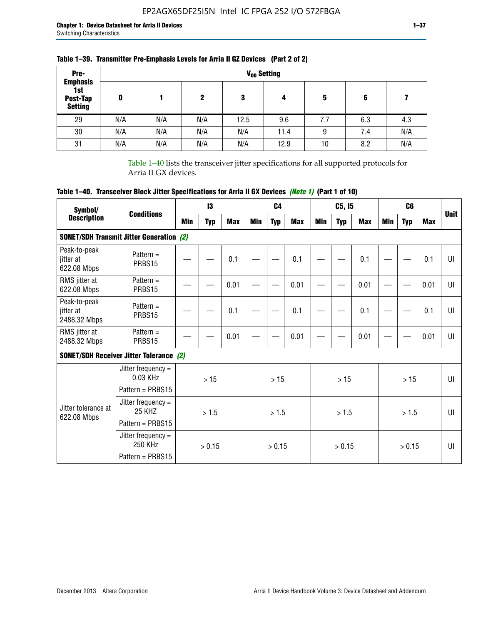| Pre-                                                 |     |     |     |      |      |     |     |     |
|------------------------------------------------------|-----|-----|-----|------|------|-----|-----|-----|
| <b>Emphasis</b><br>1st<br>Post-Tap<br><b>Setting</b> | 0   |     | 2   | 3    | 4    | 5   | 6   |     |
| 29                                                   | N/A | N/A | N/A | 12.5 | 9.6  | 7.7 | 6.3 | 4.3 |
| 30                                                   | N/A | N/A | N/A | N/A  | 11.4 | 9   | 7.4 | N/A |
| 31                                                   | N/A | N/A | N/A | N/A  | 12.9 | 10  | 8.2 | N/A |

## **Table 1–39. Transmitter Pre-Emphasis Levels for Arria II GZ Devices (Part 2 of 2)**

Table 1–40 lists the transceiver jitter specifications for all supported protocols for Arria II GX devices.

# **Table 1–40. Transceiver Block Jitter Specifications for Arria II GX Devices** *(Note 1)* **(Part 1 of 10)**

| Symbol/                                   |                                                              |     | 13         |            |     | C <sub>4</sub> |            |     | C5, I5     |            |     | C <sub>6</sub> |            |              |
|-------------------------------------------|--------------------------------------------------------------|-----|------------|------------|-----|----------------|------------|-----|------------|------------|-----|----------------|------------|--------------|
| <b>Description</b>                        | <b>Conditions</b>                                            | Min | <b>Typ</b> | <b>Max</b> | Min | <b>Typ</b>     | <b>Max</b> | Min | <b>Typ</b> | <b>Max</b> | Min | <b>Typ</b>     | <b>Max</b> | <b>Unit</b>  |
|                                           | <b>SONET/SDH Transmit Jitter Generation (2)</b>              |     |            |            |     |                |            |     |            |            |     |                |            |              |
| Peak-to-peak<br>jitter at<br>622.08 Mbps  | Pattern $=$<br>PRBS15                                        |     |            | 0.1        |     |                | 0.1        |     |            | 0.1        |     |                | 0.1        | UI           |
| RMS jitter at<br>622.08 Mbps              | Pattern $=$<br>PRBS15                                        |     |            | 0.01       |     |                | 0.01       |     |            | 0.01       |     |                | 0.01       | UI           |
| Peak-to-peak<br>jitter at<br>2488.32 Mbps | Pattern $=$<br>PRBS15                                        |     |            | 0.1        |     |                | 0.1        |     |            | 0.1        |     |                | 0.1        | UI           |
| RMS jitter at<br>2488.32 Mbps             | Pattern $=$<br>PRBS15                                        |     |            | 0.01       |     |                | 0.01       |     |            | 0.01       |     |                | 0.01       | UI           |
|                                           | <b>SONET/SDH Receiver Jitter Tolerance (2)</b>               |     |            |            |     |                |            |     |            |            |     |                |            |              |
|                                           | Jitter frequency $=$<br>$0.03$ KHz<br>Pattern = PRBS15       |     | >15        |            |     | >15            |            |     | >15        |            |     | >15            |            | $\mathbf{U}$ |
| Jitter tolerance at<br>622.08 Mbps        | Jitter frequency =<br>25 KH <sub>7</sub><br>Pattern = PRBS15 |     | > 1.5      |            |     | > 1.5          |            |     | > 1.5      |            |     | > 1.5          |            | $\mathbf{U}$ |
|                                           | Jitter frequency $=$<br>250 KHz<br>Pattern = PRBS15          |     | > 0.15     |            |     | > 0.15         |            |     | > 0.15     |            |     | > 0.15         |            | $\mathbf{U}$ |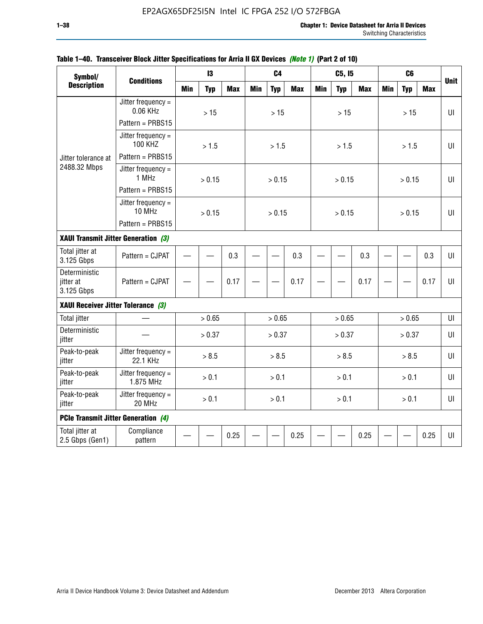| Symbol/                                    |                                                      |            | 13         |            |            | C <sub>4</sub> |            |            | C5, I5     |            |            | C <sub>6</sub> |            |             |
|--------------------------------------------|------------------------------------------------------|------------|------------|------------|------------|----------------|------------|------------|------------|------------|------------|----------------|------------|-------------|
| <b>Description</b>                         | <b>Conditions</b>                                    | <b>Min</b> | <b>Typ</b> | <b>Max</b> | <b>Min</b> | <b>Typ</b>     | <b>Max</b> | <b>Min</b> | <b>Typ</b> | <b>Max</b> | <b>Min</b> | <b>Typ</b>     | <b>Max</b> | <b>Unit</b> |
|                                            | Jitter frequency $=$<br>0.06 KHz<br>Pattern = PRBS15 |            | $>15$      |            |            | $>15$          |            |            | $>15$      |            |            | $>15$          |            | $U\Gamma$   |
|                                            | Jitter frequency $=$<br><b>100 KHZ</b>               |            | > 1.5      |            |            | > 1.5          |            |            | > 1.5      |            |            | > 1.5          |            | $U\Gamma$   |
| Jitter tolerance at                        | Pattern = PRBS15                                     |            |            |            |            |                |            |            |            |            |            |                |            |             |
| 2488.32 Mbps                               | Jitter frequency $=$<br>1 MHz                        |            | > 0.15     |            |            | > 0.15         |            |            | > 0.15     |            |            | > 0.15         |            | $U\Gamma$   |
|                                            | Pattern = PRBS15                                     |            |            |            |            |                |            |            |            |            |            |                |            |             |
|                                            | Jitter frequency $=$<br>10 MHz                       |            | > 0.15     |            |            | > 0.15         |            |            | > 0.15     |            |            | > 0.15         |            | UI          |
|                                            | Pattern = PRBS15                                     |            |            |            |            |                |            |            |            |            |            |                |            |             |
| XAUI Transmit Jitter Generation (3)        |                                                      | 0.3        |            |            |            |                |            |            |            |            |            |                |            |             |
| Total jitter at<br>3.125 Gbps              | Pattern = CJPAT                                      |            |            |            |            |                | 0.3        |            |            | 0.3        |            |                | 0.3        | UI          |
| Deterministic<br>jitter at<br>3.125 Gbps   | Pattern = CJPAT                                      | 0.17       |            |            |            | 0.17           |            |            | 0.17       |            |            | 0.17           | U          |             |
| XAUI Receiver Jitter Tolerance (3)         |                                                      |            |            |            |            |                |            |            |            |            |            |                |            |             |
| <b>Total jitter</b>                        |                                                      |            | > 0.65     |            |            | > 0.65         |            |            | > 0.65     |            |            | > 0.65         |            | UI          |
| Deterministic<br>jitter                    |                                                      |            | > 0.37     |            |            | > 0.37         |            |            | > 0.37     |            |            | > 0.37         |            | UI          |
| Peak-to-peak<br>jitter                     | Jitter frequency =<br>22.1 KHz                       |            | > 8.5      |            |            | > 8.5          |            |            | > 8.5      |            |            | > 8.5          |            | UI          |
| Peak-to-peak<br>jitter                     | Jitter frequency $=$<br>1.875 MHz                    |            | > 0.1      |            |            | > 0.1          |            |            | > 0.1      |            |            | > 0.1          |            | $U\Gamma$   |
| Peak-to-peak<br>jitter                     | Jitter frequency $=$<br>20 MHz                       | > 0.1      |            |            |            | > 0.1          |            |            | > 0.1      |            |            | > 0.1          |            | UI          |
| <b>PCIe Transmit Jitter Generation (4)</b> |                                                      |            |            |            |            |                |            |            |            |            |            |                |            |             |
| Total jitter at<br>2.5 Gbps (Gen1)         | Compliance<br>pattern                                |            |            | 0.25       |            |                | 0.25       |            |            | 0.25       |            |                | 0.25       | UI          |

## **Table 1–40. Transceiver Block Jitter Specifications for Arria II GX Devices** *(Note 1)* **(Part 2 of 10)**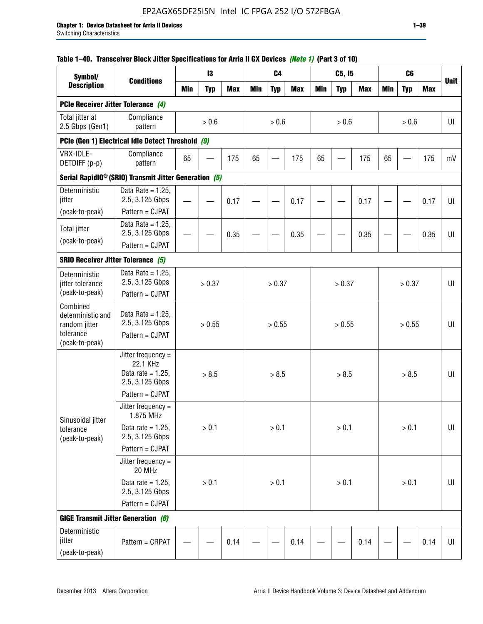## **Table 1–40. Transceiver Block Jitter Specifications for Arria II GX Devices** *(Note 1)* **(Part 3 of 10)**

| Symbol/                                             |                                                                           |            | 13         |            |            | C <sub>4</sub> |            |            | C5, I5     |            |            | C <sub>6</sub> |            |             |
|-----------------------------------------------------|---------------------------------------------------------------------------|------------|------------|------------|------------|----------------|------------|------------|------------|------------|------------|----------------|------------|-------------|
| <b>Description</b>                                  | <b>Conditions</b>                                                         | <b>Min</b> | <b>Typ</b> | <b>Max</b> | <b>Min</b> | <b>Typ</b>     | <b>Max</b> | <b>Min</b> | <b>Typ</b> | <b>Max</b> | <b>Min</b> | <b>Typ</b>     | <b>Max</b> | <b>Unit</b> |
| PCIe Receiver Jitter Tolerance (4)                  |                                                                           |            |            |            |            |                |            |            |            |            |            |                |            |             |
| Total jitter at<br>2.5 Gbps (Gen1)                  | Compliance<br>pattern                                                     |            | $> 0.6$    |            |            | > 0.6          |            |            | > 0.6      |            |            | > 0.6          |            | UI          |
|                                                     | PCIe (Gen 1) Electrical Idle Detect Threshold (9)                         |            |            |            |            |                |            |            |            |            |            |                |            |             |
| VRX-IDLE-<br>DETDIFF (p-p)                          | Compliance<br>pattern                                                     | 65         |            | 175        | 65         |                | 175        | 65         |            | 175        | 65         |                | 175        | mV          |
|                                                     | Serial RapidIO <sup>®</sup> (SRIO) Transmit Jitter Generation (5)         |            |            |            |            |                |            |            |            |            |            |                |            |             |
| Deterministic<br>jitter                             | Data Rate = $1.25$ ,<br>2.5, 3.125 Gbps<br>Pattern = CJPAT                |            |            | 0.17       |            |                | 0.17       |            |            | 0.17       |            |                | 0.17       | UI          |
| (peak-to-peak)                                      | Data Rate = $1.25$ ,                                                      |            |            |            |            |                |            |            |            |            |            |                |            |             |
| <b>Total jitter</b>                                 | 2.5, 3.125 Gbps                                                           |            |            | 0.35       |            |                | 0.35       |            |            | 0.35       |            |                | 0.35       | UI          |
| (peak-to-peak)                                      | Pattern = CJPAT                                                           |            |            |            |            |                |            |            |            |            |            |                |            |             |
| <b>SRIO Receiver Jitter Tolerance (5)</b>           |                                                                           |            |            |            |            |                |            |            |            |            |            |                |            |             |
| Deterministic<br>jitter tolerance<br>(peak-to-peak) | Data Rate = $1.25$ ,<br>2.5, 3.125 Gbps<br>Pattern = CJPAT                | > 0.37     |            |            | > 0.37     |                |            | > 0.37     |            |            | > 0.37     |                | UI         |             |
| Combined<br>deterministic and<br>random jitter      | Data Rate = $1.25$ ,<br>2.5, 3.125 Gbps                                   | > 0.55     |            |            |            | > 0.55         |            |            | > 0.55     |            |            | > 0.55         |            | U           |
| tolerance<br>(peak-to-peak)                         | Pattern = CJPAT                                                           |            |            |            |            |                |            |            |            |            |            |                |            |             |
|                                                     | Jitter frequency =<br>22.1 KHz<br>Data rate = $1.25$ .<br>2.5, 3.125 Gbps |            | > 8.5      |            |            | > 8.5          |            |            | > 8.5      |            |            | > 8.5          |            | UI          |
|                                                     | Pattern = CJPAT                                                           |            |            |            |            |                |            |            |            |            |            |                |            |             |
| Sinusoidal jitter                                   | Jitter frequency $=$<br>1.875 MHz                                         |            |            |            |            |                |            |            |            |            |            |                |            |             |
| tolerance<br>(peak-to-peak)                         | Data rate = $1.25$ ,<br>2.5, 3.125 Gbps                                   |            | > 0.1      |            |            | > 0.1          |            |            | > 0.1      |            |            | $> 0.1$        |            | UI          |
|                                                     | Pattern = CJPAT                                                           |            |            |            |            |                |            |            |            |            |            |                |            |             |
|                                                     | Jitter frequency =<br>20 MHz                                              |            |            |            |            |                |            |            |            |            |            |                |            |             |
|                                                     | Data rate = $1.25$ ,<br>2.5, 3.125 Gbps                                   | $> 0.1$    |            |            |            | > 0.1          |            |            | > 0.1      |            |            | $> 0.1$        |            | UI          |
|                                                     | Pattern = CJPAT                                                           |            |            |            |            |                |            |            |            |            |            |                |            |             |
| <b>GIGE Transmit Jitter Generation (6)</b>          |                                                                           |            |            |            |            |                |            |            |            |            |            |                |            |             |
| Deterministic<br>jitter<br>(peak-to-peak)           | Pattern = CRPAT                                                           |            |            | 0.14       |            |                | 0.14       |            |            | 0.14       |            |                | 0.14       | UI          |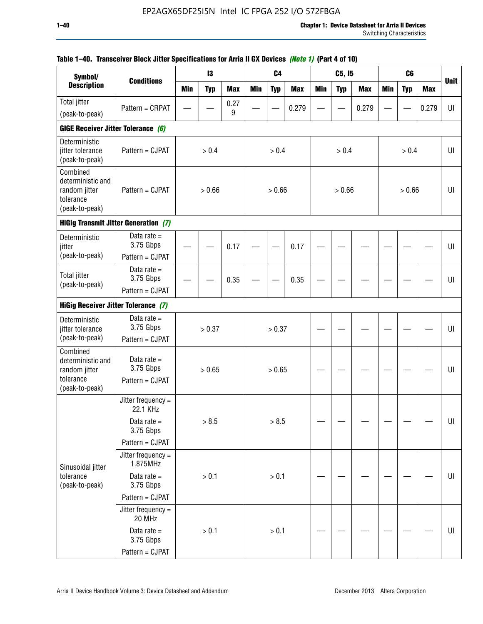| Symbol/<br><b>Description</b>                                                 |                                               |            | 13         |            |            | C <sub>4</sub> |            |            | C5, I5     |            |            | C <sub>6</sub> |            |             |
|-------------------------------------------------------------------------------|-----------------------------------------------|------------|------------|------------|------------|----------------|------------|------------|------------|------------|------------|----------------|------------|-------------|
|                                                                               | <b>Conditions</b>                             | <b>Min</b> | <b>Typ</b> | <b>Max</b> | <b>Min</b> | <b>Typ</b>     | <b>Max</b> | <b>Min</b> | <b>Typ</b> | <b>Max</b> | <b>Min</b> | <b>Typ</b>     | <b>Max</b> | <b>Unit</b> |
| <b>Total jitter</b>                                                           | Pattern = CRPAT                               |            |            | 0.27       |            |                | 0.279      |            |            | 0.279      |            |                | 0.279      | UI          |
| (peak-to-peak)                                                                |                                               |            |            | 9          |            |                |            |            |            |            |            |                |            |             |
| GIGE Receiver Jitter Tolerance (6)                                            |                                               |            |            |            |            |                |            |            |            |            |            |                |            |             |
| Deterministic<br>jitter tolerance<br>(peak-to-peak)                           | Pattern = CJPAT                               |            | > 0.4      |            |            | > 0.4          |            |            | > 0.4      |            |            | > 0.4          |            | UI          |
| Combined<br>deterministic and<br>random jitter<br>tolerance<br>(peak-to-peak) | Pattern = CJPAT                               |            | > 0.66     |            |            | > 0.66         |            |            | > 0.66     |            |            | > 0.66         |            | UI          |
|                                                                               | <b>HiGig Transmit Jitter Generation (7)</b>   |            |            |            |            |                |            |            |            |            |            |                |            |             |
| Deterministic<br>jitter                                                       | Data rate $=$<br>3.75 Gbps                    |            |            | 0.17       |            |                | 0.17       |            |            |            |            |                |            | UI          |
| (peak-to-peak)                                                                | Pattern = CJPAT                               |            |            |            |            |                |            |            |            |            |            |                |            |             |
| <b>Total jitter</b><br>(peak-to-peak)                                         | Data rate $=$<br>3.75 Gbps                    |            |            | 0.35       |            |                | 0.35       |            |            |            |            |                |            | UI          |
|                                                                               | Pattern = CJPAT                               |            |            |            |            |                |            |            |            |            |            |                |            |             |
| <b>HiGig Receiver Jitter Tolerance (7)</b>                                    |                                               |            |            |            |            |                |            |            |            |            |            |                |            |             |
| Deterministic<br>jitter tolerance                                             | Data rate $=$<br>3.75 Gbps                    |            | > 0.37     |            |            | > 0.37         |            |            |            |            |            |                |            | UI          |
| (peak-to-peak)                                                                | Pattern = CJPAT                               |            |            |            |            |                |            |            |            |            |            |                |            |             |
| Combined<br>deterministic and<br>random jitter<br>tolerance                   | Data rate $=$<br>3.75 Gbps<br>Pattern = CJPAT |            | > 0.65     |            |            | > 0.65         |            |            |            |            |            |                |            | UI          |
| (peak-to-peak)                                                                |                                               |            |            |            |            |                |            |            |            |            |            |                |            |             |
|                                                                               | Jitter frequency =<br>22.1 KHz                |            |            |            |            |                |            |            |            |            |            |                |            |             |
|                                                                               | Data rate $=$<br>3.75 Gbps                    |            | > 8.5      |            |            | > 8.5          |            |            |            |            |            |                |            | UI          |
|                                                                               | Pattern = CJPAT                               |            |            |            |            |                |            |            |            |            |            |                |            |             |
| Sinusoidal jitter                                                             | Jitter frequency =<br>1.875MHz                |            |            |            |            |                |            |            |            |            |            |                |            |             |
| tolerance<br>(peak-to-peak)                                                   | Data rate $=$<br>3.75 Gbps                    |            | > 0.1      |            |            | $> 0.1$        |            |            |            |            |            |                |            | UI          |
|                                                                               | Pattern = CJPAT                               |            |            |            |            |                |            |            |            |            |            |                |            |             |
|                                                                               | Jitter frequency $=$<br>20 MHz                |            |            |            |            |                |            |            |            |            |            |                |            |             |
|                                                                               | Data rate $=$<br>3.75 Gbps                    |            | > 0.1      |            |            | > 0.1          |            |            |            |            |            |                |            | UI          |
|                                                                               | Pattern = CJPAT                               |            |            |            |            |                |            |            |            |            |            |                |            |             |

## **Table 1–40. Transceiver Block Jitter Specifications for Arria II GX Devices** *(Note 1)* **(Part 4 of 10)**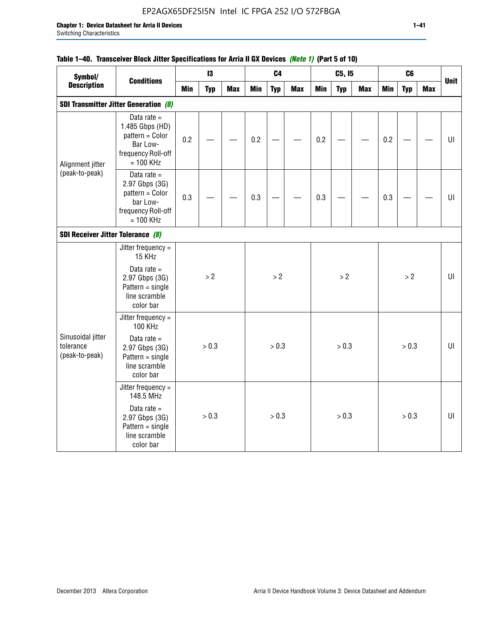## EP2AGX65DF25I5N Intel IC FPGA 252 I/O 572FBGA

| Symbol/                                             | <b>Conditions</b>                                                                                                      |            | 13         |            |     | C <sub>4</sub> |            |            | C5, I5     |     |            | C6         |            |             |
|-----------------------------------------------------|------------------------------------------------------------------------------------------------------------------------|------------|------------|------------|-----|----------------|------------|------------|------------|-----|------------|------------|------------|-------------|
| <b>Description</b>                                  |                                                                                                                        | <b>Min</b> | <b>Typ</b> | <b>Max</b> | Min | <b>Typ</b>     | <b>Max</b> | <b>Min</b> | <b>Typ</b> | Max | <b>Min</b> | <b>Typ</b> | <b>Max</b> | <b>Unit</b> |
|                                                     | <b>SDI Transmitter Jitter Generation (8)</b>                                                                           |            |            |            |     |                |            |            |            |     |            |            |            |             |
| Alignment jitter                                    | Data rate $=$<br>1.485 Gbps (HD)<br>pattern = Color<br>Bar Low-<br>frequency Roll-off<br>$= 100$ KHz                   | 0.2        |            |            | 0.2 |                |            | 0.2        |            |     | 0.2        |            |            | UI          |
| (peak-to-peak)<br>SDI Receiver Jitter Tolerance (8) | Data rate $=$<br>2.97 Gbps (3G)<br>pattern = Color<br>bar Low-<br>frequency Roll-off<br>$= 100$ KHz                    | 0.3        |            |            | 0.3 |                |            | 0.3        |            |     | 0.3        |            |            | UI          |
|                                                     |                                                                                                                        |            |            |            |     |                |            |            |            |     |            |            |            |             |
| Sinusoidal jitter<br>tolerance<br>(peak-to-peak)    | Jitter frequency $=$<br>15 KHz<br>Data rate $=$<br>2.97 Gbps (3G)<br>$Pattern = single$<br>line scramble<br>color bar  |            | > 2        |            |     | > 2            |            |            | >2         |     |            | > 2        |            | UI          |
|                                                     | Jitter frequency =<br>100 KHz<br>Data rate $=$<br>2.97 Gbps (3G)<br>$Pattern = single$<br>line scramble<br>color bar   |            | > 0.3      |            |     | > 0.3          |            |            | > 0.3      |     |            | > 0.3      |            | UI          |
|                                                     | Jitter frequency =<br>148.5 MHz<br>Data rate $=$<br>2.97 Gbps (3G)<br>$Pattern = single$<br>line scramble<br>color bar |            | > 0.3      |            |     | > 0.3          |            |            | > 0.3      |     |            | > 0.3      |            | UI          |

## **Table 1–40. Transceiver Block Jitter Specifications for Arria II GX Devices** *(Note 1)* **(Part 5 of 10)**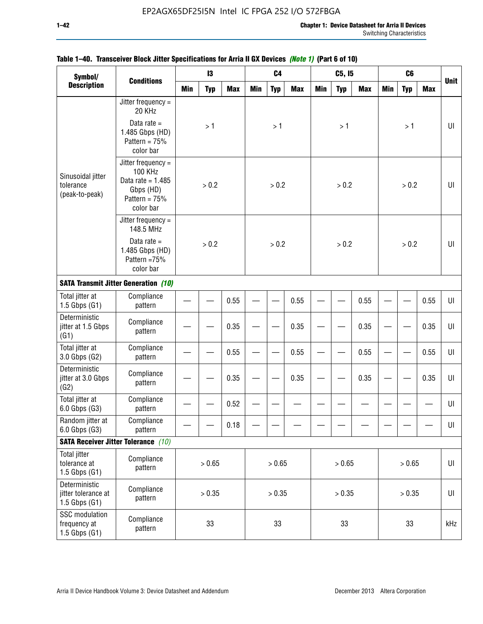| Symbol/                                                   |                                                                                                     |              | 13         |            |     | C <sub>4</sub> |            |            | C5, I5     |            |            | C <sub>6</sub> |            |             |
|-----------------------------------------------------------|-----------------------------------------------------------------------------------------------------|--------------|------------|------------|-----|----------------|------------|------------|------------|------------|------------|----------------|------------|-------------|
| <b>Description</b>                                        | <b>Conditions</b>                                                                                   | <b>Min</b>   | <b>Typ</b> | <b>Max</b> | Min | <b>Typ</b>     | <b>Max</b> | <b>Min</b> | <b>Typ</b> | <b>Max</b> | <b>Min</b> | <b>Typ</b>     | <b>Max</b> | <b>Unit</b> |
|                                                           | Jitter frequency $=$<br>20 KHz                                                                      |              |            |            |     |                |            |            |            |            |            |                |            |             |
|                                                           | Data rate $=$<br>1.485 Gbps (HD)<br>Pattern = $75%$<br>color bar                                    |              | >1         |            |     | $>1$           |            |            | >1         |            |            | >1             |            | UI          |
| Sinusoidal jitter<br>tolerance<br>(peak-to-peak)          | Jitter frequency $=$<br>100 KHz<br>Data rate = $1.485$<br>Gbps (HD)<br>Pattern = $75%$<br>color bar |              | > 0.2      |            |     | > 0.2          |            |            | > 0.2      |            |            | > 0.2          |            | UI          |
|                                                           | Jitter frequency $=$<br>148.5 MHz                                                                   |              | > 0.2      |            |     |                |            |            |            |            |            |                |            |             |
|                                                           | Data rate $=$<br>1.485 Gbps (HD)<br>Pattern =75%<br>color bar                                       | 0.55<br>0.35 |            |            |     | > 0.2          |            |            | > 0.2      |            |            | > 0.2          |            | UI          |
|                                                           | <b>SATA Transmit Jitter Generation (10)</b>                                                         |              |            |            |     |                |            |            |            |            |            |                |            |             |
| Total jitter at<br>$1.5$ Gbps $(G1)$                      | Compliance<br>pattern                                                                               |              |            |            |     |                | 0.55       |            |            | 0.55       |            |                | 0.55       | UI          |
| Deterministic<br>jitter at 1.5 Gbps<br>(G1)               | Compliance<br>pattern                                                                               |              |            |            |     | 0.35           |            |            | 0.35       |            |            | 0.35           | UI         |             |
| Total jitter at<br>3.0 Gbps (G2)                          | Compliance<br>pattern                                                                               |              |            | 0.55       |     |                | 0.55       |            |            | 0.55       |            |                | 0.55       | UI          |
| Deterministic<br>jitter at 3.0 Gbps<br>(G2)               | Compliance<br>pattern                                                                               |              |            | 0.35       |     |                | 0.35       |            |            | 0.35       |            |                | 0.35       | UI          |
| Total jitter at<br>6.0 Gbps (G3)                          | Compliance<br>pattern                                                                               |              |            | 0.52       |     |                |            |            |            |            |            |                |            | UI          |
| Random jitter at<br>6.0 Gbps (G3)                         | Compliance<br>pattern                                                                               |              |            | 0.18       |     |                |            |            |            |            |            |                |            | UI          |
|                                                           | <b>SATA Receiver Jitter Tolerance</b> (10)                                                          |              |            |            |     |                |            |            |            |            |            |                |            |             |
| <b>Total jitter</b><br>tolerance at<br>$1.5$ Gbps $(G1)$  | Compliance<br>pattern                                                                               | > 0.65       |            |            |     | > 0.65         |            |            | > 0.65     |            |            | > 0.65         |            | UI          |
| Deterministic<br>jitter tolerance at<br>$1.5$ Gbps $(G1)$ | Compliance<br>pattern                                                                               |              | > 0.35     |            |     | > 0.35         |            |            | > 0.35     |            |            | > 0.35         |            | UI          |
| SSC modulation<br>frequency at<br>$1.5$ Gbps $(G1)$       | Compliance<br>pattern                                                                               | 33           |            |            |     | 33             |            |            | 33         |            |            | 33             |            | kHz         |

## **Table 1–40. Transceiver Block Jitter Specifications for Arria II GX Devices** *(Note 1)* **(Part 6 of 10)**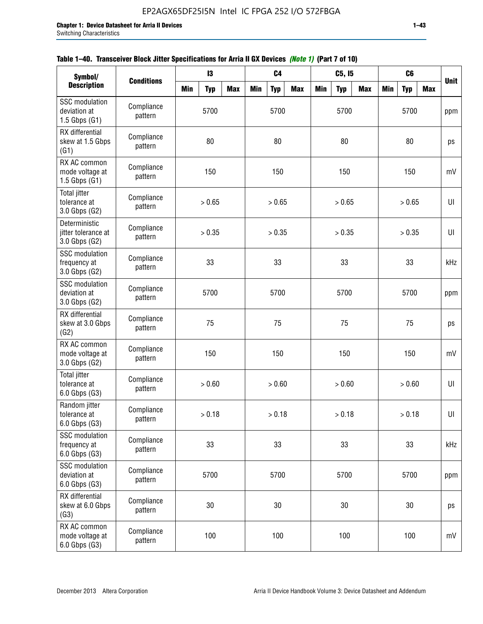| Symbol/                                                |                       |            | 13         |            |     | C <sub>4</sub> |            |     | C5, 15     |            |            | C <sub>6</sub> |            |             |
|--------------------------------------------------------|-----------------------|------------|------------|------------|-----|----------------|------------|-----|------------|------------|------------|----------------|------------|-------------|
| <b>Description</b>                                     | <b>Conditions</b>     | <b>Min</b> | <b>Typ</b> | <b>Max</b> | Min | <b>Typ</b>     | <b>Max</b> | Min | <b>Typ</b> | <b>Max</b> | <b>Min</b> | <b>Typ</b>     | <b>Max</b> | <b>Unit</b> |
| SSC modulation<br>deviation at<br>$1.5$ Gbps $(G1)$    | Compliance<br>pattern |            | 5700       |            |     | 5700           |            |     | 5700       |            |            | 5700           |            | ppm         |
| RX differential<br>skew at 1.5 Gbps<br>(G1)            | Compliance<br>pattern |            | 80         |            |     | 80             |            |     | 80         |            |            | 80             |            | ps          |
| RX AC common<br>mode voltage at<br>$1.5$ Gbps $(G1)$   | Compliance<br>pattern |            | 150        |            |     | 150            |            |     | 150        |            |            | 150            |            | mV          |
| Total jitter<br>tolerance at<br>3.0 Gbps (G2)          | Compliance<br>pattern |            | > 0.65     |            |     | > 0.65         |            |     | > 0.65     |            |            | > 0.65         |            | UI          |
| Deterministic<br>jitter tolerance at<br>3.0 Gbps (G2)  | Compliance<br>pattern |            | > 0.35     |            |     | > 0.35         |            |     | > 0.35     |            |            | > 0.35         |            | UI          |
| <b>SSC</b> modulation<br>frequency at<br>3.0 Gbps (G2) | Compliance<br>pattern |            | 33         |            |     | 33             |            |     | 33         |            |            | 33             |            | kHz         |
| <b>SSC</b> modulation<br>deviation at<br>3.0 Gbps (G2) | Compliance<br>pattern |            | 5700       |            |     | 5700           |            |     | 5700       |            |            | 5700           |            | ppm         |
| RX differential<br>skew at 3.0 Gbps<br>(G2)            | Compliance<br>pattern |            | 75         |            |     | 75             |            |     | 75         |            |            | 75             |            | ps          |
| RX AC common<br>mode voltage at<br>3.0 Gbps (G2)       | Compliance<br>pattern |            | 150        |            |     | 150            |            |     | 150        |            |            | 150            |            | mV          |
| <b>Total jitter</b><br>tolerance at<br>6.0 Gbps (G3)   | Compliance<br>pattern |            | > 0.60     |            |     | > 0.60         |            |     | > 0.60     |            |            | > 0.60         |            | UI          |
| Random jitter<br>tolerance at<br>6.0 Gbps (G3)         | Compliance<br>pattern |            | > 0.18     |            |     | > 0.18         |            |     | > 0.18     |            |            | > 0.18         |            | UI          |
| <b>SSC</b> modulation<br>frequency at<br>6.0 Gbps (G3) | Compliance<br>pattern |            | 33         |            |     | 33             |            |     | 33         |            |            | 33             |            | kHz         |
| <b>SSC</b> modulation<br>deviation at<br>6.0 Gbps (G3) | Compliance<br>pattern | 5700       |            |            |     | 5700           |            |     | 5700       |            |            | 5700           |            | ppm         |
| RX differential<br>skew at 6.0 Gbps<br>(G3)            | Compliance<br>pattern |            | 30         |            |     | 30             |            |     | $30\,$     |            |            | $30\,$         |            | ps          |
| RX AC common<br>mode voltage at<br>6.0 Gbps (G3)       | Compliance<br>pattern |            | 100        |            |     | 100            |            |     | 100        |            |            | 100            |            | mV          |

| Table 1–40. Transceiver Block Jitter Specifications for Arria II GX Devices (Note 1) (Part 7 of 10) |  |  |
|-----------------------------------------------------------------------------------------------------|--|--|
|                                                                                                     |  |  |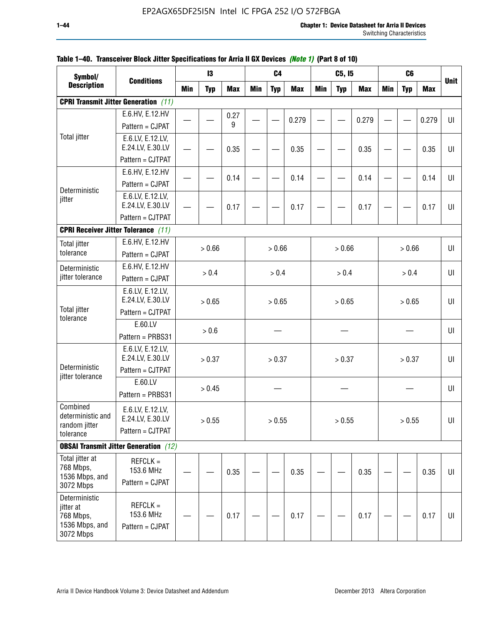| Symbol/                       |                                              |            | 13         |            |            | C <sub>4</sub> |            |            | C5, I5     |            |            | C <sub>6</sub> |            |             |
|-------------------------------|----------------------------------------------|------------|------------|------------|------------|----------------|------------|------------|------------|------------|------------|----------------|------------|-------------|
| <b>Description</b>            | <b>Conditions</b>                            | <b>Min</b> | <b>Typ</b> | <b>Max</b> | <b>Min</b> | <b>Typ</b>     | <b>Max</b> | <b>Min</b> | <b>Typ</b> | <b>Max</b> | <b>Min</b> | <b>Typ</b>     | <b>Max</b> | <b>Unit</b> |
|                               | <b>CPRI Transmit Jitter Generation</b> (11)  |            |            |            |            |                |            |            |            |            |            |                |            |             |
|                               | E.6.HV, E.12.HV                              |            |            | 0.27       |            |                |            |            |            |            |            |                |            |             |
|                               | Pattern = CJPAT                              |            |            | 9          |            |                | 0.279      |            |            | 0.279      |            |                | 0.279      | UI          |
| <b>Total jitter</b>           | E.6.LV, E.12.LV,                             |            |            |            |            |                |            |            |            |            |            |                |            |             |
|                               | E.24.LV, E.30.LV                             |            |            | 0.35       |            |                | 0.35       |            |            | 0.35       |            |                | 0.35       | UI          |
|                               | Pattern = CJTPAT                             |            |            |            |            |                |            |            |            |            |            |                |            |             |
|                               | E.6.HV, E.12.HV                              |            |            | 0.14       |            |                | 0.14       |            |            | 0.14       |            |                | 0.14       | UI          |
| Deterministic                 | Pattern = CJPAT                              |            |            |            |            |                |            |            |            |            |            |                |            |             |
| jitter                        | E.6.LV, E.12.LV,                             |            |            |            |            |                |            |            |            |            |            |                |            |             |
|                               | E.24.LV, E.30.LV                             |            |            | 0.17       |            |                | 0.17       |            |            | 0.17       |            |                | 0.17       | U           |
|                               | Pattern = CJTPAT                             |            |            |            |            |                |            |            |            |            |            |                |            |             |
|                               | <b>CPRI Receiver Jitter Tolerance (11)</b>   |            |            |            |            |                |            |            |            |            |            |                |            |             |
| <b>Total jitter</b>           | E.6.HV, E.12.HV                              |            | > 0.66     |            |            | > 0.66         |            |            | > 0.66     |            |            | > 0.66         |            | UI          |
| tolerance                     | Pattern = CJPAT                              |            |            |            |            |                |            |            |            |            |            |                |            |             |
| Deterministic                 | E.6.HV, E.12.HV                              |            | > 0.4      |            |            | > 0.4          |            |            | > 0.4      |            |            | > 0.4          |            | UI          |
| jitter tolerance              | Pattern = CJPAT                              |            |            |            |            |                |            |            |            |            |            |                |            |             |
|                               | E.6.LV, E.12.LV,                             |            |            |            |            |                |            |            |            |            |            |                |            |             |
| <b>Total jitter</b>           | E.24.LV, E.30.LV                             |            | > 0.65     |            |            | > 0.65         |            |            | > 0.65     |            |            | > 0.65         |            | UI          |
| tolerance                     | Pattern = CJTPAT                             |            |            |            |            |                |            |            |            |            |            |                |            |             |
|                               | E.60.LV                                      |            | > 0.6      |            |            |                |            |            |            |            |            |                |            | UI          |
|                               | Pattern = PRBS31                             |            |            |            |            |                |            |            |            |            |            |                |            |             |
|                               | E.6.LV, E.12.LV,                             |            |            |            |            |                |            |            |            |            |            |                |            |             |
| Deterministic                 | E.24.LV, E.30.LV<br>Pattern = CJTPAT         |            | > 0.37     |            |            | > 0.37         |            |            | > 0.37     |            |            | > 0.37         |            | UI          |
| jitter tolerance              |                                              |            |            |            |            |                |            |            |            |            |            |                |            |             |
|                               | E.60.LV                                      |            | > 0.45     |            |            |                |            |            |            |            |            |                |            | UI          |
|                               | Pattern = PRBS31                             |            |            |            |            |                |            |            |            |            |            |                |            |             |
| Combined<br>deterministic and | E.6.LV, E.12.LV,                             |            |            |            |            |                |            |            |            |            |            |                |            |             |
| random jitter                 | E.24.LV, E.30.LV                             |            | > 0.55     |            |            | > 0.55         |            |            | > 0.55     |            |            | > 0.55         |            | UI          |
| tolerance                     | Pattern = CJTPAT                             |            |            |            |            |                |            |            |            |            |            |                |            |             |
|                               | <b>OBSAI Transmit Jitter Generation</b> (12) |            |            |            |            |                |            |            |            |            |            |                |            |             |
| Total jitter at               | $REFCLK =$                                   |            |            |            |            |                |            |            |            |            |            |                |            |             |
| 768 Mbps,<br>1536 Mbps, and   | 153.6 MHz                                    |            |            | 0.35       |            |                | 0.35       |            |            | 0.35       |            |                | 0.35       | UI          |
| 3072 Mbps                     | Pattern = CJPAT                              |            |            |            |            |                |            |            |            |            |            |                |            |             |
| Deterministic                 |                                              |            |            |            |            |                |            |            |            |            |            |                |            |             |
| jitter at                     | $REFCLK =$<br>153.6 MHz                      |            |            |            |            |                |            |            |            |            |            |                |            |             |
| 768 Mbps,<br>1536 Mbps, and   | Pattern = CJPAT                              |            |            | 0.17       |            |                | 0.17       |            |            | 0.17       |            |                | 0.17       | UI          |
| 3072 Mbps                     |                                              |            |            |            |            |                |            |            |            |            |            |                |            |             |

## **Table 1–40. Transceiver Block Jitter Specifications for Arria II GX Devices** *(Note 1)* **(Part 8 of 10)**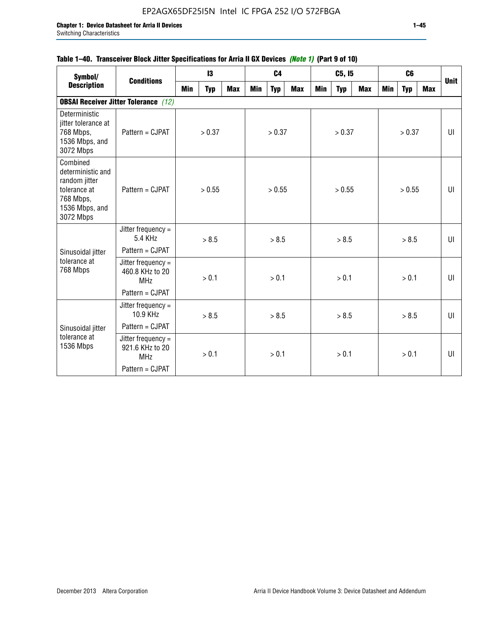## **Table 1–40. Transceiver Block Jitter Specifications for Arria II GX Devices** *(Note 1)* **(Part 9 of 10)**

| Symbol/                                                                                                    | <b>Conditions</b>                                   |     | 13         |            |     | C <sub>4</sub> |     |     | C5, I5     |     |     | C <sub>6</sub> |     | <b>Unit</b> |
|------------------------------------------------------------------------------------------------------------|-----------------------------------------------------|-----|------------|------------|-----|----------------|-----|-----|------------|-----|-----|----------------|-----|-------------|
| <b>Description</b>                                                                                         |                                                     | Min | <b>Typ</b> | <b>Max</b> | Min | <b>Typ</b>     | Max | Min | <b>Typ</b> | Max | Min | <b>Typ</b>     | Max |             |
|                                                                                                            | <b>OBSAI Receiver Jitter Tolerance</b> (12)         |     |            |            |     |                |     |     |            |     |     |                |     |             |
| Deterministic<br>jitter tolerance at<br>768 Mbps,<br>1536 Mbps, and<br>3072 Mbps                           | Pattern = CJPAT                                     |     | > 0.37     |            |     | > 0.37         |     |     | > 0.37     |     |     | > 0.37         |     | UI          |
| Combined<br>deterministic and<br>random jitter<br>tolerance at<br>768 Mbps,<br>1536 Mbps, and<br>3072 Mbps | Pattern = CJPAT                                     |     | > 0.55     |            |     | > 0.55         |     |     | > 0.55     |     |     | > 0.55         |     | UI          |
|                                                                                                            | Jitter frequency $=$<br>5.4 KHz                     |     | > 8.5      |            |     | > 8.5          |     |     | > 8.5      |     |     | > 8.5          |     | UI          |
| Sinusoidal jitter                                                                                          | Pattern = CJPAT                                     |     |            |            |     |                |     |     |            |     |     |                |     |             |
| tolerance at<br>768 Mbps                                                                                   | Jitter frequency =<br>460.8 KHz to 20<br><b>MHz</b> |     | > 0.1      |            |     | > 0.1          |     |     | > 0.1      |     |     | > 0.1          |     | UI          |
|                                                                                                            | Pattern = CJPAT                                     |     |            |            |     |                |     |     |            |     |     |                |     |             |
|                                                                                                            | Jitter frequency =<br>10.9 KHz                      |     | > 8.5      |            |     | > 8.5          |     |     | > 8.5      |     |     | > 8.5          |     | UI          |
| Sinusoidal jitter                                                                                          | Pattern = CJPAT                                     |     |            |            |     |                |     |     |            |     |     |                |     |             |
| tolerance at<br>1536 Mbps                                                                                  | Jitter frequency =<br>921.6 KHz to 20<br><b>MHz</b> |     | > 0.1      |            |     | > 0.1          |     |     | > 0.1      |     |     | > 0.1          |     | UI          |
|                                                                                                            | Pattern = CJPAT                                     |     |            |            |     |                |     |     |            |     |     |                |     |             |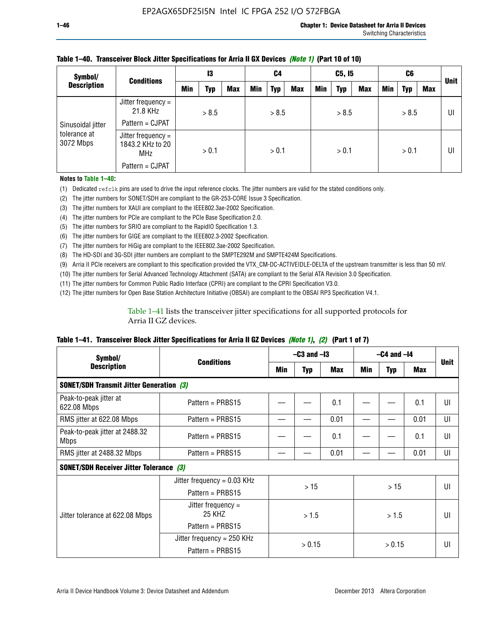| Symbol/                                        | <b>Conditions</b>                                    | 13  |       | C4         |            | C5, I5 |            |     | C6         |            |     | <b>Unit</b> |     |    |
|------------------------------------------------|------------------------------------------------------|-----|-------|------------|------------|--------|------------|-----|------------|------------|-----|-------------|-----|----|
| <b>Description</b>                             |                                                      | Min | Typ   | <b>Max</b> | <b>Min</b> | Typ    | <b>Max</b> | Min | <b>Typ</b> | <b>Max</b> | Min | <b>Typ</b>  | Max |    |
| Sinusoidal jitter<br>tolerance at<br>3072 Mbps | Jitter frequency =<br>21.8 KHz                       |     | > 8.5 |            |            | > 8.5  |            |     | > 8.5      |            |     | > 8.5       |     | UI |
|                                                | Pattern = CJPAT                                      |     |       |            |            |        |            |     |            |            |     |             |     |    |
|                                                | Jitter frequency =<br>1843.2 KHz to 20<br><b>MHz</b> |     | > 0.1 |            |            | > 0.1  |            |     | > 0.1      |            |     | > 0.1       |     | UI |
|                                                | Pattern = CJPAT                                      |     |       |            |            |        |            |     |            |            |     |             |     |    |

### **Table 1–40. Transceiver Block Jitter Specifications for Arria II GX Devices** *(Note 1)* **(Part 10 of 10)**

**Notes to Table 1–40:**

(1) Dedicated refclk pins are used to drive the input reference clocks. The jitter numbers are valid for the stated conditions only.

(2) The jitter numbers for SONET/SDH are compliant to the GR-253-CORE Issue 3 Specification.

(3) The jitter numbers for XAUI are compliant to the IEEE802.3ae-2002 Specification.

(4) The jitter numbers for PCIe are compliant to the PCIe Base Specification 2.0.

(5) The jitter numbers for SRIO are compliant to the RapidIO Specification 1.3.

(6) The jitter numbers for GIGE are compliant to the IEEE802.3-2002 Specification.

(7) The jitter numbers for HiGig are compliant to the IEEE802.3ae-2002 Specification.

(8) The HD-SDI and 3G-SDI jitter numbers are compliant to the SMPTE292M and SMPTE424M Specifications.

(9) Arria II PCIe receivers are compliant to this specification provided the VTX\_CM-DC-ACTIVEIDLE-DELTA of the upstream transmitter is less than 50 mV.

(10) The jitter numbers for Serial Advanced Technology Attachment (SATA) are compliant to the Serial ATA Revision 3.0 Specification.

(11) The jitter numbers for Common Public Radio Interface (CPRI) are compliant to the CPRI Specification V3.0.

(12) The jitter numbers for Open Base Station Architecture Initiative (OBSAI) are compliant to the OBSAI RP3 Specification V4.1.

Table 1–41 lists the transceiver jitter specifications for all supported protocols for Arria II GZ devices.

### **Table 1–41. Transceiver Block Jitter Specifications for Arria II GZ Devices** *(Note 1)***,** *(2)* **(Part 1 of 7)**

| Symbol/                                         |                                |      | $-C3$ and $-I3$ |            |       | $-C4$ and $-I4$ |      |             |  |
|-------------------------------------------------|--------------------------------|------|-----------------|------------|-------|-----------------|------|-------------|--|
| <b>Description</b>                              | <b>Conditions</b>              | Min  | <b>Typ</b>      | <b>Max</b> | Min   | <b>Typ</b>      | Max  | <b>Unit</b> |  |
| <b>SONET/SDH Transmit Jitter Generation (3)</b> |                                |      |                 |            |       |                 |      |             |  |
| Peak-to-peak jitter at<br>622.08 Mbps           | Pattern = $PRBS15$             |      |                 | 0.1        |       |                 | 0.1  | UI          |  |
| RMS jitter at 622.08 Mbps                       | Pattern = PRBS15               |      |                 | 0.01       |       |                 | 0.01 | UI          |  |
| Peak-to-peak jitter at 2488.32<br><b>Mbps</b>   | Pattern = $PRBS15$             |      |                 | 0.1        |       |                 | 0.1  | UI          |  |
| RMS jitter at 2488.32 Mbps                      | Pattern = PRBS15               | 0.01 |                 |            |       | 0.01            | UI   |             |  |
| <b>SONET/SDH Receiver Jitter Tolerance (3)</b>  |                                |      |                 |            |       |                 |      |             |  |
|                                                 | Jitter frequency = $0.03$ KHz  |      | >15             |            |       | >15             |      | UI          |  |
|                                                 | Pattern = $PRBS15$             |      |                 |            |       |                 |      |             |  |
| Jitter tolerance at 622.08 Mbps                 | Jitter frequency $=$<br>25 KHZ |      | > 1.5           |            | > 1.5 |                 |      | UI          |  |
|                                                 | Pattern = PRBS15               |      |                 |            |       |                 |      |             |  |
|                                                 | Jitter frequency = 250 KHz     |      | > 0.15          |            |       |                 |      | UI          |  |
|                                                 | Pattern = PRBS15               |      |                 |            |       | > 0.15          |      |             |  |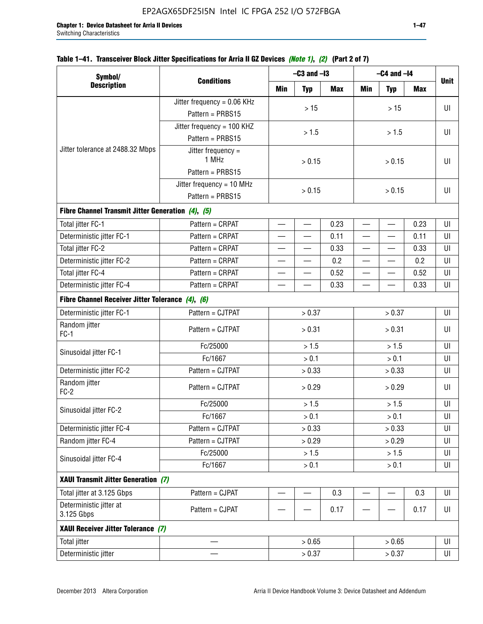| Symbol/                                           |                               |              | $-C3$ and $-I3$          |            |                          | $-C4$ and $-I4$          |            |             |
|---------------------------------------------------|-------------------------------|--------------|--------------------------|------------|--------------------------|--------------------------|------------|-------------|
| <b>Description</b>                                | <b>Conditions</b>             | Min          | <b>Typ</b>               | <b>Max</b> | Min                      | <b>Typ</b>               | <b>Max</b> | <b>Unit</b> |
|                                                   | Jitter frequency = $0.06$ KHz |              |                          |            |                          |                          |            |             |
|                                                   | Pattern = PRBS15              |              | $>15$                    |            |                          | $>15$                    |            | U           |
|                                                   | Jitter frequency = 100 KHZ    |              |                          |            |                          |                          |            |             |
|                                                   | Pattern = PRBS15              |              | > 1.5                    |            |                          | > 1.5                    |            | U           |
| Jitter tolerance at 2488.32 Mbps                  | Jitter frequency =<br>1 MHz   |              | > 0.15                   |            |                          | U                        |            |             |
|                                                   | Pattern = PRBS15              |              |                          |            | > 0.15                   |                          |            |             |
|                                                   | Jitter frequency = 10 MHz     |              |                          |            |                          |                          |            |             |
|                                                   | > 0.15<br>Pattern = PRBS15    |              |                          | > 0.15     | U                        |                          |            |             |
| Fibre Channel Transmit Jitter Generation (4), (5) |                               |              |                          |            |                          |                          |            |             |
| Total jitter FC-1                                 | Pattern = CRPAT               |              | $\overline{\phantom{0}}$ | 0.23       |                          | $\overline{\phantom{0}}$ | 0.23       | U           |
| Deterministic jitter FC-1                         | Pattern = CRPAT               |              |                          | 0.11       | $\overline{\phantom{0}}$ |                          | 0.11       | U           |
| Total jitter FC-2                                 | Pattern = CRPAT               |              |                          | 0.33       |                          |                          | 0.33       | UI          |
| Deterministic jitter FC-2                         | Pattern = CRPAT               |              |                          | 0.2        |                          |                          | 0.2        | U           |
| Total jitter FC-4                                 | Pattern = CRPAT               |              | $\overline{\phantom{0}}$ | 0.52       | $\overline{\phantom{0}}$ | $\overline{\phantom{0}}$ | 0.52       | U           |
| Deterministic jitter FC-4                         | Pattern = CRPAT               | 0.33         |                          |            | 0.33                     | U                        |            |             |
| Fibre Channel Receiver Jitter Tolerance (4), (6)  |                               |              |                          |            |                          |                          |            |             |
| Deterministic jitter FC-1                         | Pattern = CJTPAT              | > 0.37       |                          |            |                          | > 0.37                   |            | U           |
| Random jitter<br>$FC-1$                           | Pattern = CJTPAT              |              | > 0.31                   |            |                          | > 0.31                   |            |             |
|                                                   | Fc/25000                      |              | > 1.5                    |            |                          | > 1.5                    |            | U           |
| Sinusoidal jitter FC-1                            | Fc/1667                       |              | > 0.1<br>> 0.1           |            |                          | U                        |            |             |
| Deterministic jitter FC-2                         | Pattern = CJTPAT              |              | > 0.33                   |            |                          | > 0.33                   |            | U           |
| Random jitter<br>$FC-2$                           | Pattern = CJTPAT              |              | > 0.29                   |            |                          | > 0.29                   |            | UI          |
|                                                   | Fc/25000                      |              | > 1.5                    |            |                          | > 1.5                    |            | U           |
| Sinusoidal jitter FC-2                            | Fc/1667                       |              | > 0.1                    |            |                          | > 0.1                    |            | $\sf{UI}$   |
| Deterministic jitter FC-4                         | Pattern = CJTPAT              |              | > 0.33                   |            |                          | > 0.33                   |            | UI          |
| Random jitter FC-4                                | Pattern = CJTPAT              |              | > 0.29                   |            |                          | > 0.29                   |            | UI          |
| Sinusoidal jitter FC-4                            | Fc/25000                      |              | > 1.5                    |            |                          | > 1.5                    |            | UI          |
|                                                   | Fc/1667                       |              | > 0.1                    |            |                          | > 0.1                    |            | U           |
| XAUI Transmit Jitter Generation (7)               |                               |              |                          |            |                          |                          |            |             |
| Total jitter at 3.125 Gbps                        | Pattern = CJPAT               |              |                          | 0.3        |                          |                          | 0.3        | UI          |
| Deterministic jitter at<br>3.125 Gbps             | Pattern = CJPAT               | 0.17<br>0.17 |                          |            |                          | U                        |            |             |
| XAUI Receiver Jitter Tolerance (7)                |                               |              |                          |            |                          |                          |            |             |
| <b>Total jitter</b>                               |                               |              | > 0.65                   |            |                          | > 0.65                   |            | UI          |
| Deterministic jitter                              |                               |              | > 0.37                   |            |                          | > 0.37                   |            | U           |

## **Table 1–41. Transceiver Block Jitter Specifications for Arria II GZ Devices** *(Note 1)***,** *(2)* **(Part 2 of 7)**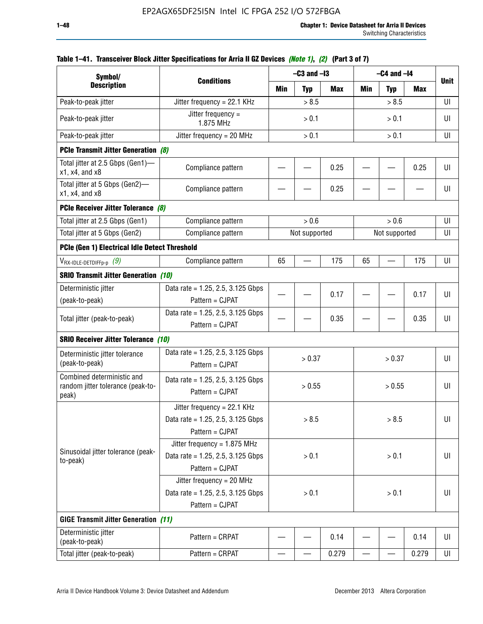| Symbol/                                                                  |                                                                                           |                                | $-C3$ and $-I3$ |            |                          | $-C4$ and $-I4$ |       |             |
|--------------------------------------------------------------------------|-------------------------------------------------------------------------------------------|--------------------------------|-----------------|------------|--------------------------|-----------------|-------|-------------|
| <b>Description</b>                                                       | <b>Conditions</b>                                                                         | Min                            | <b>Typ</b>      | <b>Max</b> | Min                      | <b>Typ</b>      | Max   | <b>Unit</b> |
| Peak-to-peak jitter                                                      | Jitter frequency = 22.1 KHz                                                               |                                | > 8.5           |            |                          | > 8.5           |       | UI          |
| Peak-to-peak jitter                                                      | Jitter frequency =<br>1.875 MHz                                                           |                                | > 0.1           |            |                          | > 0.1           |       | UI          |
| Peak-to-peak jitter                                                      | Jitter frequency = $20$ MHz                                                               |                                | > 0.1           |            |                          | > 0.1           |       | UI          |
| <b>PCIe Transmit Jitter Generation (8)</b>                               |                                                                                           |                                |                 |            |                          |                 |       |             |
| Total jitter at 2.5 Gbps (Gen1)-<br>$x1$ , $x4$ , and $x8$               | Compliance pattern                                                                        |                                |                 | 0.25       |                          |                 | 0.25  | UI          |
| Total jitter at 5 Gbps (Gen2)-<br>$x1$ , $x4$ , and $x8$                 | Compliance pattern                                                                        | 0.25                           |                 |            |                          |                 | UI    |             |
| PCIe Receiver Jitter Tolerance (8)                                       |                                                                                           |                                |                 |            |                          |                 |       |             |
| Total jitter at 2.5 Gbps (Gen1)                                          | Compliance pattern                                                                        |                                | > 0.6           |            |                          | > 0.6           |       | UI          |
| Total jitter at 5 Gbps (Gen2)                                            | Compliance pattern                                                                        | Not supported<br>Not supported |                 |            |                          |                 | UI    |             |
| PCIe (Gen 1) Electrical Idle Detect Threshold                            |                                                                                           |                                |                 |            |                          |                 |       |             |
| $V_{\mathsf{RX}\text{-IDLE-DEFp-p}}(9)$                                  | Compliance pattern                                                                        | 65                             |                 | 175        | 65                       |                 | 175   | UI          |
| <b>SRIO Transmit Jitter Generation (10)</b>                              |                                                                                           |                                |                 |            |                          |                 |       |             |
| Deterministic jitter                                                     | Data rate = 1.25, 2.5, 3.125 Gbps                                                         |                                |                 | 0.17       |                          |                 |       | UI          |
| (peak-to-peak)                                                           | Pattern = CJPAT                                                                           |                                |                 |            |                          |                 | 0.17  |             |
| Total jitter (peak-to-peak)                                              | Data rate = 1.25, 2.5, 3.125 Gbps<br>Pattern = CJPAT                                      |                                |                 | 0.35       |                          |                 | 0.35  | UI          |
| <b>SRIO Receiver Jitter Tolerance (10)</b>                               |                                                                                           |                                |                 |            |                          |                 |       |             |
| Deterministic jitter tolerance<br>(peak-to-peak)                         | Data rate = $1.25$ , 2.5, 3.125 Gbps<br>Pattern = CJPAT                                   |                                | > 0.37          |            |                          | > 0.37          |       | UI          |
| Combined deterministic and<br>random jitter tolerance (peak-to-<br>peak) | Data rate = $1.25$ , 2.5, 3.125 Gbps<br>Pattern = CJPAT                                   |                                | > 0.55          |            |                          | > 0.55          |       | UI          |
|                                                                          | Jitter frequency = 22.1 KHz<br>Data rate = 1.25, 2.5, 3.125 Gbps<br>Pattern = CJPAT       |                                | > 8.5           |            |                          | > 8.5           |       | UI          |
| Sinusoidal jitter tolerance (peak-<br>to-peak)                           | Jitter frequency = $1.875$ MHz<br>Data rate = $1.25$ , 2.5, 3.125 Gbps<br>Pattern = CJPAT |                                | > 0.1           |            |                          | > 0.1           |       | UI          |
|                                                                          | Jitter frequency = 20 MHz<br>Data rate = $1.25$ , 2.5, 3.125 Gbps<br>Pattern = CJPAT      | > 0.1<br>> 0.1                 |                 |            | UI                       |                 |       |             |
| <b>GIGE Transmit Jitter Generation (11)</b>                              |                                                                                           |                                |                 |            |                          |                 |       |             |
| Deterministic jitter<br>(peak-to-peak)                                   | Pattern = CRPAT                                                                           |                                |                 | 0.14       |                          |                 | 0.14  | UI          |
| Total jitter (peak-to-peak)                                              | Pattern = CRPAT                                                                           | —                              |                 | 0.279      | $\overline{\phantom{0}}$ | —               | 0.279 | UI          |

## **Table 1–41. Transceiver Block Jitter Specifications for Arria II GZ Devices** *(Note 1)***,** *(2)* **(Part 3 of 7)**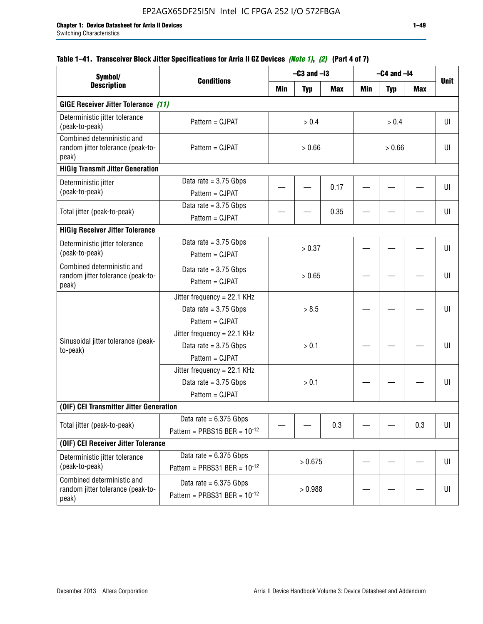## **Table 1–41. Transceiver Block Jitter Specifications for Arria II GZ Devices** *(Note 1)***,** *(2)* **(Part 4 of 7)**

| Symbol/                                                                  |                                                                             |         | $-C3$ and $-I3$ |            |        | $-C4$ and $-I4$ |     |             |
|--------------------------------------------------------------------------|-----------------------------------------------------------------------------|---------|-----------------|------------|--------|-----------------|-----|-------------|
| <b>Description</b>                                                       | <b>Conditions</b>                                                           | Min     | <b>Typ</b>      | <b>Max</b> | Min    | <b>Typ</b>      | Max | <b>Unit</b> |
| <b>GIGE Receiver Jitter Tolerance (11)</b>                               |                                                                             |         |                 |            |        |                 |     |             |
| Deterministic jitter tolerance<br>(peak-to-peak)                         | Pattern = CJPAT                                                             |         | > 0.4           |            |        | > 0.4           |     | UI          |
| Combined deterministic and<br>random jitter tolerance (peak-to-<br>peak) | Pattern = CJPAT                                                             | > 0.66  |                 |            | > 0.66 |                 |     | UI          |
| <b>HiGig Transmit Jitter Generation</b>                                  |                                                                             |         |                 |            |        |                 |     |             |
| Deterministic jitter<br>(peak-to-peak)                                   | Data rate = $3.75$ Gbps<br>Pattern = CJPAT                                  |         |                 | 0.17       |        |                 |     | UI          |
| Total jitter (peak-to-peak)                                              | Data rate = $3.75$ Gbps<br>Pattern = CJPAT                                  |         |                 | 0.35       |        |                 |     | UI          |
| <b>HiGig Receiver Jitter Tolerance</b>                                   |                                                                             |         |                 |            |        |                 |     |             |
| Deterministic jitter tolerance<br>(peak-to-peak)                         | Data rate = $3.75$ Gbps<br>Pattern = CJPAT                                  |         | > 0.37          |            |        |                 |     | UI          |
| Combined deterministic and<br>random jitter tolerance (peak-to-<br>peak) | Data rate = $3.75$ Gbps<br>Pattern = CJPAT                                  | > 0.65  |                 |            |        |                 | UI  |             |
|                                                                          | Jitter frequency = 22.1 KHz<br>Data rate = $3.75$ Gbps<br>Pattern = CJPAT   | > 8.5   |                 |            |        |                 | UI  |             |
| Sinusoidal jitter tolerance (peak-<br>to-peak)                           | Jitter frequency = $22.1$ KHz<br>Data rate = $3.75$ Gbps<br>Pattern = CJPAT | > 0.1   |                 |            |        |                 | UI  |             |
|                                                                          | Jitter frequency = 22.1 KHz<br>Data rate = $3.75$ Gbps<br>Pattern = CJPAT   |         | > 0.1           |            |        |                 |     | UI          |
| (OIF) CEI Transmitter Jitter Generation                                  |                                                                             |         |                 |            |        |                 |     |             |
| Total jitter (peak-to-peak)                                              | Data rate = $6.375$ Gbps<br>Pattern = PRBS15 BER = $10^{-12}$               |         |                 | 0.3        |        |                 | 0.3 | UI          |
| (OIF) CEI Receiver Jitter Tolerance                                      |                                                                             |         |                 |            |        |                 |     |             |
| Deterministic jitter tolerance<br>(peak-to-peak)                         | Data rate = $6.375$ Gbps<br>Pattern = PRBS31 BER = $10^{-12}$               | > 0.675 |                 |            |        |                 | U   |             |
| Combined deterministic and<br>random jitter tolerance (peak-to-<br>peak) | Data rate = $6.375$ Gbps<br>Pattern = PRBS31 BER = $10^{-12}$               |         | > 0.988         |            |        |                 |     | U           |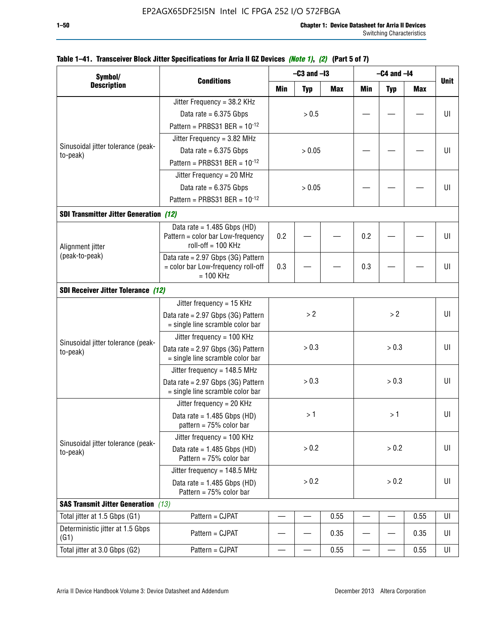| Symbol/                                        |                                                                                         |       | $-C3$ and $-I3$ |            |            | $-C4$ and $-I4$ |            |             |  |  |  |  |  |  |  |
|------------------------------------------------|-----------------------------------------------------------------------------------------|-------|-----------------|------------|------------|-----------------|------------|-------------|--|--|--|--|--|--|--|
| <b>Description</b>                             | <b>Conditions</b>                                                                       | Min   | <b>Typ</b>      | <b>Max</b> | <b>Min</b> | <b>Typ</b>      | <b>Max</b> | <b>Unit</b> |  |  |  |  |  |  |  |
|                                                | Jitter Frequency = 38.2 KHz                                                             |       |                 |            |            |                 |            |             |  |  |  |  |  |  |  |
|                                                | Data rate = $6.375$ Gbps                                                                |       | > 0.5           |            |            |                 |            | UI          |  |  |  |  |  |  |  |
|                                                | Pattern = PRBS31 BER = $10^{-12}$                                                       |       |                 |            |            |                 |            |             |  |  |  |  |  |  |  |
|                                                | Jitter Frequency = $3.82$ MHz                                                           |       |                 |            |            |                 |            |             |  |  |  |  |  |  |  |
| Sinusoidal jitter tolerance (peak-             | Data rate = $6.375$ Gbps                                                                |       | > 0.05          |            |            |                 |            | UI          |  |  |  |  |  |  |  |
| to-peak)                                       | Pattern = PRBS31 BER = $10^{-12}$                                                       |       |                 |            |            |                 |            |             |  |  |  |  |  |  |  |
|                                                | Jitter Frequency = 20 MHz                                                               |       |                 |            |            |                 |            |             |  |  |  |  |  |  |  |
|                                                | Data rate = $6.375$ Gbps                                                                |       | > 0.05          |            |            |                 |            | UI          |  |  |  |  |  |  |  |
|                                                | Pattern = PRBS31 BER = $10^{-12}$                                                       |       |                 |            |            |                 |            |             |  |  |  |  |  |  |  |
| <b>SDI Transmitter Jitter Generation (12)</b>  |                                                                                         |       |                 |            |            |                 |            |             |  |  |  |  |  |  |  |
|                                                | Data rate = $1.485$ Gbps (HD)                                                           |       |                 |            |            |                 |            |             |  |  |  |  |  |  |  |
| Alignment jitter                               | Pattern = color bar Low-frequency<br>roll-off = 100 KHz                                 | 0.2   |                 |            | 0.2        |                 |            | UI          |  |  |  |  |  |  |  |
| (peak-to-peak)                                 | Data rate = 2.97 Gbps (3G) Pattern<br>= color bar Low-frequency roll-off<br>$= 100$ KHz | 0.3   |                 | 0.3        |            |                 | UI         |             |  |  |  |  |  |  |  |
| <b>SDI Receiver Jitter Tolerance (12)</b>      |                                                                                         |       |                 |            |            |                 |            |             |  |  |  |  |  |  |  |
|                                                | Jitter frequency = $15$ KHz                                                             |       |                 |            |            |                 |            |             |  |  |  |  |  |  |  |
|                                                | Data rate = 2.97 Gbps (3G) Pattern<br>= single line scramble color bar                  | >2    |                 |            |            | >2              |            | UI          |  |  |  |  |  |  |  |
|                                                | Jitter frequency = $100$ KHz                                                            |       |                 |            |            |                 |            |             |  |  |  |  |  |  |  |
| Sinusoidal jitter tolerance (peak-<br>to-peak) | Data rate = 2.97 Gbps (3G) Pattern<br>= single line scramble color bar                  | > 0.3 |                 |            | > 0.3      |                 |            | UI          |  |  |  |  |  |  |  |
|                                                | Jitter frequency = $148.5$ MHz                                                          |       |                 |            |            |                 |            |             |  |  |  |  |  |  |  |
|                                                | Data rate = 2.97 Gbps (3G) Pattern<br>= single line scramble color bar                  |       | > 0.3           |            |            | > 0.3           |            | UI          |  |  |  |  |  |  |  |
|                                                | Jitter frequency = $20$ KHz                                                             |       |                 |            |            |                 |            |             |  |  |  |  |  |  |  |
|                                                | Data rate = $1.485$ Gbps (HD)<br>pattern = $75%$ color bar                              |       | >1              |            |            | >1              |            | UI          |  |  |  |  |  |  |  |
| Sinusoidal jitter tolerance (peak-             | Jitter frequency = 100 KHz                                                              |       |                 |            |            |                 |            |             |  |  |  |  |  |  |  |
| to-peak)                                       | Data rate = $1.485$ Gbps (HD)<br>Pattern = $75%$ color bar                              |       | > 0.2           |            |            | > 0.2           |            | UI          |  |  |  |  |  |  |  |
|                                                | Jitter frequency = 148.5 MHz                                                            | > 0.2 |                 |            |            |                 |            |             |  |  |  |  |  |  |  |
|                                                | Data rate = $1.485$ Gbps (HD)<br>Pattern = $75%$ color bar                              |       |                 | > 0.2      |            |                 | UI         |             |  |  |  |  |  |  |  |
| <b>SAS Transmit Jitter Generation</b> (13)     |                                                                                         |       |                 |            |            |                 |            |             |  |  |  |  |  |  |  |
| Total jitter at 1.5 Gbps (G1)                  | Pattern = CJPAT                                                                         |       |                 | 0.55       |            |                 | 0.55       | UI          |  |  |  |  |  |  |  |
| Deterministic jitter at 1.5 Gbps<br>(G1)       | Pattern = CJPAT                                                                         |       |                 | 0.35       |            |                 | 0.35       | UI          |  |  |  |  |  |  |  |
| Total jitter at 3.0 Gbps (G2)                  | Pattern = CJPAT                                                                         |       |                 | 0.55       |            |                 | 0.55       | UI          |  |  |  |  |  |  |  |

## **Table 1–41. Transceiver Block Jitter Specifications for Arria II GZ Devices** *(Note 1)***,** *(2)* **(Part 5 of 7)**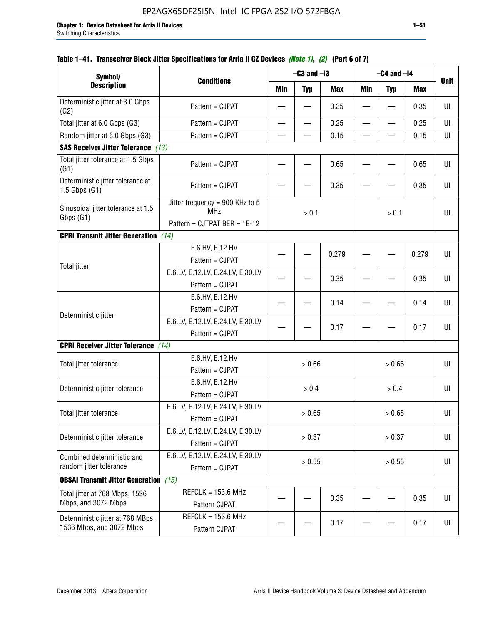| Symbol/                                                       |                                                                               |                          | $-C3$ and $-I3$ |            |                          | $-C4$ and $-I4$          |            |             |
|---------------------------------------------------------------|-------------------------------------------------------------------------------|--------------------------|-----------------|------------|--------------------------|--------------------------|------------|-------------|
| <b>Description</b>                                            | <b>Conditions</b>                                                             | Min                      | <b>Typ</b>      | <b>Max</b> | <b>Min</b>               | <b>Typ</b>               | <b>Max</b> | <b>Unit</b> |
| Deterministic jitter at 3.0 Gbps<br>(G2)                      | Pattern = CJPAT                                                               |                          |                 | 0.35       |                          |                          | 0.35       | UI          |
| Total jitter at 6.0 Gbps (G3)                                 | Pattern = CJPAT                                                               | $\overline{\phantom{0}}$ | —               | 0.25       | $\overline{\phantom{0}}$ | $\overline{\phantom{0}}$ | 0.25       | UI          |
| Random jitter at 6.0 Gbps (G3)                                | Pattern = CJPAT                                                               |                          |                 | 0.15       |                          |                          | 0.15       | UI          |
| <b>SAS Receiver Jitter Tolerance</b> (13)                     |                                                                               |                          |                 |            |                          |                          |            |             |
| Total jitter tolerance at 1.5 Gbps<br>(G1)                    | Pattern = CJPAT                                                               |                          |                 | 0.65       |                          |                          | 0.65       | UI          |
| Deterministic jitter tolerance at<br>$1.5$ Gbps $(G1)$        | Pattern = CJPAT                                                               |                          |                 | 0.35       |                          |                          | 0.35       | UI          |
| Sinusoidal jitter tolerance at 1.5<br>Gbps (G1)               | Jitter frequency = 900 KHz to 5<br><b>MHz</b><br>Pattern = CJTPAT BER = 1E-12 |                          | > 0.1           |            | $> 0.1$                  |                          | UI         |             |
| <b>CPRI Transmit Jitter Generation</b>                        | (14)                                                                          |                          |                 |            |                          |                          |            |             |
|                                                               | E.6.HV, E.12.HV<br>Pattern = CJPAT                                            |                          |                 | 0.279      |                          |                          | 0.279      | UI          |
| <b>Total jitter</b>                                           | E.6.LV, E.12.LV, E.24.LV, E.30.LV<br>Pattern = CJPAT                          |                          |                 | 0.35       |                          |                          | 0.35       | U           |
|                                                               | E.6.HV, E.12.HV<br>Pattern = CJPAT                                            |                          |                 | 0.14       |                          |                          | 0.14       | UI          |
| Deterministic jitter                                          | E.6.LV, E.12.LV, E.24.LV, E.30.LV<br>Pattern = CJPAT                          |                          |                 | 0.17       |                          |                          | 0.17       | UI          |
| <b>CPRI Receiver Jitter Tolerance</b> (14)                    |                                                                               |                          |                 |            |                          |                          |            |             |
| Total jitter tolerance                                        | E.6.HV, E.12.HV<br>Pattern = CJPAT                                            |                          | > 0.66          |            |                          | > 0.66                   |            | UI          |
| Deterministic jitter tolerance                                | E.6.HV, E.12.HV<br>Pattern = CJPAT                                            |                          | > 0.4           |            |                          | $> 0.4$                  |            | UI          |
| Total jitter tolerance                                        | E.6.LV, E.12.LV, E.24.LV, E.30.LV<br>Pattern = CJPAT                          |                          | > 0.65          |            | > 0.65                   |                          |            | UI          |
| Deterministic jitter tolerance                                | E.6.LV, E.12.LV, E.24.LV, E.30.LV<br>Pattern = CJPAT                          |                          | > 0.37          |            |                          | > 0.37                   |            | UI          |
| Combined deterministic and<br>random jitter tolerance         | E.6.LV, E.12.LV, E.24.LV, E.30.LV<br>Pattern = CJPAT                          | > 0.55<br>> 0.55         |                 |            | UI                       |                          |            |             |
| <b>OBSAI Transmit Jitter Generation</b> (15)                  |                                                                               |                          |                 |            |                          |                          |            |             |
| Total jitter at 768 Mbps, 1536<br>Mbps, and 3072 Mbps         | $REFCLK = 153.6 MHz$<br>Pattern CJPAT                                         |                          |                 | 0.35       |                          |                          | 0.35       | UI          |
| Deterministic jitter at 768 MBps,<br>1536 Mbps, and 3072 Mbps | REFCLK = $153.6$ MHz<br>Pattern CJPAT                                         |                          |                 | 0.17       |                          |                          | 0.17       | UI          |

## **Table 1–41. Transceiver Block Jitter Specifications for Arria II GZ Devices** *(Note 1)***,** *(2)* **(Part 6 of 7)**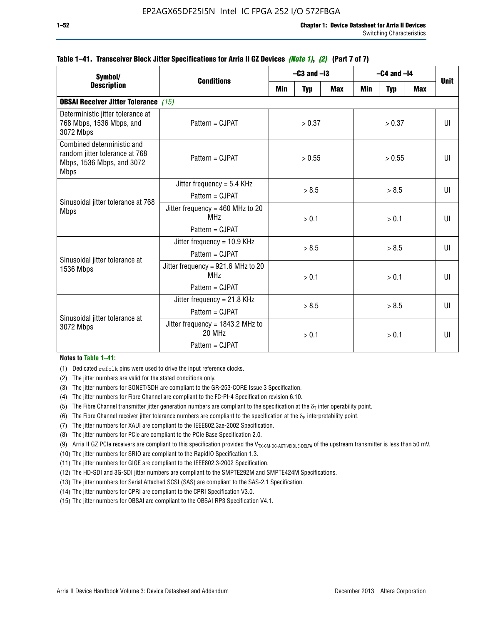| Symbol/                                                                                                  |                                                                                  |                  | $-C3$ and $-I3$ |       | $-C4$ and $-I4$ | <b>Unit</b> |              |              |
|----------------------------------------------------------------------------------------------------------|----------------------------------------------------------------------------------|------------------|-----------------|-------|-----------------|-------------|--------------|--------------|
| <b>Description</b>                                                                                       | <b>Conditions</b><br>Min<br><b>Max</b><br><b>Min</b><br><b>Typ</b><br><b>Typ</b> |                  | <b>Max</b>      |       |                 |             |              |              |
| <b>OBSAI Receiver Jitter Tolerance (15)</b>                                                              |                                                                                  |                  |                 |       |                 |             |              |              |
| Deterministic jitter tolerance at<br>768 Mbps, 1536 Mbps, and<br>3072 Mbps                               | Pattern = CJPAT                                                                  |                  | > 0.37          |       | > 0.37          |             | $\mathbf{U}$ |              |
| Combined deterministic and<br>random jitter tolerance at 768<br>Mbps, 1536 Mbps, and 3072<br><b>Mbps</b> | Pattern = CJPAT                                                                  | > 0.55<br>> 0.55 |                 |       |                 | UI          |              |              |
|                                                                                                          | Jitter frequency = $5.4$ KHz<br>$Pattern = C.IPATH$                              | > 8.5            |                 | > 8.5 |                 |             | UI           |              |
| Sinusoidal jitter tolerance at 768<br><b>Mbps</b>                                                        | Jitter frequency = $460$ MHz to 20<br>MH <sub>7</sub><br>Pattern = CJPAT         | > 0.1            |                 |       | > 0.1           |             |              | UI           |
| Sinusoidal jitter tolerance at                                                                           | Jitter frequency = 10.9 KHz<br>Pattern = CJPAT                                   | > 8.5            |                 |       |                 | > 8.5       |              | UL           |
| <b>1536 Mbps</b>                                                                                         | Jitter frequency = 921.6 MHz to 20<br>MH <sub>7</sub><br>Pattern = CJPAT         |                  | > 0.1           |       |                 | > 0.1       |              | $\mathbf{U}$ |
| Sinusoidal jitter tolerance at                                                                           | Jitter frequency = $21.8$ KHz<br>$Pattern = C.IPATH$                             | > 8.5            |                 | > 8.5 |                 |             | $\mathbf{U}$ |              |
| 3072 Mbps                                                                                                | Jitter frequency = $1843.2$ MHz to<br>20 MHz<br>Pattern = CJPAT                  | > 0.1            |                 | > 0.1 |                 |             | UI           |              |

### **Table 1–41. Transceiver Block Jitter Specifications for Arria II GZ Devices** *(Note 1)***,** *(2)* **(Part 7 of 7)**

#### **Notes to Table 1–41:**

(1) Dedicated refclk pins were used to drive the input reference clocks.

- (2) The jitter numbers are valid for the stated conditions only.
- (3) The jitter numbers for SONET/SDH are compliant to the GR-253-CORE Issue 3 Specification.
- (4) The jitter numbers for Fibre Channel are compliant to the FC-PI-4 Specification revision 6.10.
- (5) The Fibre Channel transmitter jitter generation numbers are compliant to the specification at the  $\delta_T$  inter operability point.
- (6) The Fibre Channel receiver jitter tolerance numbers are compliant to the specification at the  $\delta_R$  interpretability point.
- (7) The jitter numbers for XAUI are compliant to the IEEE802.3ae-2002 Specification.
- (8) The jitter numbers for PCIe are compliant to the PCIe Base Specification 2.0.
- (9) Arria II GZ PCIe receivers are compliant to this specification provided the V<sub>TX-CM-DC-ACTIVEIDLE-DELTA</sub> of the upstream transmitter is less than 50 mV.
- (10) The jitter numbers for SRIO are compliant to the RapidIO Specification 1.3.
- (11) The jitter numbers for GIGE are compliant to the IEEE802.3-2002 Specification.
- (12) The HD-SDI and 3G-SDI jitter numbers are compliant to the SMPTE292M and SMPTE424M Specifications.
- (13) The jitter numbers for Serial Attached SCSI (SAS) are compliant to the SAS-2.1 Specification.
- (14) The jitter numbers for CPRI are compliant to the CPRI Specification V3.0.
- (15) The jitter numbers for OBSAI are compliant to the OBSAI RP3 Specification V4.1.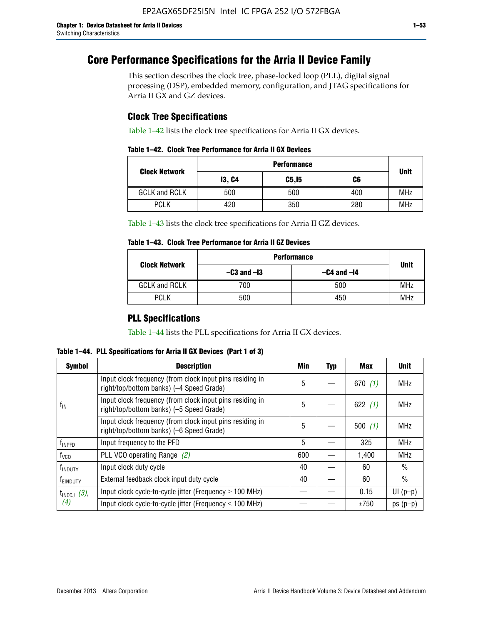# **Core Performance Specifications for the Arria II Device Family**

This section describes the clock tree, phase-locked loop (PLL), digital signal processing (DSP), embedded memory, configuration, and JTAG specifications for Arria II GX and GZ devices.

## **Clock Tree Specifications**

Table 1–42 lists the clock tree specifications for Arria II GX devices.

|  |  |  |  | Table 1–42. Clock Tree Performance for Arria II GX Devices |
|--|--|--|--|------------------------------------------------------------|
|--|--|--|--|------------------------------------------------------------|

|                      | <b>Performance</b> |        |     |             |  |  |  |
|----------------------|--------------------|--------|-----|-------------|--|--|--|
| <b>Clock Network</b> | <b>13, C4</b>      | C5, I5 | C6  | <b>Unit</b> |  |  |  |
| <b>GCLK and RCLK</b> | 500                | 500    | 400 | <b>MHz</b>  |  |  |  |
| <b>PCLK</b>          | 420                | 350    | 280 | <b>MHz</b>  |  |  |  |

Table 1–43 lists the clock tree specifications for Arria II GZ devices.

## **Table 1–43. Clock Tree Performance for Arria II GZ Devices**

| <b>Clock Network</b> | <b>Performance</b> |                 |             |  |  |  |
|----------------------|--------------------|-----------------|-------------|--|--|--|
|                      | $-C3$ and $-I3$    | $-C4$ and $-I4$ | <b>Unit</b> |  |  |  |
| <b>GCLK and RCLK</b> | 700                | 500             | <b>MHz</b>  |  |  |  |
| <b>PCLK</b>          | 500                | 450             | MHz         |  |  |  |

## **PLL Specifications**

Table 1–44 lists the PLL specifications for Arria II GX devices.

**Table 1–44. PLL Specifications for Arria II GX Devices (Part 1 of 3)**

| <b>Symbol</b>              | <b>Description</b>                                                                                   | Min | <b>Typ</b> | Max       | <b>Unit</b>   |
|----------------------------|------------------------------------------------------------------------------------------------------|-----|------------|-----------|---------------|
|                            | Input clock frequency (from clock input pins residing in<br>right/top/bottom banks) (-4 Speed Grade) | 5   |            | 670(1)    | <b>MHz</b>    |
| $f_{\parallel N}$          | Input clock frequency (from clock input pins residing in<br>right/top/bottom banks) (-5 Speed Grade) | 5   |            | 622 $(1)$ | <b>MHz</b>    |
|                            | Input clock frequency (from clock input pins residing in<br>right/top/bottom banks) (-6 Speed Grade) | 5   |            | 500(1)    | <b>MHz</b>    |
| f <sub>INPFD</sub>         | Input frequency to the PFD                                                                           | 5   |            | 325       | <b>MHz</b>    |
| $f_{\rm VCO}$              | PLL VCO operating Range (2)                                                                          | 600 |            | 1,400     | <b>MHz</b>    |
| <b>f</b> <sub>INDUTY</sub> | Input clock duty cycle                                                                               | 40  |            | 60        | $\frac{0}{0}$ |
| T <sub>EINDUTY</sub>       | External feedback clock input duty cycle                                                             | 40  |            | 60        | $\frac{0}{0}$ |
| $t_{\text{INCCJ}}$ (3),    | Input clock cycle-to-cycle jitter (Frequency $\geq$ 100 MHz)                                         |     |            | 0.15      | $UI(p-p)$     |
| (4)                        | Input clock cycle-to-cycle jitter (Frequency $\leq 100$ MHz)                                         |     |            | ±750      | $ps(p-p)$     |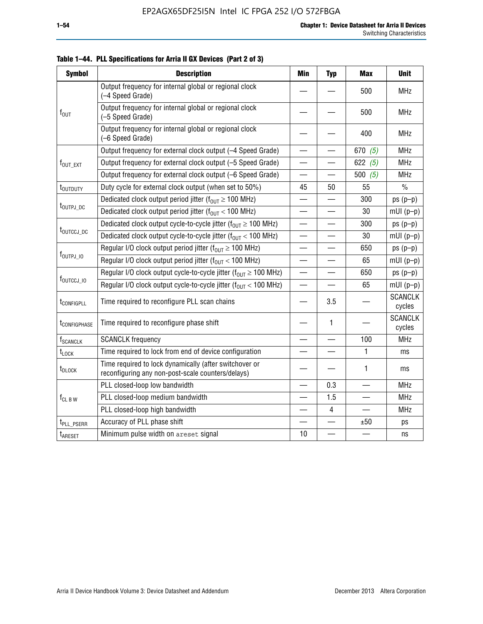| <b>Symbol</b>               | <b>Description</b>                                                                                          | <b>Min</b>               | <b>Typ</b>               | <b>Max</b> | <b>Unit</b>              |
|-----------------------------|-------------------------------------------------------------------------------------------------------------|--------------------------|--------------------------|------------|--------------------------|
|                             | Output frequency for internal global or regional clock<br>(-4 Speed Grade)                                  |                          |                          | 500        | <b>MHz</b>               |
| $f_{\text{OUT}}$            | Output frequency for internal global or regional clock<br>(-5 Speed Grade)                                  |                          |                          | 500        | <b>MHz</b>               |
|                             | Output frequency for internal global or regional clock<br>(-6 Speed Grade)                                  |                          |                          | 400        | <b>MHz</b>               |
|                             | Output frequency for external clock output (-4 Speed Grade)                                                 | $\overline{\phantom{0}}$ |                          | 670 $(5)$  | <b>MHz</b>               |
| f <sub>out_ext</sub>        | Output frequency for external clock output (-5 Speed Grade)                                                 |                          |                          | 622 $(5)$  | <b>MHz</b>               |
|                             | Output frequency for external clock output (-6 Speed Grade)                                                 | —                        |                          | 500 $(5)$  | <b>MHz</b>               |
| t <sub>outduty</sub>        | Duty cycle for external clock output (when set to 50%)                                                      | 45                       | 50                       | 55         | $\frac{0}{0}$            |
|                             | Dedicated clock output period jitter ( $f_{OUT} \ge 100$ MHz)                                               |                          |                          | 300        | $ps(p-p)$                |
| t <sub>outpj_dc</sub>       | Dedicated clock output period jitter ( $f_{OUT}$ < 100 MHz)                                                 |                          |                          | 30         | $mUI(p-p)$               |
|                             | Dedicated clock output cycle-to-cycle jitter ( $f_{OUT} \ge 100$ MHz)                                       |                          |                          | 300        | $ps(p-p)$                |
| t <sub>outccj_dc</sub>      | Dedicated clock output cycle-to-cycle jitter ( $f_{OUT}$ < 100 MHz)                                         | $\overline{\phantom{0}}$ |                          | 30         | $mUI(p-p)$               |
|                             | Regular I/O clock output period jitter ( $f_{OUT} \ge 100$ MHz)                                             |                          |                          | 650        | $ps(p-p)$                |
| $f_{\text{OUTPJ\_10}}$      | Regular I/O clock output period jitter ( $f_{OUT}$ < 100 MHz)                                               |                          |                          | 65         | $mUI(p-p)$               |
|                             | Regular I/O clock output cycle-to-cycle jitter ( $f_{OUT} \ge 100$ MHz)                                     |                          | —                        | 650        | $ps(p-p)$                |
| f <sub>outccj_io</sub>      | Regular I/O clock output cycle-to-cycle jitter ( $f_{OUT}$ < 100 MHz)                                       |                          |                          | 65         | $mUI(p-p)$               |
| t <sub>configpll</sub>      | Time required to reconfigure PLL scan chains                                                                |                          | 3.5                      |            | <b>SCANCLK</b><br>cycles |
| t <sub>configphase</sub>    | Time required to reconfigure phase shift                                                                    |                          | 1                        |            | <b>SCANCLK</b><br>cycles |
| <b>f</b> <sub>SCANCLK</sub> | <b>SCANCLK</b> frequency                                                                                    |                          |                          | 100        | <b>MHz</b>               |
| $t_{\text{LOCK}}$           | Time required to lock from end of device configuration                                                      |                          | $\overline{\phantom{0}}$ | 1          | ms                       |
| t <sub>DLOCK</sub>          | Time required to lock dynamically (after switchover or<br>reconfiguring any non-post-scale counters/delays) |                          |                          | 1          | ms                       |
|                             | PLL closed-loop low bandwidth                                                                               |                          | 0.3                      |            | <b>MHz</b>               |
| $f_{CL\,B\,W}$              | PLL closed-loop medium bandwidth                                                                            | $\overline{\phantom{0}}$ | 1.5                      |            | <b>MHz</b>               |
|                             | PLL closed-loop high bandwidth                                                                              |                          | 4                        |            | <b>MHz</b>               |
| t <sub>PLL_PSERR</sub>      | Accuracy of PLL phase shift                                                                                 |                          |                          | ±50        | ps                       |
| t <sub>ARESET</sub>         | Minimum pulse width on areset signal                                                                        | 10                       |                          |            | ns                       |

**Table 1–44. PLL Specifications for Arria II GX Devices (Part 2 of 3)**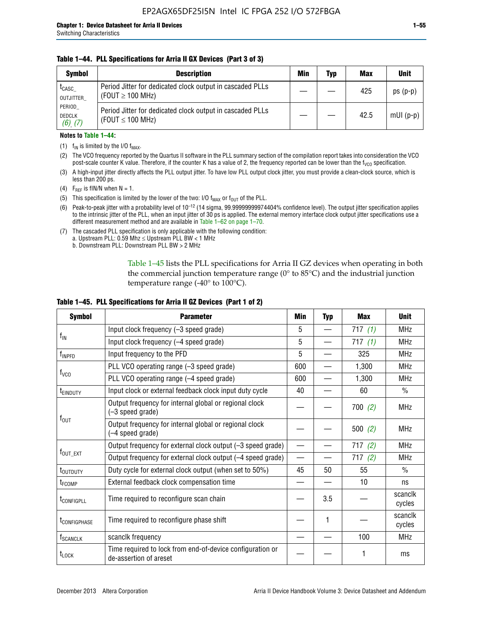### **Table 1–44. PLL Specifications for Arria II GX Devices (Part 3 of 3)**

| <b>Symbol</b>                            | <b>Description</b>                                                                 | Min | Typ | <b>Max</b> | <b>Unit</b> |
|------------------------------------------|------------------------------------------------------------------------------------|-----|-----|------------|-------------|
| t <sub>CASC</sub><br>OUTJITTER           | Period Jitter for dedicated clock output in cascaded PLLs<br>(FOUT $\geq$ 100 MHz) |     |     | 425        | $ps(p-p)$   |
| PERIOD<br><b>DEDCLK</b><br>$(6)$ , $(7)$ | Period Jitter for dedicated clock output in cascaded PLLs<br>(FOUT $\leq$ 100 MHz) |     |     | 42.5       | $mUI(p-p)$  |

#### **Notes to Table 1–44:**

- (1)  $f_{IN}$  is limited by the I/O  $f_{MAX}$ .
- (2) The VCO frequency reported by the Quartus II software in the PLL summary section of the compilation report takes into consideration the VCO post-scale counter K value. Therefore, if the counter K has a value of 2, the frequency reported can be lower than the f<sub>VCO</sub> specification.
- (3) A high-input jitter directly affects the PLL output jitter. To have low PLL output clock jitter, you must provide a clean-clock source, which is less than 200 ps.
- (4) F<sub>REF</sub> is fIN/N when N = 1.
- (5) This specification is limited by the lower of the two: I/O  $f_{MAX}$  or  $f_{OUT}$  of the PLL.
- (6) Peak-to-peak jitter with a probability level of 10–12 (14 sigma, 99.99999999974404% confidence level). The output jitter specification applies to the intrinsic jitter of the PLL, when an input jitter of 30 ps is applied. The external memory interface clock output jitter specifications use a different measurement method and are available in Table 1–62 on page 1–70.
- (7) The cascaded PLL specification is only applicable with the following condition: a. Upstream PLL:  $0.59$  Mhz  $\leq$  Upstream PLL BW  $<$  1 MHz
	- b. Downstream PLL: Downstream PLL BW > 2 MHz

Table 1–45 lists the PLL specifications for Arria II GZ devices when operating in both the commercial junction temperature range (0° to 85°C) and the industrial junction temperature range (-40 $\degree$  to 100 $\degree$ C).

| <b>Symbol</b>              | <b>Parameter</b>                                                                    |                          | <b>Typ</b> | <b>Max</b> | <b>Unit</b>       |
|----------------------------|-------------------------------------------------------------------------------------|--------------------------|------------|------------|-------------------|
|                            | Input clock frequency (-3 speed grade)                                              | 5                        |            | 717(1)     | <b>MHz</b>        |
| $f_{IN}$                   | Input clock frequency (-4 speed grade)                                              | 5                        |            | 717(1)     | <b>MHz</b>        |
| $f_{\mathsf{INPPD}}$       | Input frequency to the PFD                                                          | 5                        |            | 325        | <b>MHz</b>        |
|                            | PLL VCO operating range (-3 speed grade)                                            | 600                      |            | 1,300      | <b>MHz</b>        |
| $f_{\rm VCO}$              | PLL VCO operating range (-4 speed grade)                                            | 600                      |            | 1,300      | <b>MHz</b>        |
| <b>TEINDUTY</b>            | Input clock or external feedback clock input duty cycle                             | 40                       |            | 60         | $\frac{0}{0}$     |
|                            | Output frequency for internal global or regional clock<br>(-3 speed grade)          |                          |            | 700(2)     | <b>MHz</b>        |
| $f_{\text{OUT}}$           | Output frequency for internal global or regional clock<br>(-4 speed grade)          |                          |            | 500(2)     | <b>MHz</b>        |
|                            | Output frequency for external clock output (-3 speed grade)                         | $\overline{\phantom{0}}$ |            | 717(2)     | <b>MHz</b>        |
| $f_{\text{OUT\_EXT}}$      | Output frequency for external clock output (-4 speed grade)                         | $\overline{\phantom{0}}$ |            | 717(2)     | <b>MHz</b>        |
| t <sub>outduty</sub>       | Duty cycle for external clock output (when set to 50%)                              | 45                       | 50         | 55         | $\frac{0}{0}$     |
| t <sub>FCOMP</sub>         | External feedback clock compensation time                                           |                          |            | 10         | ns                |
| t <sub>configpll</sub>     | Time required to reconfigure scan chain                                             |                          | 3.5        |            | scanclk<br>cycles |
| <b><i>LCONFIGPHASE</i></b> | Time required to reconfigure phase shift                                            |                          | 1          |            | scanclk<br>cycles |
| f <sub>SCANCLK</sub>       | scanclk frequency                                                                   |                          |            | 100        | <b>MHz</b>        |
| $t_{\text{LOCK}}$          | Time required to lock from end-of-device configuration or<br>de-assertion of areset |                          |            |            | ms                |

### **Table 1–45. PLL Specifications for Arria II GZ Devices (Part 1 of 2)**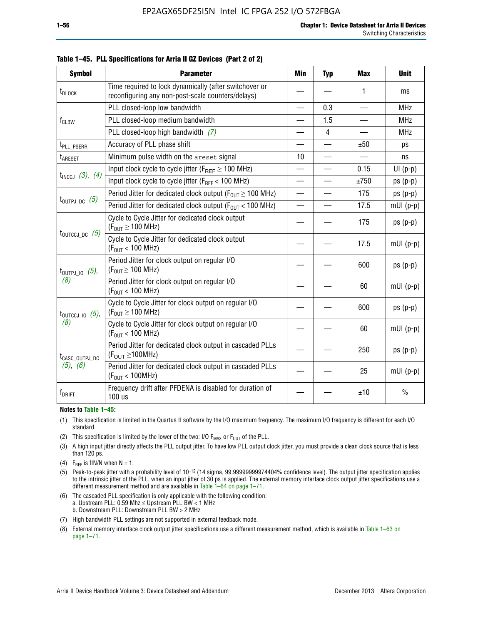| <b>Symbol</b>                | <b>Parameter</b>                                                                                            | Min                      | <b>Typ</b>     | <b>Max</b>               | <b>Unit</b>   |
|------------------------------|-------------------------------------------------------------------------------------------------------------|--------------------------|----------------|--------------------------|---------------|
| t <sub>DLOCK</sub>           | Time required to lock dynamically (after switchover or<br>reconfiguring any non-post-scale counters/delays) |                          |                | 1                        | ms            |
|                              | PLL closed-loop low bandwidth                                                                               | $\overline{\phantom{0}}$ | 0.3            | $\overline{\phantom{0}}$ | <b>MHz</b>    |
| $f_{CLBW}$                   | PLL closed-loop medium bandwidth                                                                            | $\overline{\phantom{0}}$ | 1.5            | —                        | <b>MHz</b>    |
|                              | PLL closed-loop high bandwidth (7)                                                                          |                          | $\overline{4}$ |                          | <b>MHz</b>    |
| t <sub>PLL</sub> PSERR       | Accuracy of PLL phase shift                                                                                 |                          |                | ±50                      | ps            |
| t <sub>ARESET</sub>          | Minimum pulse width on the areset signal                                                                    | 10                       | $\equiv$       |                          | ns            |
|                              | Input clock cycle to cycle jitter ( $F_{REF} \geq 100$ MHz)                                                 | $\overline{\phantom{0}}$ |                | 0.15                     | $UI(p-p)$     |
| $t_{INCCJ}$ (3), (4)         | Input clock cycle to cycle jitter (F <sub>REF</sub> < 100 MHz)                                              |                          |                | ±750                     | $ps(p-p)$     |
|                              | Period Jitter for dedicated clock output ( $F_{OIII} \ge 100$ MHz)                                          | $\overline{\phantom{0}}$ |                | 175                      | $ps(p-p)$     |
| $t_{\text{OUTPJ\_DC}}$ (5)   | Period Jitter for dedicated clock output ( $F_{OUT}$ < 100 MHz)                                             | —                        |                | 17.5                     | $mUI(p-p)$    |
|                              | Cycle to Cycle Jitter for dedicated clock output<br>$(F_{OUT} \ge 100$ MHz)                                 |                          |                | 175                      | $ps(p-p)$     |
| $t_{\text{OUTCCJ\_DC}}$ (5)  | Cycle to Cycle Jitter for dedicated clock output<br>$(F_{OUT} < 100$ MHz)                                   |                          |                | 17.5                     | $mUI(p-p)$    |
| $t_{\text{OUTPJ\_IO}}$ (5),  | Period Jitter for clock output on regular I/O<br>$(F_{OUT} \geq 100$ MHz)                                   |                          |                | 600                      | $ps(p-p)$     |
| (8)                          | Period Jitter for clock output on regular I/O<br>$(F_{OIII} < 100$ MHz)                                     |                          |                | 60                       | $mUI(p-p)$    |
| $t_{\text{OUTCCJ\_IO}}$ (5), | Cycle to Cycle Jitter for clock output on regular I/O<br>$(F_{OUT} \ge 100$ MHz)                            |                          |                | 600                      | $ps(p-p)$     |
| (8)                          | Cycle to Cycle Jitter for clock output on regular I/O<br>$(F_{OUT} < 100$ MHz)                              |                          |                | 60                       | $mUI(p-p)$    |
| t <sub>CASC_OUTPJ_DC</sub>   | Period Jitter for dedicated clock output in cascaded PLLs<br>$(F_{OUT} \ge 100MHz)$                         |                          |                | 250                      | $ps(p-p)$     |
| (5), (6)                     | Period Jitter for dedicated clock output in cascaded PLLs<br>(F <sub>OUT</sub> < 100MHz)                    |                          |                | 25                       | $mUI(p-p)$    |
| f <sub>DRIFT</sub>           | Frequency drift after PFDENA is disabled for duration of<br>100 us                                          |                          |                | ±10                      | $\frac{0}{0}$ |

**Table 1–45. PLL Specifications for Arria II GZ Devices (Part 2 of 2)**

#### **Notes to Table 1–45:**

- (1) This specification is limited in the Quartus II software by the I/O maximum frequency. The maximum I/O frequency is different for each I/O standard.
- (2) This specification is limited by the lower of the two: I/O  $F_{MAX}$  or  $F_{OUT}$  of the PLL.
- (3) A high input jitter directly affects the PLL output jitter. To have low PLL output clock jitter, you must provide a clean clock source that is less than 120 ps.
- (4) F<sub>REF</sub> is fIN/N when  $N = 1$ .
- (5) Peak-to-peak jitter with a probability level of 10–12 (14 sigma, 99.99999999974404% confidence level). The output jitter specification applies to the intrinsic jitter of the PLL, when an input jitter of 30 ps is applied. The external memory interface clock output jitter specifications use a different measurement method and are available in Table 1–64 on page 1–71.
- (6) The cascaded PLL specification is only applicable with the following condition: a. Upstream PLL: 0.59 Mhz  $\leq$  Upstream PLL BW  $<$  1 MHz b. Downstream PLL: Downstream PLL BW > 2 MHz
- (7) High bandwidth PLL settings are not supported in external feedback mode.
- (8) External memory interface clock output jitter specifications use a different measurement method, which is available in Table 1–63 on page 1–71.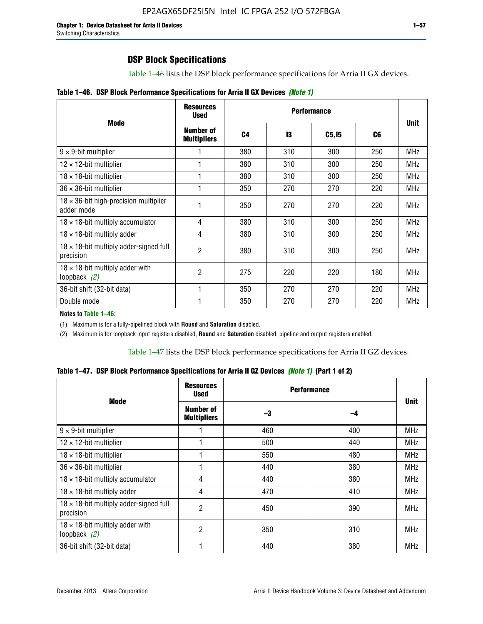Table 1–46 lists the DSP block performance specifications for Arria II GX devices.

|  |  | Table 1–46. DSP Block Performance Specifications for Arria II GX Devices (Note 1) |  |  |  |  |  |
|--|--|-----------------------------------------------------------------------------------|--|--|--|--|--|
|--|--|-----------------------------------------------------------------------------------|--|--|--|--|--|

|                                                             | <b>Resources</b><br><b>Used</b> |                |     |        |     |             |
|-------------------------------------------------------------|---------------------------------|----------------|-----|--------|-----|-------------|
| <b>Mode</b>                                                 | Number of<br><b>Multipliers</b> | C <sub>4</sub> | 13  | C5, I5 | C6  | <b>Unit</b> |
| $9 \times 9$ -bit multiplier                                |                                 | 380            | 310 | 300    | 250 | <b>MHz</b>  |
| $12 \times 12$ -bit multiplier                              |                                 | 380            | 310 | 300    | 250 | <b>MHz</b>  |
| $18 \times 18$ -bit multiplier                              |                                 | 380            | 310 | 300    | 250 | <b>MHz</b>  |
| $36 \times 36$ -bit multiplier                              |                                 | 350            | 270 | 270    | 220 | <b>MHz</b>  |
| $18 \times 36$ -bit high-precision multiplier<br>adder mode |                                 | 350            | 270 | 270    | 220 | <b>MHz</b>  |
| $18 \times 18$ -bit multiply accumulator                    | 4                               | 380            | 310 | 300    | 250 | <b>MHz</b>  |
| $18 \times 18$ -bit multiply adder                          | 4                               | 380            | 310 | 300    | 250 | <b>MHz</b>  |
| $18 \times 18$ -bit multiply adder-signed full<br>precision | 2                               | 380            | 310 | 300    | 250 | <b>MHz</b>  |
| $18 \times 18$ -bit multiply adder with<br>loopback $(2)$   | 2                               | 275            | 220 | 220    | 180 | <b>MHz</b>  |
| 36-bit shift (32-bit data)                                  |                                 | 350            | 270 | 270    | 220 | <b>MHz</b>  |
| Double mode                                                 |                                 | 350            | 270 | 270    | 220 | <b>MHz</b>  |

**Notes to Table 1–46:**

(1) Maximum is for a fully-pipelined block with **Round** and **Saturation** disabled.

(2) Maximum is for loopback input registers disabled, **Round** and **Saturation** disabled, pipeline and output registers enabled.

Table 1–47 lists the DSP block performance specifications for Arria II GZ devices.

**Table 1–47. DSP Block Performance Specifications for Arria II GZ Devices** *(Note 1)* **(Part 1 of 2)**

| <b>Mode</b>                                                 | <b>Resources</b><br><b>Used</b>        | <b>Performance</b> |     | <b>Unit</b> |
|-------------------------------------------------------------|----------------------------------------|--------------------|-----|-------------|
|                                                             | <b>Number of</b><br><b>Multipliers</b> | -3                 | -4  |             |
| $9 \times 9$ -bit multiplier                                |                                        | 460                | 400 | <b>MHz</b>  |
| $12 \times 12$ -bit multiplier                              |                                        | 500                | 440 | <b>MHz</b>  |
| $18 \times 18$ -bit multiplier                              |                                        | 550                | 480 | <b>MHz</b>  |
| $36 \times 36$ -bit multiplier                              |                                        | 440                | 380 | <b>MHz</b>  |
| $18 \times 18$ -bit multiply accumulator                    | 4                                      | 440                | 380 | <b>MHz</b>  |
| $18 \times 18$ -bit multiply adder                          | 4                                      | 470                | 410 | <b>MHz</b>  |
| $18 \times 18$ -bit multiply adder-signed full<br>precision | 2                                      | 450                | 390 | <b>MHz</b>  |
| $18 \times 18$ -bit multiply adder with<br>loopback $(2)$   | 2                                      | 350                | 310 | <b>MHz</b>  |
| 36-bit shift (32-bit data)                                  |                                        | 440                | 380 | <b>MHz</b>  |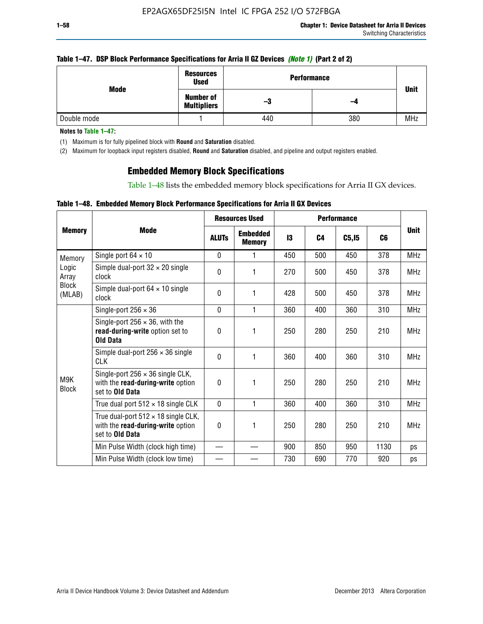### **Table 1–47. DSP Block Performance Specifications for Arria II GZ Devices** *(Note 1)* **(Part 2 of 2)**

|             | <b>Resources</b><br><b>Used</b>        | <b>Performance</b> | <b>Unit</b> |            |
|-------------|----------------------------------------|--------------------|-------------|------------|
| Mode        | <b>Number of</b><br><b>Multipliers</b> | -3                 | -4          |            |
| Double mode |                                        | 440                | 380         | <b>MHz</b> |

**Notes to Table 1–47:**

(1) Maximum is for fully pipelined block with **Round** and **Saturation** disabled.

(2) Maximum for loopback input registers disabled, **Round** and **Saturation** disabled, and pipeline and output registers enabled.

## **Embedded Memory Block Specifications**

Table 1–48 lists the embedded memory block specifications for Arria II GX devices.

### **Table 1–48. Embedded Memory Block Performance Specifications for Arria II GX Devices**

|                        |                                                                                                           | <b>Resources Used</b> |                                  | <b>Performance</b> |                |        |      |             |
|------------------------|-----------------------------------------------------------------------------------------------------------|-----------------------|----------------------------------|--------------------|----------------|--------|------|-------------|
| <b>Memory</b>          | <b>Mode</b>                                                                                               | <b>ALUTS</b>          | <b>Embedded</b><br><b>Memory</b> | 13                 | C <sub>4</sub> | C5, I5 | C6   | <b>Unit</b> |
| Memory                 | Single port $64 \times 10$                                                                                | $\Omega$              | 1                                | 450                | 500            | 450    | 378  | <b>MHz</b>  |
| Logic<br>Array         | Simple dual-port $32 \times 20$ single<br>clock                                                           | 0                     | 1                                | 270                | 500            | 450    | 378  | <b>MHz</b>  |
| <b>Block</b><br>(MLAB) | Simple dual-port $64 \times 10$ single<br>clock                                                           | $\theta$              | 1                                | 428                | 500            | 450    | 378  | <b>MHz</b>  |
|                        | Single-port $256 \times 36$                                                                               | $\mathbf{0}$          | 1                                | 360                | 400            | 360    | 310  | <b>MHz</b>  |
|                        | Single-port $256 \times 36$ , with the<br>read-during-write option set to<br><b>Old Data</b>              | $\theta$              | 1                                | 250                | 280            | 250    | 210  | <b>MHz</b>  |
|                        | Simple dual-port $256 \times 36$ single<br><b>CLK</b>                                                     | $\theta$              | 1                                | 360                | 400            | 360    | 310  | <b>MHz</b>  |
| M9K<br><b>Block</b>    | Single-port $256 \times 36$ single CLK,<br>with the read-during-write option<br>set to Old Data           | $\theta$              | 1                                | 250                | 280            | 250    | 210  | <b>MHz</b>  |
|                        | True dual port $512 \times 18$ single CLK                                                                 | $\mathbf{0}$          | 1                                | 360                | 400            | 360    | 310  | <b>MHz</b>  |
|                        | True dual-port $512 \times 18$ single CLK,<br>with the read-during-write option<br>set to <b>Old Data</b> | 0                     | 1                                | 250                | 280            | 250    | 210  | <b>MHz</b>  |
|                        | Min Pulse Width (clock high time)                                                                         |                       |                                  | 900                | 850            | 950    | 1130 | ps          |
|                        | Min Pulse Width (clock low time)                                                                          |                       |                                  | 730                | 690            | 770    | 920  | ps          |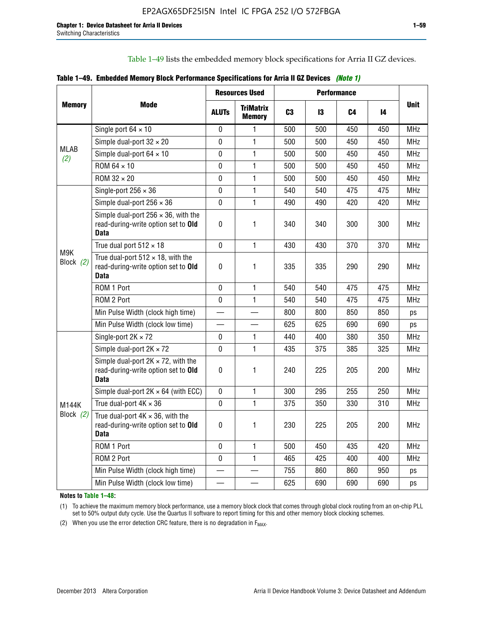Table 1–49 lists the embedded memory block specifications for Arria II GZ devices.

|  |  | Table 1–49. Embedded Memory Block Performance Specifications for Arria II GZ Devices (Note 1) |  |  |  |
|--|--|-----------------------------------------------------------------------------------------------|--|--|--|
|--|--|-----------------------------------------------------------------------------------------------|--|--|--|

|                    |                                                                                                   | <b>Resources Used</b> |                                   | <b>Performance</b> |     |     |     |             |
|--------------------|---------------------------------------------------------------------------------------------------|-----------------------|-----------------------------------|--------------------|-----|-----|-----|-------------|
| <b>Memory</b>      | Mode                                                                                              | <b>ALUTS</b>          | <b>TriMatrix</b><br><b>Memory</b> | C <sub>3</sub>     | 13  | C4  | 14  | <b>Unit</b> |
|                    | Single port $64 \times 10$                                                                        | $\Omega$              | 1                                 | 500                | 500 | 450 | 450 | <b>MHz</b>  |
|                    | Simple dual-port $32 \times 20$                                                                   | $\mathbf 0$           | $\mathbf{1}$                      | 500                | 500 | 450 | 450 | <b>MHz</b>  |
| <b>MLAB</b><br>(2) | Simple dual-port $64 \times 10$                                                                   | 0                     | $\mathbf{1}$                      | 500                | 500 | 450 | 450 | <b>MHz</b>  |
|                    | ROM 64 × 10                                                                                       | 0                     | $\mathbf{1}$                      | 500                | 500 | 450 | 450 | <b>MHz</b>  |
|                    | ROM 32 × 20                                                                                       | $\mathbf 0$           | $\mathbf{1}$                      | 500                | 500 | 450 | 450 | <b>MHz</b>  |
|                    | Single-port $256 \times 36$                                                                       | $\mathbf 0$           | $\mathbf{1}$                      | 540                | 540 | 475 | 475 | <b>MHz</b>  |
|                    | Simple dual-port $256 \times 36$                                                                  | $\mathbf 0$           | $\mathbf{1}$                      | 490                | 490 | 420 | 420 | <b>MHz</b>  |
|                    | Simple dual-port $256 \times 36$ , with the<br>read-during-write option set to Old<br><b>Data</b> | $\pmb{0}$             | 1                                 | 340                | 340 | 300 | 300 | <b>MHz</b>  |
|                    | True dual port $512 \times 18$                                                                    | $\Omega$              | 1                                 | 430                | 430 | 370 | 370 | <b>MHz</b>  |
| M9K<br>Block (2)   | True dual-port $512 \times 18$ , with the<br>read-during-write option set to Old<br><b>Data</b>   | $\mathbf 0$           | 1                                 | 335                | 335 | 290 | 290 | <b>MHz</b>  |
|                    | ROM 1 Port                                                                                        | $\mathbf 0$           | 1                                 | 540                | 540 | 475 | 475 | <b>MHz</b>  |
|                    | ROM 2 Port                                                                                        | 0                     | 1                                 | 540                | 540 | 475 | 475 | <b>MHz</b>  |
|                    | Min Pulse Width (clock high time)                                                                 |                       |                                   | 800                | 800 | 850 | 850 | ps          |
|                    | Min Pulse Width (clock low time)                                                                  |                       |                                   | 625                | 625 | 690 | 690 | ps          |
|                    | Single-port $2K \times 72$                                                                        | 0                     | 1.                                | 440                | 400 | 380 | 350 | <b>MHz</b>  |
|                    | Simple dual-port $2K \times 72$                                                                   | $\mathbf 0$           | 1                                 | 435                | 375 | 385 | 325 | <b>MHz</b>  |
|                    | Simple dual-port $2K \times 72$ , with the<br>read-during-write option set to Old<br><b>Data</b>  | $\pmb{0}$             | 1                                 | 240                | 225 | 205 | 200 | MHz         |
|                    | Simple dual-port $2K \times 64$ (with ECC)                                                        | $\mathbf 0$           | 1                                 | 300                | 295 | 255 | 250 | <b>MHz</b>  |
| M144K              | True dual-port $4K \times 36$                                                                     | $\mathbf{0}$          | 1                                 | 375                | 350 | 330 | 310 | <b>MHz</b>  |
| Block $(2)$        | True dual-port $4K \times 36$ , with the<br>read-during-write option set to Old<br><b>Data</b>    | $\pmb{0}$             | 1                                 | 230                | 225 | 205 | 200 | <b>MHz</b>  |
|                    | ROM 1 Port                                                                                        | $\mathbf 0$           | 1                                 | 500                | 450 | 435 | 420 | <b>MHz</b>  |
|                    | ROM 2 Port                                                                                        | 0                     | $\mathbf{1}$                      | 465                | 425 | 400 | 400 | <b>MHz</b>  |
|                    | Min Pulse Width (clock high time)                                                                 |                       |                                   | 755                | 860 | 860 | 950 | ps          |
|                    | Min Pulse Width (clock low time)                                                                  |                       |                                   | 625                | 690 | 690 | 690 | ps          |

**Notes to Table 1–48:**

(1) To achieve the maximum memory block performance, use a memory block clock that comes through global clock routing from an on-chip PLL set to 50% output duty cycle. Use the Quartus II software to report timing for this and other memory block clocking schemes.

(2) When you use the error detection CRC feature, there is no degradation in  $F_{MAX}$ .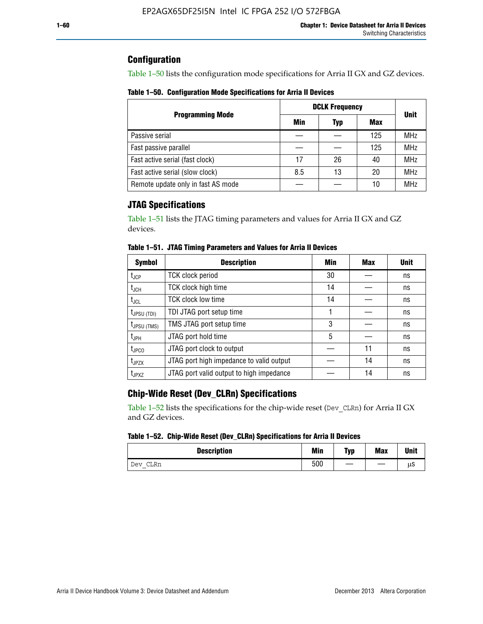## **Configuration**

Table 1–50 lists the configuration mode specifications for Arria II GX and GZ devices.

**Table 1–50. Configuration Mode Specifications for Arria II Devices**

|                                    | <b>DCLK Frequency</b> | <b>Unit</b> |     |            |
|------------------------------------|-----------------------|-------------|-----|------------|
| <b>Programming Mode</b>            | Min                   | Typ         | Max |            |
| Passive serial                     |                       |             | 125 | <b>MHz</b> |
| Fast passive parallel              |                       |             | 125 | <b>MHz</b> |
| Fast active serial (fast clock)    | 17                    | 26          | 40  | <b>MHz</b> |
| Fast active serial (slow clock)    | 8.5                   | 13          | 20  | <b>MHz</b> |
| Remote update only in fast AS mode |                       |             | 10  | <b>MHz</b> |

## **JTAG Specifications**

Table 1–51 lists the JTAG timing parameters and values for Arria II GX and GZ devices.

| <b>Symbol</b>     | <b>Description</b>                       | Min | Max | <b>Unit</b> |
|-------------------|------------------------------------------|-----|-----|-------------|
| $t_{JCP}$         | <b>TCK clock period</b>                  | 30  |     | ns          |
| $t_{JCH}$         | TCK clock high time                      | 14  |     | ns          |
| $t_{\text{JCL}}$  | <b>TCK clock low time</b>                | 14  |     | ns          |
| $t_{JPSU(TDI)}$   | TDI JTAG port setup time                 |     |     | ns          |
| $t_{JPSU\,(TMS)}$ | TMS JTAG port setup time                 | 3   |     | ns          |
| $t_{\sf JPH}$     | JTAG port hold time                      | 5   |     | ns          |
| $t_{\text{JPCO}}$ | JTAG port clock to output                |     | 11  | ns          |
| t <sub>JPZX</sub> | JTAG port high impedance to valid output |     | 14  | ns          |
| t <sub>JPXZ</sub> | JTAG port valid output to high impedance |     | 14  | ns          |

**Table 1–51. JTAG Timing Parameters and Values for Arria II Devices**

## **Chip-Wide Reset (Dev\_CLRn) Specifications**

Table 1–52 lists the specifications for the chip-wide reset (Dev\_CLRn) for Arria II GX and GZ devices.

### **Table 1–52. Chip-Wide Reset (Dev\_CLRn) Specifications for Arria II Devices**

| <b>Description</b> | Min | <b>Typ</b> | <b>Max</b> | <b>Unit</b> |
|--------------------|-----|------------|------------|-------------|
| CLRn<br>Dev        | 500 |            |            | μS          |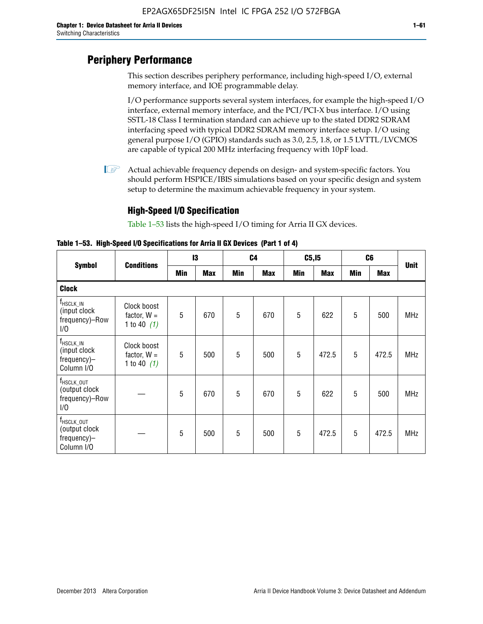# **Periphery Performance**

This section describes periphery performance, including high-speed I/O, external memory interface, and IOE programmable delay.

I/O performance supports several system interfaces, for example the high-speed I/O interface, external memory interface, and the PCI/PCI-X bus interface. I/O using SSTL-18 Class I termination standard can achieve up to the stated DDR2 SDRAM interfacing speed with typical DDR2 SDRAM memory interface setup. I/O using general purpose I/O (GPIO) standards such as 3.0, 2.5, 1.8, or 1.5 LVTTL/LVCMOS are capable of typical 200 MHz interfacing frequency with 10pF load.

 $\mathbb{I}$  Actual achievable frequency depends on design- and system-specific factors. You should perform HSPICE/IBIS simulations based on your specific design and system setup to determine the maximum achievable frequency in your system.

## **High-Speed I/O Specification**

Table 1–53 lists the high-speed I/O timing for Arria II GX devices.

**Table 1–53. High-Speed I/O Specifications for Arria II GX Devices (Part 1 of 4)**

| <b>Symbol</b>                                                                |                                               | 13  |            |     | C <sub>4</sub> |            | C5, I5     |            | C <sub>6</sub> |             |
|------------------------------------------------------------------------------|-----------------------------------------------|-----|------------|-----|----------------|------------|------------|------------|----------------|-------------|
|                                                                              | <b>Conditions</b>                             | Min | <b>Max</b> | Min | <b>Max</b>     | <b>Min</b> | <b>Max</b> | <b>Min</b> | <b>Max</b>     | <b>Unit</b> |
| <b>Clock</b>                                                                 |                                               |     |            |     |                |            |            |            |                |             |
| $f_{\sf HSCLK\_IN}$<br>(input clock<br>frequency)-Row<br>1/0                 | Clock boost<br>factor, $W =$<br>1 to 40 $(1)$ | 5   | 670        | 5   | 670            | 5          | 622        | 5          | 500            | <b>MHz</b>  |
| $f_{HSCLK\_IN}$<br>(input clock<br>frequency)-<br>Column I/O                 | Clock boost<br>factor, $W =$<br>1 to 40 $(1)$ | 5   | 500        | 5   | 500            | 5          | 472.5      | 5          | 472.5          | <b>MHz</b>  |
| T <sub>HSCLK_OUT</sub><br>(output clock<br>frequency)-Row<br>1/0             |                                               | 5   | 670        | 5   | 670            | 5          | 622        | 5          | 500            | <b>MHz</b>  |
| $f_{\text{HSCLK}\_\text{OUT}}$<br>(output clock<br>frequency)-<br>Column I/O |                                               | 5   | 500        | 5   | 500            | 5          | 472.5      | 5          | 472.5          | <b>MHz</b>  |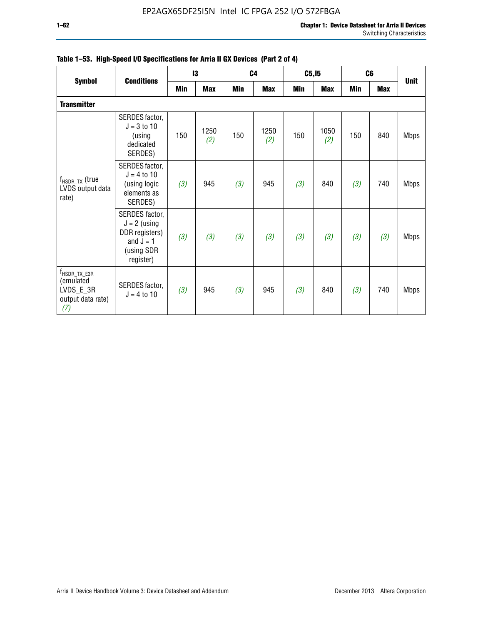|                                                                                |                                                                                              |     | 13          |     | C <sub>4</sub> | C5, I5 |             | C <sub>6</sub> |            | <b>Unit</b> |
|--------------------------------------------------------------------------------|----------------------------------------------------------------------------------------------|-----|-------------|-----|----------------|--------|-------------|----------------|------------|-------------|
| <b>Symbol</b>                                                                  | <b>Conditions</b>                                                                            | Min | <b>Max</b>  | Min | <b>Max</b>     | Min    | <b>Max</b>  | <b>Min</b>     | <b>Max</b> |             |
| <b>Transmitter</b>                                                             |                                                                                              |     |             |     |                |        |             |                |            |             |
| $f_{HSDR, TX}$ (true<br>LVDS output data<br>rate)                              | SERDES factor,<br>$J = 3$ to 10<br>(using<br>dedicated<br>SERDES)                            | 150 | 1250<br>(2) | 150 | 1250<br>(2)    | 150    | 1050<br>(2) | 150            | 840        | <b>Mbps</b> |
|                                                                                | SERDES factor,<br>$J = 4$ to 10<br>(using logic<br>elements as<br>SERDES)                    | (3) | 945         | (3) | 945            | (3)    | 840         | (3)            | 740        | <b>Mbps</b> |
|                                                                                | SERDES factor,<br>$J = 2$ (using<br>DDR registers)<br>and $J = 1$<br>(using SDR<br>register) | (3) | (3)         | (3) | (3)            | (3)    | (3)         | (3)            | (3)        | <b>Mbps</b> |
| f <sub>HSDR_TX_E3R</sub><br>(emulated<br>LVDS E 3R<br>output data rate)<br>(7) | SERDES factor,<br>$J = 4$ to 10                                                              | (3) | 945         | (3) | 945            | (3)    | 840         | (3)            | 740        | <b>Mbps</b> |

**Table 1–53. High-Speed I/O Specifications for Arria II GX Devices (Part 2 of 4)**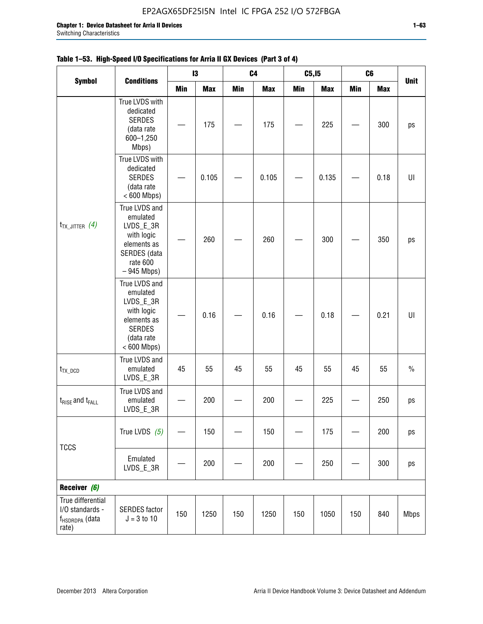|                                                                             |                                                                                                                     |     | $\mathbf{I}3$ |     | C <sub>4</sub> | C5, I5     |            | C6         |            |               |
|-----------------------------------------------------------------------------|---------------------------------------------------------------------------------------------------------------------|-----|---------------|-----|----------------|------------|------------|------------|------------|---------------|
| <b>Symbol</b>                                                               | <b>Conditions</b>                                                                                                   | Min | <b>Max</b>    | Min | <b>Max</b>     | <b>Min</b> | <b>Max</b> | <b>Min</b> | <b>Max</b> | <b>Unit</b>   |
| $t_{TX\_JITTER}$ (4)                                                        | True LVDS with<br>dedicated<br><b>SERDES</b><br>(data rate<br>600-1,250<br>Mbps)                                    |     | 175           |     | 175            |            | 225        |            | 300        | ps            |
|                                                                             | True LVDS with<br>dedicated<br><b>SERDES</b><br>(data rate<br>$< 600$ Mbps)                                         |     | 0.105         |     | 0.105          |            | 0.135      |            | 0.18       | U             |
|                                                                             | True LVDS and<br>emulated<br>LVDS_E_3R<br>with logic<br>elements as<br>SERDES (data<br>rate 600<br>$-945$ Mbps)     |     | 260           |     | 260            |            | 300        |            | 350        | ps            |
|                                                                             | True LVDS and<br>emulated<br>LVDS_E_3R<br>with logic<br>elements as<br><b>SERDES</b><br>(data rate<br>$< 600$ Mbps) |     | 0.16          |     | 0.16           |            | 0.18       |            | 0.21       | U             |
| $t_{TX\_DCD}$                                                               | True LVDS and<br>emulated<br>LVDS_E_3R                                                                              | 45  | 55            | 45  | 55             | 45         | 55         | 45         | 55         | $\frac{0}{0}$ |
| $t_{RISE}$ and $t_{FALL}$                                                   | True LVDS and<br>emulated<br>LVDS_E_3R                                                                              |     | 200           |     | 200            |            | 225        |            | 250        | ps            |
|                                                                             | True LVDS $(5)$                                                                                                     |     | 150           |     | 150            |            | 175        |            | 200        | ps            |
| <b>TCCS</b>                                                                 | Emulated<br>LVDS_E_3R                                                                                               |     | 200           |     | 200            |            | 250        |            | 300        | ps            |
| Receiver (6)                                                                |                                                                                                                     |     |               |     |                |            |            |            |            |               |
| True differential<br>I/O standards -<br>f <sub>HSDRDPA</sub> (data<br>rate) | <b>SERDES</b> factor<br>$J = 3 to 10$                                                                               | 150 | 1250          | 150 | 1250           | 150        | 1050       | 150        | 840        | <b>Mbps</b>   |

## **Table 1–53. High-Speed I/O Specifications for Arria II GX Devices (Part 3 of 4)**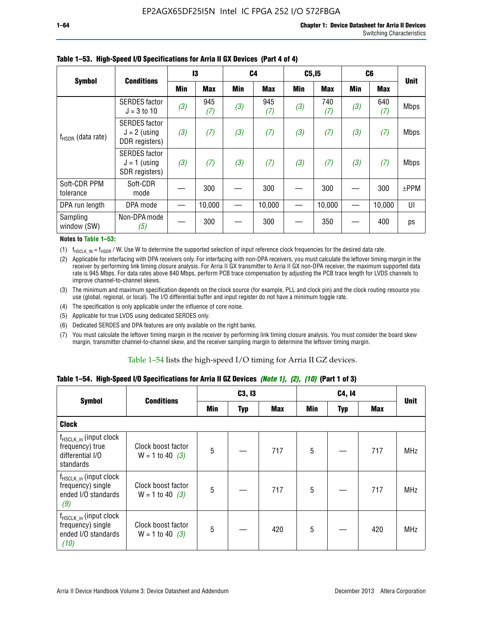|                           | <b>Conditions</b>                                        |     | 13         | C4  |            | C5, I5 |            |            | C <sub>6</sub> | <b>Unit</b> |
|---------------------------|----------------------------------------------------------|-----|------------|-----|------------|--------|------------|------------|----------------|-------------|
| <b>Symbol</b>             |                                                          | Min | <b>Max</b> | Min | <b>Max</b> | Min    | <b>Max</b> | <b>Min</b> | <b>Max</b>     |             |
| $f_{HSDR}$ (data rate)    | <b>SERDES</b> factor<br>$J = 3 to 10$                    | (3) | 945<br>(7) | (3) | 945<br>(7) | (3)    | 740<br>(7) | (3)        | 640<br>(7)     | <b>Mbps</b> |
|                           | <b>SERDES</b> factor<br>$J = 2$ (using<br>DDR registers) | (3) | (7)        | (3) | (7)        | (3)    | (7)        | (3)        | (7)            | <b>Mbps</b> |
|                           | <b>SERDES</b> factor<br>$J = 1$ (using<br>SDR registers) | (3) | (7)        | (3) | (7)        | (3)    | (7)        | (3)        | (7)            | <b>Mbps</b> |
| Soft-CDR PPM<br>tolerance | Soft-CDR<br>mode                                         |     | 300        |     | 300        |        | 300        |            | 300            | $±$ PPM     |
| DPA run length            | DPA mode                                                 |     | 10,000     |     | 10,000     |        | 10,000     |            | 10,000         | UI          |
| Sampling<br>window (SW)   | Non-DPA mode<br>(5)                                      |     | 300        |     | 300        |        | 350        |            | 400            | ps          |

### **Table 1–53. High-Speed I/O Specifications for Arria II GX Devices (Part 4 of 4)**

#### **Notes to Table 1–53:**

(1)  $f_{HSCLK\_IN} = f_{HSDR}$  / W. Use W to determine the supported selection of input reference clock frequencies for the desired data rate.

(2) Applicable for interfacing with DPA receivers only. For interfacing with non-DPA receivers, you must calculate the leftover timing margin in the receiver by performing link timing closure analysis. For Arria II GX transmitter to Arria II GX non-DPA receiver, the maximum supported data rate is 945 Mbps. For data rates above 840 Mbps, perform PCB trace compensation by adjusting the PCB trace length for LVDS channels to improve channel-to-channel skews.

- (3) The minimum and maximum specification depends on the clock source (for example, PLL and clock pin) and the clock routing resource you use (global, regional, or local). The I/O differential buffer and input register do not have a minimum toggle rate.
- (4) The specification is only applicable under the influence of core noise.
- (5) Applicable for true LVDS using dedicated SERDES only.
- (6) Dedicated SERDES and DPA features are only available on the right banks.
- (7) You must calculate the leftover timing margin in the receiver by performing link timing closure analysis. You must consider the board skew margin, transmitter channel-to-channel skew, and the receiver sampling margin to determine the leftover timing margin.

### Table 1–54 lists the high-speed I/O timing for Arria II GZ devices.

## **Table 1–54. High-Speed I/O Specifications for Arria II GZ Devices** *(Note 1), (2), (10)* **(Part 1 of 3)**

| <b>Symbol</b>                                                                   | <b>Conditions</b>                       |     | C3, I3     |            |     | <b>Unit</b> |            |            |
|---------------------------------------------------------------------------------|-----------------------------------------|-----|------------|------------|-----|-------------|------------|------------|
|                                                                                 |                                         | Min | <b>Typ</b> | <b>Max</b> | Min | <b>Typ</b>  | <b>Max</b> |            |
| <b>Clock</b>                                                                    |                                         |     |            |            |     |             |            |            |
| $f_{HSCLK_in}$ (input clock<br>frequency) true<br>differential I/O<br>standards | Clock boost factor<br>$W = 1$ to 40 (3) | 5   |            | 717        | 5   |             | 717        | <b>MHz</b> |
| $f_{HSCLK_in}$ (input clock<br>frequency) single<br>ended I/O standards<br>(9)  | Clock boost factor<br>$W = 1$ to 40 (3) | 5   |            | 717        | 5   |             | 717        | <b>MHz</b> |
| $f_{HSCLK_in}$ (input clock<br>frequency) single<br>ended I/O standards<br>(10) | Clock boost factor<br>$W = 1$ to 40 (3) | 5   |            | 420        | 5   |             | 420        | <b>MHz</b> |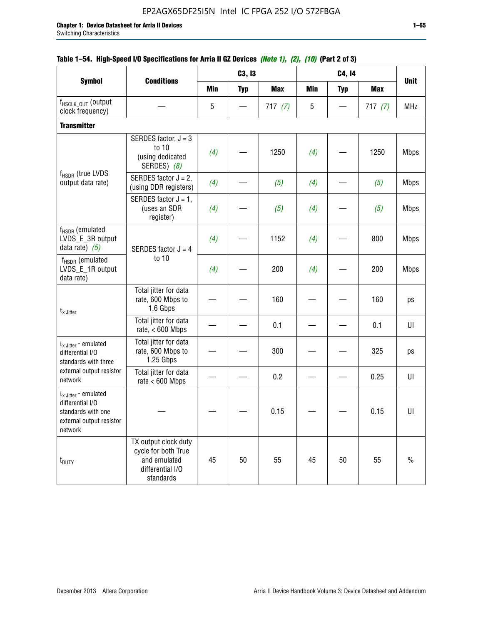|                                                                                                          |                                                                                              |            | C3, I3     |            |            | C4, 14     |            |             |
|----------------------------------------------------------------------------------------------------------|----------------------------------------------------------------------------------------------|------------|------------|------------|------------|------------|------------|-------------|
| <b>Symbol</b>                                                                                            | <b>Conditions</b>                                                                            | <b>Min</b> | <b>Typ</b> | <b>Max</b> | <b>Min</b> | <b>Typ</b> | <b>Max</b> | <b>Unit</b> |
| f <sub>HSCLK_OUT</sub> (output<br>clock frequency)                                                       |                                                                                              | 5          |            | 717(7)     | 5          |            | 717(7)     | <b>MHz</b>  |
| <b>Transmitter</b>                                                                                       |                                                                                              |            |            |            |            |            |            |             |
| $f_{HSDR}$ (true LVDS<br>output data rate)                                                               | SERDES factor, $J = 3$<br>to 10<br>(using dedicated<br>SERDES) (8)                           | (4)        |            | 1250       | (4)        |            | 1250       | <b>Mbps</b> |
|                                                                                                          | SERDES factor $J = 2$ ,<br>(using DDR registers)                                             | (4)        |            | (5)        | (4)        |            | (5)        | <b>Mbps</b> |
|                                                                                                          | SERDES factor $J = 1$ ,<br>(uses an SDR<br>register)                                         | (4)        |            | (5)        | (4)        |            | (5)        | <b>Mbps</b> |
| $f_{HSDR}$ (emulated<br>LVDS_E_3R output<br>data rate) $(5)$                                             | SERDES factor $J = 4$                                                                        | (4)        |            | 1152       | (4)        |            | 800        | <b>Mbps</b> |
| $f_{\rm HSDR}$ (emulated<br>LVDS_E_1R output<br>data rate)                                               | to 10                                                                                        | (4)        |            | 200        | (4)        |            | 200        | <b>Mbps</b> |
| $t_x$ Jitter                                                                                             | Total jitter for data<br>rate, 600 Mbps to<br>1.6 Gbps                                       |            |            | 160        |            |            | 160        | ps          |
|                                                                                                          | Total jitter for data<br>rate, $< 600$ Mbps                                                  |            |            | 0.1        |            |            | 0.1        | UI          |
| $t_{x \text{ Jitter}}$ - emulated<br>differential I/O<br>standards with three                            | Total jitter for data<br>rate, 600 Mbps to<br>1.25 Gbps                                      |            |            | 300        |            |            | 325        | ps          |
| external output resistor<br>network                                                                      | Total jitter for data<br>rate $< 600$ Mbps                                                   |            |            | 0.2        |            |            | 0.25       | U           |
| $t_x$ Jitter - emulated<br>differential I/O<br>standards with one<br>external output resistor<br>network |                                                                                              |            |            | 0.15       |            |            | 0.15       | UI          |
| t <sub>DUTY</sub>                                                                                        | TX output clock duty<br>cycle for both True<br>and emulated<br>differential I/O<br>standards | 45         | 50         | 55         | 45         | 50         | 55         | $\%$        |

## **Table 1–54. High-Speed I/O Specifications for Arria II GZ Devices** *(Note 1), (2), (10)* **(Part 2 of 3)**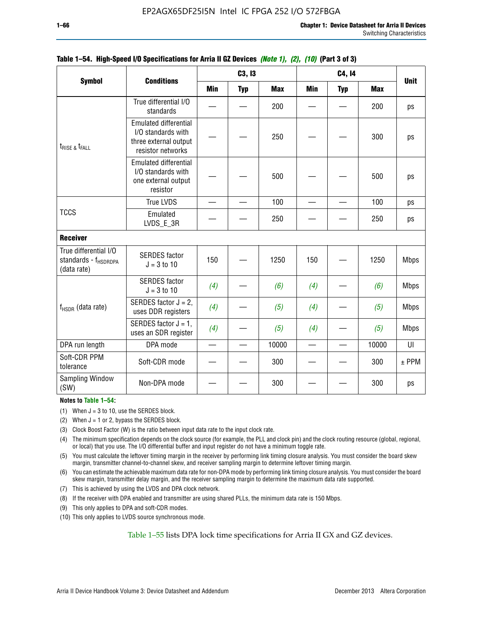|                                                                          |                                                                                                  |     | C3, I3     |            |     | C4, 14     |            |             |
|--------------------------------------------------------------------------|--------------------------------------------------------------------------------------------------|-----|------------|------------|-----|------------|------------|-------------|
| <b>Symbol</b>                                                            | <b>Conditions</b>                                                                                | Min | <b>Typ</b> | <b>Max</b> | Min | <b>Typ</b> | <b>Max</b> | <b>Unit</b> |
|                                                                          | True differential I/O<br>standards                                                               |     |            | 200        |     |            | 200        | ps          |
| $t_{\text{RISE 8}}t_{\text{FALL}}$                                       | <b>Emulated differential</b><br>I/O standards with<br>three external output<br>resistor networks |     |            | 250        |     |            | 300        | ps          |
|                                                                          | <b>Emulated differential</b><br>I/O standards with<br>one external output<br>resistor            |     |            | 500        |     |            | 500        | ps          |
|                                                                          | True LVDS                                                                                        |     |            | 100        |     |            | 100        | ps          |
| <b>TCCS</b>                                                              | Emulated<br>LVDS_E_3R                                                                            |     |            | 250        |     |            | 250        | ps          |
| <b>Receiver</b>                                                          |                                                                                                  |     |            |            |     |            |            |             |
| True differential I/O<br>standards - f <sub>HSDRDPA</sub><br>(data rate) | <b>SERDES</b> factor<br>$J = 3$ to 10                                                            | 150 |            | 1250       | 150 |            | 1250       | <b>Mbps</b> |
|                                                                          | <b>SERDES</b> factor<br>$J = 3$ to 10                                                            | (4) |            | (6)        | (4) |            | (6)        | <b>Mbps</b> |
| $f_{HSDR}$ (data rate)                                                   | SERDES factor $J = 2$ ,<br>uses DDR registers                                                    | (4) |            | (5)        | (4) |            | (5)        | <b>Mbps</b> |
|                                                                          | SERDES factor $J = 1$ ,<br>uses an SDR register                                                  | (4) |            | (5)        | (4) |            | (5)        | <b>Mbps</b> |
| DPA run length                                                           | DPA mode                                                                                         | —   |            | 10000      |     |            | 10000      | UI          |
| Soft-CDR PPM<br>tolerance                                                | Soft-CDR mode                                                                                    |     |            | 300        |     |            | 300        | $±$ PPM     |
| <b>Sampling Window</b><br>(SW)                                           | Non-DPA mode                                                                                     |     |            | 300        |     |            | 300        | ps          |

### **Table 1–54. High-Speed I/O Specifications for Arria II GZ Devices** *(Note 1), (2), (10)* **(Part 3 of 3)**

#### **Notes to Table 1–54:**

(1) When  $J = 3$  to 10, use the SERDES block.

- (2) When  $J = 1$  or 2, bypass the SERDES block.
- (3) Clock Boost Factor (W) is the ratio between input data rate to the input clock rate.
- (4) The minimum specification depends on the clock source (for example, the PLL and clock pin) and the clock routing resource (global, regional, or local) that you use. The I/O differential buffer and input register do not have a minimum toggle rate.
- (5) You must calculate the leftover timing margin in the receiver by performing link timing closure analysis. You must consider the board skew margin, transmitter channel-to-channel skew, and receiver sampling margin to determine leftover timing margin.
- (6) You can estimate the achievable maximum data rate for non-DPA mode by performing link timing closure analysis. You must consider the board skew margin, transmitter delay margin, and the receiver sampling margin to determine the maximum data rate supported.
- (7) This is achieved by using the LVDS and DPA clock network.
- (8) If the receiver with DPA enabled and transmitter are using shared PLLs, the minimum data rate is 150 Mbps.
- (9) This only applies to DPA and soft-CDR modes.
- (10) This only applies to LVDS source synchronous mode.

Table 1–55 lists DPA lock time specifications for Arria II GX and GZ devices.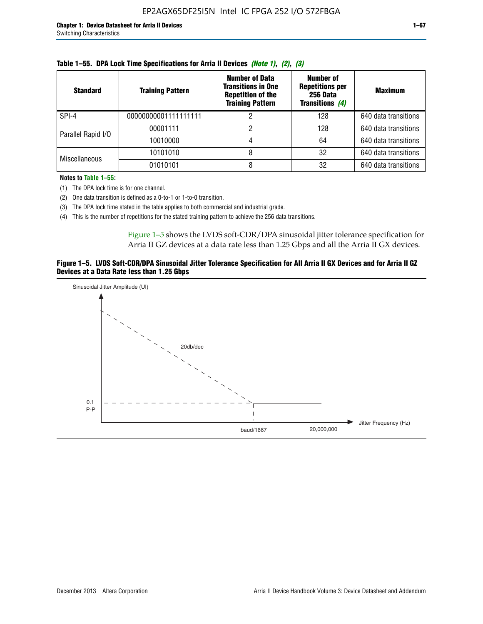| <b>Standard</b>      | <b>Training Pattern</b> | <b>Number of Data</b><br><b>Transitions in One</b><br><b>Repetition of the</b><br><b>Training Pattern</b> | Number of<br><b>Repetitions per</b><br>256 Data<br><b>Transitions (4)</b> | <b>Maximum</b>       |
|----------------------|-------------------------|-----------------------------------------------------------------------------------------------------------|---------------------------------------------------------------------------|----------------------|
| SPI-4                | 00000000001111111111    |                                                                                                           | 128                                                                       | 640 data transitions |
| Parallel Rapid I/O   | 00001111                |                                                                                                           | 128                                                                       | 640 data transitions |
|                      | 10010000                |                                                                                                           | 64                                                                        | 640 data transitions |
| <b>Miscellaneous</b> | 10101010                |                                                                                                           | 32                                                                        | 640 data transitions |
|                      | 01010101                |                                                                                                           | 32                                                                        | 640 data transitions |

|  | Table 1–55. DPA Lock Time Specifications for Arria II Devices (Note 1), (2), (3) |  |  |
|--|----------------------------------------------------------------------------------|--|--|
|  |                                                                                  |  |  |

**Notes to Table 1–55:**

(1) The DPA lock time is for one channel.

(2) One data transition is defined as a 0-to-1 or 1-to-0 transition.

(3) The DPA lock time stated in the table applies to both commercial and industrial grade.

(4) This is the number of repetitions for the stated training pattern to achieve the 256 data transitions.

Figure 1–5 shows the LVDS soft-CDR/DPA sinusoidal jitter tolerance specification for Arria II GZ devices at a data rate less than 1.25 Gbps and all the Arria II GX devices.

### **Figure 1–5. LVDS Soft-CDR/DPA Sinusoidal Jitter Tolerance Specification for All Arria II GX Devices and for Arria II GZ Devices at a Data Rate less than 1.25 Gbps**

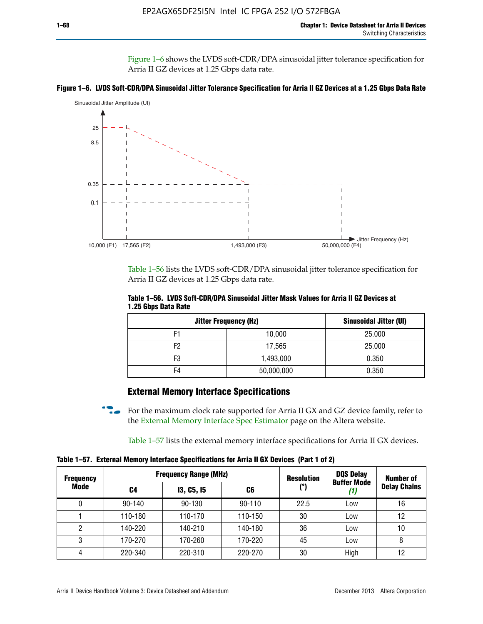Figure 1–6 shows the LVDS soft-CDR/DPA sinusoidal jitter tolerance specification for Arria II GZ devices at 1.25 Gbps data rate.





Table 1–56 lists the LVDS soft-CDR/DPA sinusoidal jitter tolerance specification for Arria II GZ devices at 1.25 Gbps data rate.

|                     | Table 1–56. LVDS Soft-CDR/DPA Sinusoidal Jitter Mask Values for Arria II GZ Devices at |  |  |
|---------------------|----------------------------------------------------------------------------------------|--|--|
| 1.25 Gbps Data Rate |                                                                                        |  |  |

| <b>Jitter Frequency (Hz)</b> |            | Sinusoidal Jitter (UI) |
|------------------------------|------------|------------------------|
| F1                           | 10,000     | 25.000                 |
| F2                           | 17,565     | 25.000                 |
| F3                           | 1,493,000  | 0.350                  |
| F4                           | 50,000,000 | 0.350                  |

## **External Memory Interface Specifications**

For the maximum clock rate supported for Arria II GX and GZ device family, refer to the [External Memory Interface Spec Estimator](http://www.altera.com/technology/memory/estimator/mem-emif-index.html) page on the Altera website.

Table 1–57 lists the external memory interface specifications for Arria II GX devices.

**Table 1–57. External Memory Interface Specifications for Arria II GX Devices (Part 1 of 2)**

| <b>Frequency</b> |            | <b>Frequency Range (MHz)</b> |            | <b>Resolution</b> | <b>DQS Delay</b>   | <b>Number of</b>    |
|------------------|------------|------------------------------|------------|-------------------|--------------------|---------------------|
| Mode             | C4         | <b>13, C5, 15</b>            | C6         | (°)               | <b>Buffer Mode</b> | <b>Delay Chains</b> |
| 0                | $90 - 140$ | 90-130                       | $90 - 110$ | 22.5              | Low                | 16                  |
|                  | 110-180    | 110-170                      | 110-150    | 30                | Low                | 12                  |
| 2                | 140-220    | 140-210                      | 140-180    | 36                | Low                | 10                  |
| 3                | 170-270    | 170-260                      | 170-220    | 45                | Low                | 8                   |
| 4                | 220-340    | 220-310                      | 220-270    | 30                | High               | 12                  |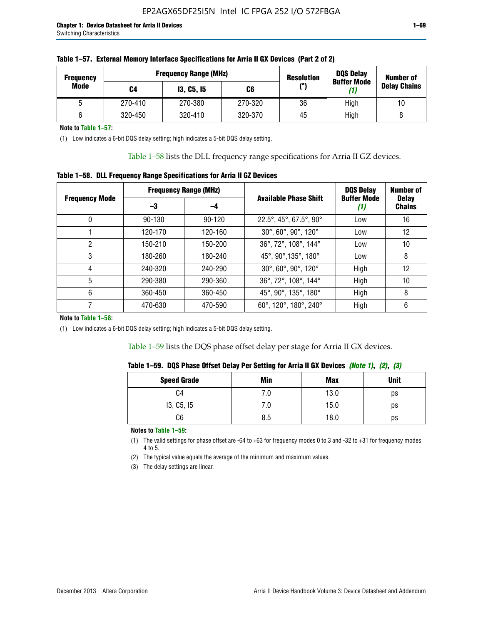| <b>Frequency</b> | <b>Frequency Range (MHz)</b> |                   |         | <b>Resolution</b> | <b>DQS Delay</b><br><b>Buffer Mode</b> | <b>Number of</b>    |
|------------------|------------------------------|-------------------|---------|-------------------|----------------------------------------|---------------------|
| Mode             | C4                           | <b>13, C5, 15</b> | C6      | (°)               | (1)                                    | <b>Delay Chains</b> |
|                  | 270-410                      | 270-380           | 270-320 | 36                | High                                   | 10                  |
|                  | 320-450                      | 320-410           | 320-370 | 45                | High                                   |                     |

| Table 1–57. External Memory Interface Specifications for Arria II GX Devices (Part 2 of 2) |
|--------------------------------------------------------------------------------------------|
|--------------------------------------------------------------------------------------------|

**Note to Table 1–57:**

(1) Low indicates a 6-bit DQS delay setting; high indicates a 5-bit DQS delay setting.

Table 1–58 lists the DLL frequency range specifications for Arria II GZ devices.

### **Table 1–58. DLL Frequency Range Specifications for Arria II GZ Devices**

|                       | <b>Frequency Range (MHz)</b> |            |                              | <b>DOS Delay</b>          | <b>Number of</b>              |  |
|-----------------------|------------------------------|------------|------------------------------|---------------------------|-------------------------------|--|
| <b>Frequency Mode</b> | -3                           | -4         | <b>Available Phase Shift</b> | <b>Buffer Mode</b><br>(1) | <b>Delay</b><br><b>Chains</b> |  |
| 0                     | $90 - 130$                   | $90 - 120$ | 22.5°, 45°, 67.5°, 90°       | Low                       | 16                            |  |
|                       | 120-170                      | 120-160    | 30°, 60°, 90°, 120°          | Low                       | 12                            |  |
| 2                     | 150-210                      | 150-200    | 36°, 72°, 108°, 144°         | Low                       | 10                            |  |
| 3                     | 180-260                      | 180-240    | 45°, 90°, 135°, 180°         | Low                       | 8                             |  |
| 4                     | 240-320                      | 240-290    | 30°, 60°, 90°, 120°          | High                      | 12                            |  |
| 5                     | 290-380                      | 290-360    | 36°, 72°, 108°, 144°         | High                      | 10                            |  |
| 6                     | 360-450                      | 360-450    | 45°, 90°, 135°, 180°         | High                      | 8                             |  |
|                       | 470-630                      | 470-590    | 60°, 120°, 180°, 240°        | High                      | 6                             |  |

#### **Note to Table 1–58:**

(1) Low indicates a 6-bit DQS delay setting; high indicates a 5-bit DQS delay setting.

Table 1–59 lists the DQS phase offset delay per stage for Arria II GX devices.

|  | Table 1–59.  DQS Phase Offset Delay Per Setting for Arria II GX Devices <i>(Note 1), (2), (3)</i> |  |  |
|--|---------------------------------------------------------------------------------------------------|--|--|
|  |                                                                                                   |  |  |

| <b>Speed Grade</b> | Min  | <b>Max</b> | <b>Unit</b> |
|--------------------|------|------------|-------------|
| C4                 | ن. ا | 13.0       | ps          |
| 13, C5, I5         | 7.U  | 15.0       | ps          |
| C6                 | 8.5  | 18.0       | ps          |

**Notes to Table 1–59:**

(1) The valid settings for phase offset are -64 to +63 for frequency modes 0 to 3 and -32 to +31 for frequency modes 4 to 5.

(2) The typical value equals the average of the minimum and maximum values.

(3) The delay settings are linear.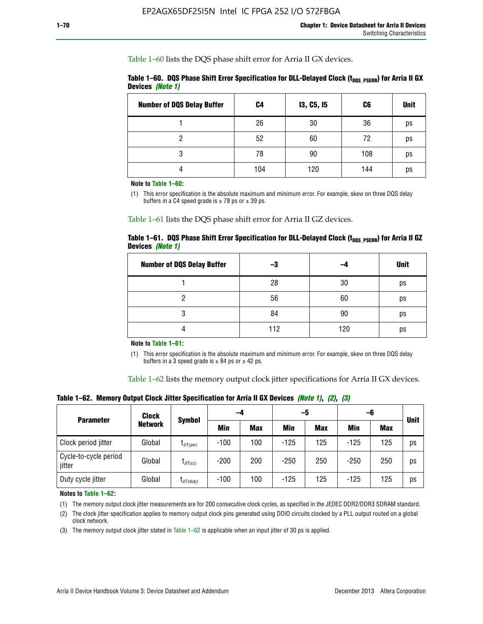Table 1–60 lists the DQS phase shift error for Arria II GX devices.

|                  | Table 1–60. DQS Phase Shift Error Specification for DLL-Delayed Clock ( $t_{\text{DOS PSERR}}$ ) for Arria II GX |  |
|------------------|------------------------------------------------------------------------------------------------------------------|--|
| Devices (Note 1) |                                                                                                                  |  |

| <b>Number of DQS Delay Buffer</b> | C4  | <b>13, C5, 15</b> | C6  | <b>Unit</b> |
|-----------------------------------|-----|-------------------|-----|-------------|
|                                   | 26  | 30                | 36  | ps          |
| າ                                 | 52  | 60                | 72  | ps          |
| 3                                 | 78  | 90                | 108 | ps          |
|                                   | 104 | 120               | 144 | ps          |

**Note to Table 1–60:**

(1) This error specification is the absolute maximum and minimum error. For example, skew on three DQS delay buffers in a C4 speed grade is  $\pm$  78 ps or  $\pm$  39 ps.

Table 1–61 lists the DQS phase shift error for Arria II GZ devices.

|                         |  | Table 1–61.DQS Phase Shift Error Specification for DLL-Delayed Clock (t <sub>oos PsERR</sub> ) for Arria II GZ |
|-------------------------|--|----------------------------------------------------------------------------------------------------------------|
| Devices <i>(Note 1)</i> |  |                                                                                                                |

| <b>Number of DQS Delay Buffer</b> | -3  |     | <b>Unit</b> |
|-----------------------------------|-----|-----|-------------|
|                                   | 28  | 30  | ps          |
|                                   | 56  | 60  | ps          |
| Q                                 | 84  | 90  | ps          |
|                                   | 112 | 120 | ps          |

**Note to Table 1–61:**

(1) This error specification is the absolute maximum and minimum error. For example, skew on three DQS delay buffers in a 3 speed grade is  $\pm$  84 ps or  $\pm$  42 ps.

Table 1–62 lists the memory output clock jitter specifications for Arria II GX devices.

**Table 1–62. Memory Output Clock Jitter Specification for Arria II GX Devices** *(Note 1)***,** *(2)***,** *(3)*

| <b>Parameter</b>                | Clock<br><b>Network</b> | <b>Symbol</b>    | -4     |            | -5         |            | -6         |            |             |
|---------------------------------|-------------------------|------------------|--------|------------|------------|------------|------------|------------|-------------|
|                                 |                         |                  | Min    | <b>Max</b> | <b>Min</b> | <b>Max</b> | <b>Min</b> | <b>Max</b> | <b>Unit</b> |
| Clock period jitter             | Global                  | $L$ JIT(per)     | $-100$ | 100        | $-125$     | 125        | $-125$     | 125        | ps          |
| Cycle-to-cycle period<br>jitter | Global                  | $L$ JIT $(cc)$   | $-200$ | 200        | $-250$     | 250        | $-250$     | 250        | ps          |
| Duty cycle jitter               | Global                  | $L$ JIT $(duty)$ | $-100$ | 100        | $-125$     | 125        | $-125$     | 125        | ps          |

**Notes to Table 1–62:**

(1) The memory output clock jitter measurements are for 200 consecutive clock cycles, as specified in the JEDEC DDR2/DDR3 SDRAM standard.

(2) The clock jitter specification applies to memory output clock pins generated using DDIO circuits clocked by a PLL output routed on a global clock network.

(3) The memory output clock jitter stated in Table  $1-62$  is applicable when an input jitter of 30 ps is applied.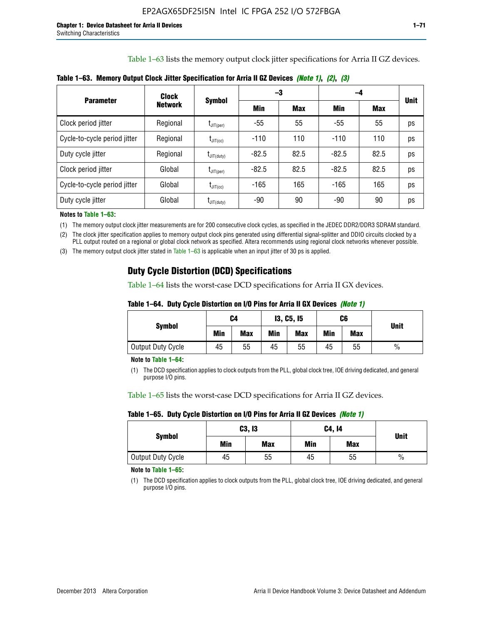Table 1–63 lists the memory output clock jitter specifications for Arria II GZ devices.

|                              | Clock          | <b>Symbol</b>          |         | -3         | -4      |            |             |
|------------------------------|----------------|------------------------|---------|------------|---------|------------|-------------|
| <b>Parameter</b>             | <b>Network</b> |                        | Min     | <b>Max</b> | Min     | <b>Max</b> | <b>Unit</b> |
| Clock period jitter          | Regional       | $I_{\text{JIT(per)}}$  | $-55$   | 55         | $-55$   | 55         | ps          |
| Cycle-to-cycle period jitter | Regional       | $t_{\text{JIT(cc)}}$   | $-110$  | 110        | $-110$  | 110        | ps          |
| Duty cycle jitter            | Regional       | $t_{\text{JIT(duty)}}$ | $-82.5$ | 82.5       | $-82.5$ | 82.5       | ps          |
| Clock period jitter          | Global         | $I_{\text{JIT(per)}}$  | $-82.5$ | 82.5       | $-82.5$ | 82.5       | ps          |
| Cycle-to-cycle period jitter | Global         | $t_{\text{JIT(cc)}}$   | $-165$  | 165        | -165    | 165        | ps          |
| Duty cycle jitter            | Global         | $t_{\text{JIT(duty)}}$ | -90     | 90         | -90     | 90         | ps          |

**Table 1–63. Memory Output Clock Jitter Specification for Arria II GZ Devices** *(Note 1)***,** *(2)***,** *(3)*

**Notes to Table 1–63:**

(1) The memory output clock jitter measurements are for 200 consecutive clock cycles, as specified in the JEDEC DDR2/DDR3 SDRAM standard.

(2) The clock jitter specification applies to memory output clock pins generated using differential signal-splitter and DDIO circuits clocked by a PLL output routed on a regional or global clock network as specified. Altera recommends using regional clock networks whenever possible.

(3) The memory output clock jitter stated in Table 1–63 is applicable when an input jitter of 30 ps is applied.

## **Duty Cycle Distortion (DCD) Specifications**

Table 1–64 lists the worst-case DCD specifications for Arria II GX devices.

| Table 1–64.  Duty Cycle Distortion on I/O Pins for Arria II GX Devices <i>(Note 1)</i> |  |  |
|----------------------------------------------------------------------------------------|--|--|
|----------------------------------------------------------------------------------------|--|--|

| <b>Symbol</b>     | C4  |            | <b>13, C5, 15</b> |            | C6  |            |               |  |
|-------------------|-----|------------|-------------------|------------|-----|------------|---------------|--|
|                   | Min | <b>Max</b> | Min               | <b>Max</b> | Min | <b>Max</b> | <b>Unit</b>   |  |
| Output Duty Cycle | 45  | 55         | 45                | 55         | 45  | 55         | $\frac{0}{0}$ |  |

**Note to Table 1–64:**

(1) The DCD specification applies to clock outputs from the PLL, global clock tree, IOE driving dedicated, and general purpose I/O pins.

Table 1–65 lists the worst-case DCD specifications for Arria II GZ devices.

**Table 1–65. Duty Cycle Distortion on I/O Pins for Arria II GZ Devices** *(Note 1)*

| <b>Symbol</b>     |     | C3, I3     | C4, 14 | <b>Unit</b> |      |
|-------------------|-----|------------|--------|-------------|------|
|                   | Min | <b>Max</b> | Min    | <b>Max</b>  |      |
| Output Duty Cycle | 45  | 55         | 45     | 55          | $\%$ |

**Note to Table 1–65:**

(1) The DCD specification applies to clock outputs from the PLL, global clock tree, IOE driving dedicated, and general purpose I/O pins.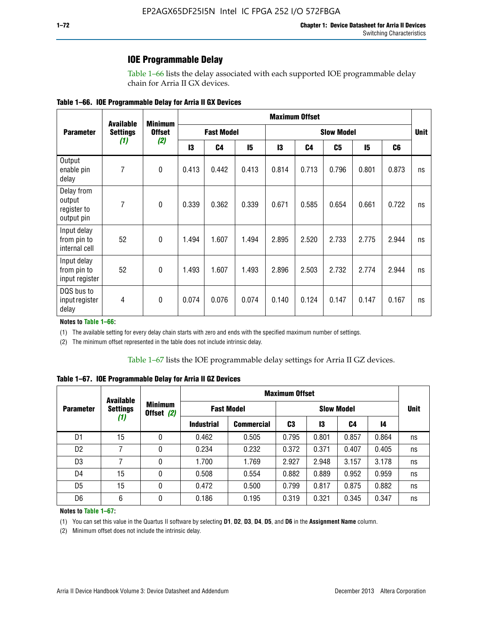### **IOE Programmable Delay**

Table 1–66 lists the delay associated with each supported IOE programmable delay chain for Arria II GX devices.

|  |  |  | Table 1–66. IOE Programmable Delay for Arria II GX Devices |
|--|--|--|------------------------------------------------------------|
|--|--|--|------------------------------------------------------------|

|                                                   | <b>Available</b> | <b>Minimum</b><br><b>Offset</b><br>(2) | <b>Maximum Offset</b> |                |                   |       |       |       |       |                |    |
|---------------------------------------------------|------------------|----------------------------------------|-----------------------|----------------|-------------------|-------|-------|-------|-------|----------------|----|
| <b>Parameter</b>                                  | <b>Settings</b>  |                                        | <b>Fast Model</b>     |                | <b>Slow Model</b> |       |       |       |       | <b>Unit</b>    |    |
|                                                   | (1)              |                                        | 13                    | C <sub>4</sub> | 15                | 13    | C4    | C5    | 15    | C <sub>6</sub> |    |
| Output<br>enable pin<br>delay                     | $\overline{7}$   | $\mathbf 0$                            | 0.413                 | 0.442          | 0.413             | 0.814 | 0.713 | 0.796 | 0.801 | 0.873          | ns |
| Delay from<br>output<br>register to<br>output pin | 7                | $\mathbf 0$                            | 0.339                 | 0.362          | 0.339             | 0.671 | 0.585 | 0.654 | 0.661 | 0.722          | ns |
| Input delay<br>from pin to<br>internal cell       | 52               | $\mathbf{0}$                           | 1.494                 | 1.607          | 1.494             | 2.895 | 2.520 | 2.733 | 2.775 | 2.944          | ns |
| Input delay<br>from pin to<br>input register      | 52               | $\mathbf{0}$                           | 1.493                 | 1.607          | 1.493             | 2.896 | 2.503 | 2.732 | 2.774 | 2.944          | ns |
| DQS bus to<br>input register<br>delay             | 4                | $\pmb{0}$                              | 0.074                 | 0.076          | 0.074             | 0.140 | 0.124 | 0.147 | 0.147 | 0.167          | ns |

**Notes to Table 1–66:**

(1) The available setting for every delay chain starts with zero and ends with the specified maximum number of settings.

(2) The minimum offset represented in the table does not include intrinsic delay.

**Table 1–67. IOE Programmable Delay for Arria II GZ Devices**

|                  | <b>Available</b> |                              | <b>Maximum Offset</b> |                   |                   |       |       |       |             |
|------------------|------------------|------------------------------|-----------------------|-------------------|-------------------|-------|-------|-------|-------------|
| <b>Parameter</b> | <b>Settings</b>  | <b>Minimum</b><br>Offset (2) | <b>Fast Model</b>     |                   | <b>Slow Model</b> |       |       |       | <b>Unit</b> |
|                  | (1)              |                              | <b>Industrial</b>     | <b>Commercial</b> | C3                | 13    | C4    | 14    |             |
| D1               | 15               | 0                            | 0.462                 | 0.505             | 0.795             | 0.801 | 0.857 | 0.864 | ns          |
| D <sub>2</sub>   | 7                | 0                            | 0.234                 | 0.232             | 0.372             | 0.371 | 0.407 | 0.405 | ns          |
| D <sub>3</sub>   | 7                | 0                            | 1.700                 | 1.769             | 2.927             | 2.948 | 3.157 | 3.178 | ns          |
| D4               | 15               | 0                            | 0.508                 | 0.554             | 0.882             | 0.889 | 0.952 | 0.959 | ns          |
| D <sub>5</sub>   | 15               | 0                            | 0.472                 | 0.500             | 0.799             | 0.817 | 0.875 | 0.882 | ns          |
| D <sub>6</sub>   | 6                | 0                            | 0.186                 | 0.195             | 0.319             | 0.321 | 0.345 | 0.347 | ns          |

#### **Notes to Table 1–67:**

(1) You can set this value in the Quartus II software by selecting **D1**, **D2**, **D3**, **D4**, **D5**, and **D6** in the **Assignment Name** column.

(2) Minimum offset does not include the intrinsic delay.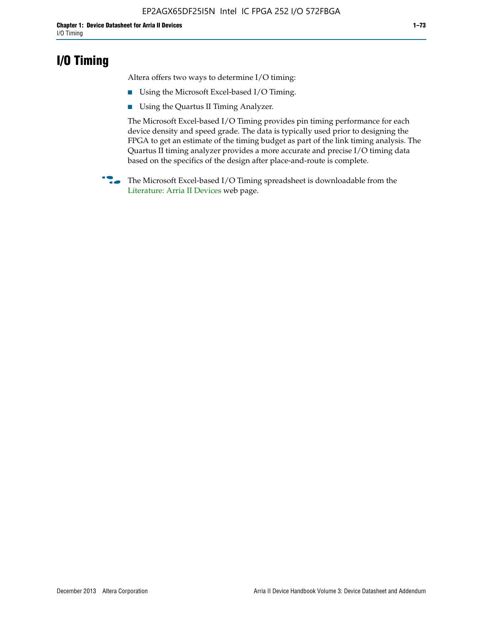## **I/O Timing**

Altera offers two ways to determine I/O timing:

- Using the Microsoft Excel-based I/O Timing.
- Using the Quartus II Timing Analyzer.

The Microsoft Excel-based I/O Timing provides pin timing performance for each device density and speed grade. The data is typically used prior to designing the FPGA to get an estimate of the timing budget as part of the link timing analysis. The Quartus II timing analyzer provides a more accurate and precise I/O timing data based on the specifics of the design after place-and-route is complete.

**f The Microsoft Excel-based I/O Timing spreadsheet is downloadable from the** [Literature: Arria II Devices](http://www.altera.com/literature/lit-arria-ii-gx.jsp) web page.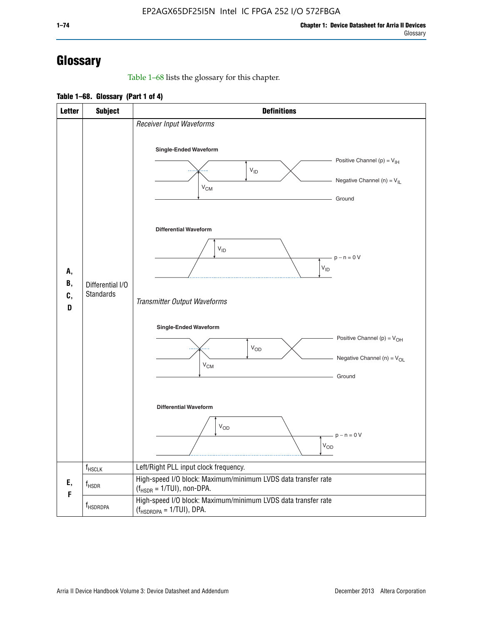# **Glossary**

Table 1–68 lists the glossary for this chapter.

**Table 1–68. Glossary (Part 1 of 4)**

| <b>Letter</b>       | <b>Subject</b>                       | <b>Definitions</b>                                                                                                                         |  |  |  |
|---------------------|--------------------------------------|--------------------------------------------------------------------------------------------------------------------------------------------|--|--|--|
|                     |                                      | Receiver Input Waveforms<br>Single-Ended Waveform<br>Positive Channel (p) = $V_{\text{IH}}$<br>$V_{ID}$<br>Negative Channel (n) = $V_{IL}$ |  |  |  |
|                     |                                      | $V_{CM}$<br>Ground<br><b>Differential Waveform</b>                                                                                         |  |  |  |
| А,<br>В,<br>C,<br>D | Differential I/O<br><b>Standards</b> | $V_{ID}$<br>$-p - n = 0 V$<br>$\rm V_{ID}$<br>Transmitter Output Waveforms                                                                 |  |  |  |
|                     |                                      | Single-Ended Waveform<br>Positive Channel (p) = $V_{OH}$<br>$V_{OD}$<br>Negative Channel (n) = $V_{OL}$<br>$V_{CM}$<br>Ground              |  |  |  |
|                     |                                      | <b>Differential Waveform</b><br><b>V<sub>OD</sub></b><br>$p - n = 0 V$<br>$\mathsf{V}_{\mathsf{OD}}$                                       |  |  |  |
|                     | f <sub>HSCLK</sub>                   | Left/Right PLL input clock frequency.                                                                                                      |  |  |  |
| Ε,<br>F             | $f_{HSDR}$                           | High-speed I/O block: Maximum/minimum LVDS data transfer rate<br>$(f_{\text{HSDR}} = 1/\text{TUI})$ , non-DPA.                             |  |  |  |
|                     | f <sub>HSDRDPA</sub>                 | High-speed I/O block: Maximum/minimum LVDS data transfer rate<br>$(f_{HSDRDPA} = 1/TUI)$ , DPA.                                            |  |  |  |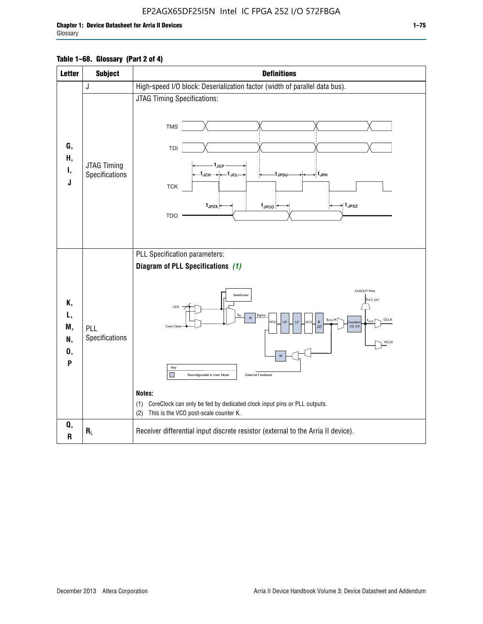| <b>Letter</b>                   | <b>Subject</b>                | <b>Definitions</b>                                                                                                                                                                                                                                                                                                                                                                                                                      |  |  |
|---------------------------------|-------------------------------|-----------------------------------------------------------------------------------------------------------------------------------------------------------------------------------------------------------------------------------------------------------------------------------------------------------------------------------------------------------------------------------------------------------------------------------------|--|--|
|                                 | J                             | High-speed I/O block: Deserialization factor (width of parallel data bus).                                                                                                                                                                                                                                                                                                                                                              |  |  |
| G,<br>Н,<br>Ι,<br>J             | JTAG Timing<br>Specifications | <b>JTAG Timing Specifications:</b><br><b>TMS</b><br>TDI<br>t <sub>.ICP</sub><br>$t_{JCH} \rightarrow +t_{JCL}$<br>⊳∶t <sub>JPH</sub><br>tJPSU<br><b>TCK</b><br>$t_{JPZX}$<br>⇒ t <sub>JPXZ</sub><br>$t_{\text{JPCO}}$<br><b>TDO</b>                                                                                                                                                                                                     |  |  |
| К,<br>L,<br>M,<br>N,<br>0,<br>P | PLL<br>Specifications         | PLL Specification parameters:<br>Diagram of PLL Specifications (1)<br>CLKOUT Pins<br>Switchover<br>fout_ext<br><b>CLK</b><br>fINPFD<br>fvco/K<br>GCLK<br>Κ<br>CP<br>LE<br>PFD<br>CO.C9<br>Core Clod<br>(2)<br><b>RCLK</b><br>M<br>Key<br>П<br>External Feedback<br>Reconfigurable in User Mode<br>Notes:<br>(1) CoreClock can only be fed by dedicated clock input pins or PLL outputs.<br>This is the VCO post-scale counter K.<br>(2) |  |  |
| Q,<br>R                         | $R_L$                         | Receiver differential input discrete resistor (external to the Arria II device).                                                                                                                                                                                                                                                                                                                                                        |  |  |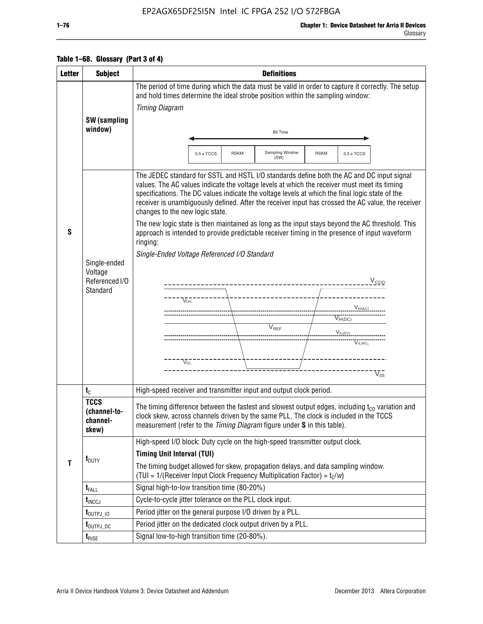### EP2AGX65DF25I5N Intel IC FPGA 252 I/O 572FBGA

|  |  |  | Table 1–68. Glossary (Part 3 of 4) |  |
|--|--|--|------------------------------------|--|
|--|--|--|------------------------------------|--|

| <b>Letter</b> | <b>Subject</b>                                        | <b>Definitions</b>                                                                                                                                                                                                                                                                                                                                                                                                                                                                                                                                                                                                                                                                                                                                                                                                                                                                |  |  |  |  |  |
|---------------|-------------------------------------------------------|-----------------------------------------------------------------------------------------------------------------------------------------------------------------------------------------------------------------------------------------------------------------------------------------------------------------------------------------------------------------------------------------------------------------------------------------------------------------------------------------------------------------------------------------------------------------------------------------------------------------------------------------------------------------------------------------------------------------------------------------------------------------------------------------------------------------------------------------------------------------------------------|--|--|--|--|--|
|               |                                                       | The period of time during which the data must be valid in order to capture it correctly. The setup<br>and hold times determine the ideal strobe position within the sampling window:                                                                                                                                                                                                                                                                                                                                                                                                                                                                                                                                                                                                                                                                                              |  |  |  |  |  |
|               |                                                       | <b>Timing Diagram</b>                                                                                                                                                                                                                                                                                                                                                                                                                                                                                                                                                                                                                                                                                                                                                                                                                                                             |  |  |  |  |  |
|               | SW (sampling                                          |                                                                                                                                                                                                                                                                                                                                                                                                                                                                                                                                                                                                                                                                                                                                                                                                                                                                                   |  |  |  |  |  |
|               | window)                                               | <b>Bit Time</b>                                                                                                                                                                                                                                                                                                                                                                                                                                                                                                                                                                                                                                                                                                                                                                                                                                                                   |  |  |  |  |  |
|               |                                                       |                                                                                                                                                                                                                                                                                                                                                                                                                                                                                                                                                                                                                                                                                                                                                                                                                                                                                   |  |  |  |  |  |
|               |                                                       | Sampling Window<br><b>RSKM</b><br><b>RSKM</b><br>0.5 x TCCS<br>0.5 x TCCS<br>(SW)                                                                                                                                                                                                                                                                                                                                                                                                                                                                                                                                                                                                                                                                                                                                                                                                 |  |  |  |  |  |
| S             | Single-ended<br>Voltage<br>Referenced I/O<br>Standard | The JEDEC standard for SSTL and HSTL I/O standards define both the AC and DC input signal<br>values. The AC values indicate the voltage levels at which the receiver must meet its timing<br>specifications. The DC values indicate the voltage levels at which the final logic state of the<br>receiver is unambiguously defined. After the receiver input has crossed the AC value, the receiver<br>changes to the new logic state.<br>The new logic state is then maintained as long as the input stays beyond the AC threshold. This<br>approach is intended to provide predictable receiver timing in the presence of input waveform<br>ringing:<br>Single-Ended Voltage Referenced I/O Standard<br>$V_{\text{CCIO}}$<br>$V_{OH}$<br>$V_{\text{IH}(AC)}$<br>V <sub>IH(DC)</sub><br>$V_{REF}$<br>$V_{I L (D C)_{\text{untr}}}=$<br>$V_{IL(AC)}$<br>$\rm V_{OL}^-$<br>$V_{ss}$ |  |  |  |  |  |
|               | $t_{\rm C}$                                           | High-speed receiver and transmitter input and output clock period.                                                                                                                                                                                                                                                                                                                                                                                                                                                                                                                                                                                                                                                                                                                                                                                                                |  |  |  |  |  |
|               | <b>TCCS</b><br>(channel-to-<br>channel-<br>skew)      | The timing difference between the fastest and slowest output edges, including $t_{c0}$ variation and<br>clock skew, across channels driven by the same PLL. The clock is included in the TCCS<br>measurement (refer to the Timing Diagram figure under S in this table).                                                                                                                                                                                                                                                                                                                                                                                                                                                                                                                                                                                                          |  |  |  |  |  |
|               |                                                       | High-speed I/O block: Duty cycle on the high-speed transmitter output clock.                                                                                                                                                                                                                                                                                                                                                                                                                                                                                                                                                                                                                                                                                                                                                                                                      |  |  |  |  |  |
|               | $t_{\text{DUTY}}$                                     | <b>Timing Unit Interval (TUI)</b>                                                                                                                                                                                                                                                                                                                                                                                                                                                                                                                                                                                                                                                                                                                                                                                                                                                 |  |  |  |  |  |
| T             |                                                       | The timing budget allowed for skew, propagation delays, and data sampling window.<br>(TUI = $1/($ Receiver Input Clock Frequency Multiplication Factor) = $t_c/w$ )                                                                                                                                                                                                                                                                                                                                                                                                                                                                                                                                                                                                                                                                                                               |  |  |  |  |  |
|               | $t_{\text{FALL}}$                                     | Signal high-to-low transition time (80-20%)                                                                                                                                                                                                                                                                                                                                                                                                                                                                                                                                                                                                                                                                                                                                                                                                                                       |  |  |  |  |  |
|               | $t_{\text{INCCJ}}$                                    | Cycle-to-cycle jitter tolerance on the PLL clock input.                                                                                                                                                                                                                                                                                                                                                                                                                                                                                                                                                                                                                                                                                                                                                                                                                           |  |  |  |  |  |
|               | $t_{\text{OUTPJ\_10}}$                                | Period jitter on the general purpose I/O driven by a PLL.                                                                                                                                                                                                                                                                                                                                                                                                                                                                                                                                                                                                                                                                                                                                                                                                                         |  |  |  |  |  |
|               | t <sub>outpj_dc</sub>                                 | Period jitter on the dedicated clock output driven by a PLL.                                                                                                                                                                                                                                                                                                                                                                                                                                                                                                                                                                                                                                                                                                                                                                                                                      |  |  |  |  |  |
|               | $t_{RISE}$                                            | Signal low-to-high transition time (20-80%).                                                                                                                                                                                                                                                                                                                                                                                                                                                                                                                                                                                                                                                                                                                                                                                                                                      |  |  |  |  |  |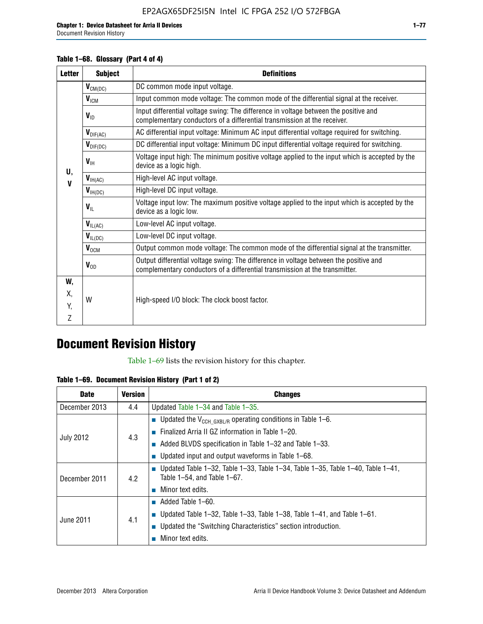Document Revision History

### **Table 1–68. Glossary (Part 4 of 4)**

| <b>Letter</b> | <b>Subject</b>       | <b>Definitions</b>                                                                                                                                                   |
|---------------|----------------------|----------------------------------------------------------------------------------------------------------------------------------------------------------------------|
|               | $V_{CM(DC)}$         | DC common mode input voltage.                                                                                                                                        |
|               | $V_{IGM}$            | Input common mode voltage: The common mode of the differential signal at the receiver.                                                                               |
|               | $V_{ID}$             | Input differential voltage swing: The difference in voltage between the positive and<br>complementary conductors of a differential transmission at the receiver.     |
|               | $V_{\text{DIF(AC)}}$ | AC differential input voltage: Minimum AC input differential voltage required for switching.                                                                         |
|               | $V_{\text{DIF(DC)}}$ | DC differential input voltage: Minimum DC input differential voltage required for switching.                                                                         |
| U,            | $V_{\text{IH}}$      | Voltage input high: The minimum positive voltage applied to the input which is accepted by the<br>device as a logic high.                                            |
| $\mathbf{V}$  | $V_{IH(AC)}$         | High-level AC input voltage.                                                                                                                                         |
|               | $V_{H(DC)}$          | High-level DC input voltage.                                                                                                                                         |
|               | $V_{\text{IL}}$      | Voltage input low: The maximum positive voltage applied to the input which is accepted by the<br>device as a logic low.                                              |
|               | $V_{IL(AC)}$         | Low-level AC input voltage.                                                                                                                                          |
|               | $V_{IL(DC)}$         | Low-level DC input voltage.                                                                                                                                          |
|               | $V_{OCM}$            | Output common mode voltage: The common mode of the differential signal at the transmitter.                                                                           |
|               | $V_{OD}$             | Output differential voltage swing: The difference in voltage between the positive and<br>complementary conductors of a differential transmission at the transmitter. |
| W,            |                      |                                                                                                                                                                      |
| Χ.            | W                    | High-speed I/O block: The clock boost factor.                                                                                                                        |
| Y.            |                      |                                                                                                                                                                      |
| Z             |                      |                                                                                                                                                                      |

## **Document Revision History**

Table 1–69 lists the revision history for this chapter.

**Table 1–69. Document Revision History (Part 1 of 2)**

| <b>Date</b>      | <b>Version</b> | <b>Changes</b>                                                                                                                      |
|------------------|----------------|-------------------------------------------------------------------------------------------------------------------------------------|
| December 2013    | 4.4            | Updated Table $1-34$ and Table $1-35$ .                                                                                             |
|                  |                | <b>D</b> Updated the $V_{\text{CCH GXBL/R}}$ operating conditions in Table 1-6.                                                     |
|                  |                | <b>Example 1-20.</b> Finalized Arria II GZ information in Table 1-20.                                                               |
| <b>July 2012</b> | 4.3            | $\blacksquare$ Added BLVDS specification in Table 1-32 and Table 1-33.                                                              |
|                  |                | <b>Updated input and output waveforms in Table 1–68.</b>                                                                            |
| December 2011    | 4.2            | $\blacksquare$ Updated Table 1-32, Table 1-33, Table 1-34, Table 1-35, Table 1-40, Table 1-41,<br>Table $1-54$ , and Table $1-67$ . |
|                  |                | $\blacksquare$ Minor text edits.                                                                                                    |
|                  |                | $\blacksquare$ Added Table 1–60.                                                                                                    |
|                  |                | <b>Updated Table 1–32, Table 1–33, Table 1–38, Table 1–41, and Table 1–61.</b>                                                      |
| June 2011        | 4.1            | ■ Updated the "Switching Characteristics" section introduction.                                                                     |
|                  |                | Minor text edits.                                                                                                                   |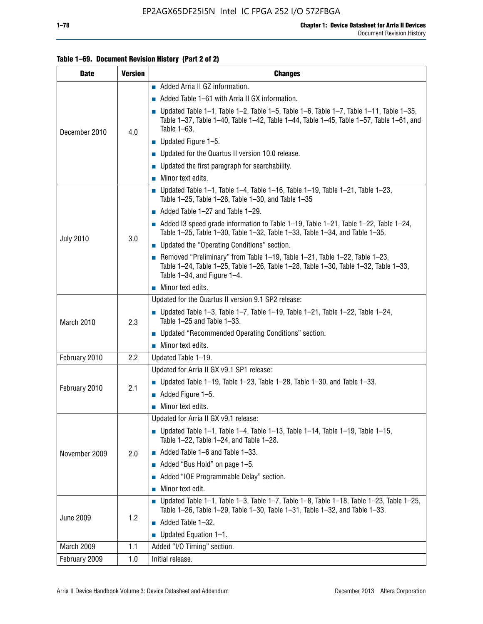### **Table 1–69. Document Revision History (Part 2 of 2)**

| <b>Date</b>      | <b>Version</b> | <b>Changes</b>                                                                                                                                                                                                  |  |  |
|------------------|----------------|-----------------------------------------------------------------------------------------------------------------------------------------------------------------------------------------------------------------|--|--|
|                  |                | Added Arria II GZ information.                                                                                                                                                                                  |  |  |
|                  |                | $\blacksquare$ Added Table 1–61 with Arria II GX information.                                                                                                                                                   |  |  |
| December 2010    | 4.0            | $\blacksquare$ Updated Table 1-1, Table 1-2, Table 1-5, Table 1-6, Table 1-7, Table 1-11, Table 1-35,<br>Table 1-37, Table 1-40, Table 1-42, Table 1-44, Table 1-45, Table 1-57, Table 1-61, and<br>Table 1-63. |  |  |
|                  |                | $\blacksquare$ Updated Figure 1-5.                                                                                                                                                                              |  |  |
|                  |                | • Updated for the Quartus II version 10.0 release.                                                                                                                                                              |  |  |
|                  |                | $\blacksquare$ Updated the first paragraph for searchability.                                                                                                                                                   |  |  |
|                  |                | $\blacksquare$ Minor text edits.                                                                                                                                                                                |  |  |
|                  |                | Updated Table 1-1, Table 1-4, Table 1-16, Table 1-19, Table 1-21, Table 1-23,<br>Table $1-25$ , Table $1-26$ , Table $1-30$ , and Table $1-35$                                                                  |  |  |
|                  |                | $\blacksquare$ Added Table 1-27 and Table 1-29.                                                                                                                                                                 |  |  |
|                  |                | $\blacksquare$ Added I3 speed grade information to Table 1-19, Table 1-21, Table 1-22, Table 1-24,<br>Table 1-25, Table 1-30, Table 1-32, Table 1-33, Table 1-34, and Table 1-35.                               |  |  |
| <b>July 2010</b> | 3.0            | • Updated the "Operating Conditions" section.                                                                                                                                                                   |  |  |
|                  |                | Removed "Preliminary" from Table $1-19$ , Table $1-21$ , Table $1-22$ , Table $1-23$ ,<br>Table 1-24, Table 1-25, Table 1-26, Table 1-28, Table 1-30, Table 1-32, Table 1-33,<br>Table 1-34, and Figure 1-4.    |  |  |
|                  |                | Minor text edits.                                                                                                                                                                                               |  |  |
|                  | 2.3            | Updated for the Quartus II version 9.1 SP2 release:                                                                                                                                                             |  |  |
| March 2010       |                | Updated Table 1–3, Table 1–7, Table 1–19, Table 1–21, Table 1–22, Table 1–24,<br>Table 1-25 and Table 1-33.                                                                                                     |  |  |
|                  |                | ■ Updated "Recommended Operating Conditions" section.                                                                                                                                                           |  |  |
|                  |                | $\blacksquare$ Minor text edits.                                                                                                                                                                                |  |  |
| February 2010    | 2.2            | Updated Table 1-19.                                                                                                                                                                                             |  |  |
|                  |                | Updated for Arria II GX v9.1 SP1 release:                                                                                                                                                                       |  |  |
| February 2010    | 2.1            | Updated Table 1–19, Table 1–23, Table 1–28, Table 1–30, and Table 1–33.                                                                                                                                         |  |  |
|                  |                | Added Figure 1-5.                                                                                                                                                                                               |  |  |
|                  |                | $\blacksquare$ Minor text edits.                                                                                                                                                                                |  |  |
|                  |                | Updated for Arria II GX v9.1 release:                                                                                                                                                                           |  |  |
|                  |                | Updated Table 1–1, Table 1–4, Table 1–13, Table 1–14, Table 1–19, Table 1–15,<br>Table 1-22, Table 1-24, and Table 1-28.                                                                                        |  |  |
| November 2009    | 2.0            | $\blacksquare$ Added Table 1-6 and Table 1-33.                                                                                                                                                                  |  |  |
|                  |                | Added "Bus Hold" on page 1-5.                                                                                                                                                                                   |  |  |
|                  |                | Added "IOE Programmable Delay" section.<br>П                                                                                                                                                                    |  |  |
|                  |                | Minor text edit.                                                                                                                                                                                                |  |  |
| <b>June 2009</b> | 1.2            | <b>Updated Table 1–1, Table 1–3, Table 1–7, Table 1–8, Table 1–18, Table 1–23, Table 1–25,</b><br>Table 1-26, Table 1-29, Table 1-30, Table 1-31, Table 1-32, and Table 1-33.                                   |  |  |
|                  |                | Added Table 1-32.                                                                                                                                                                                               |  |  |
|                  |                | Updated Equation 1-1.<br>$\mathcal{L}_{\mathcal{A}}$                                                                                                                                                            |  |  |
| March 2009       | 1.1            | Added "I/O Timing" section.                                                                                                                                                                                     |  |  |
| February 2009    | 1.0            | Initial release.                                                                                                                                                                                                |  |  |